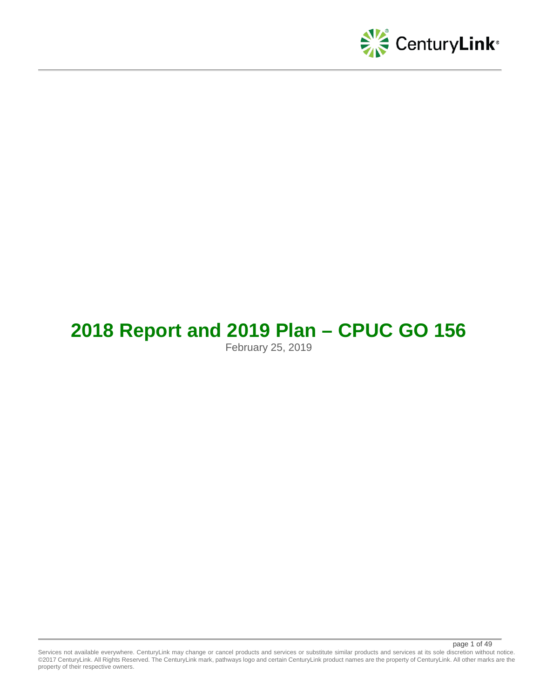

# **2018 Report and 2019 Plan – CPUC GO 156**

February 25, 2019

Services not available everywhere. CenturyLink may change or cancel products and services or substitute similar products and services at its sole discretion without notice. ©2017 CenturyLink. All Rights Reserved. The CenturyLink mark, pathways logo and certain CenturyLink product names are the property of CenturyLink. All other marks are the property of their respective owners.

page 1 of 49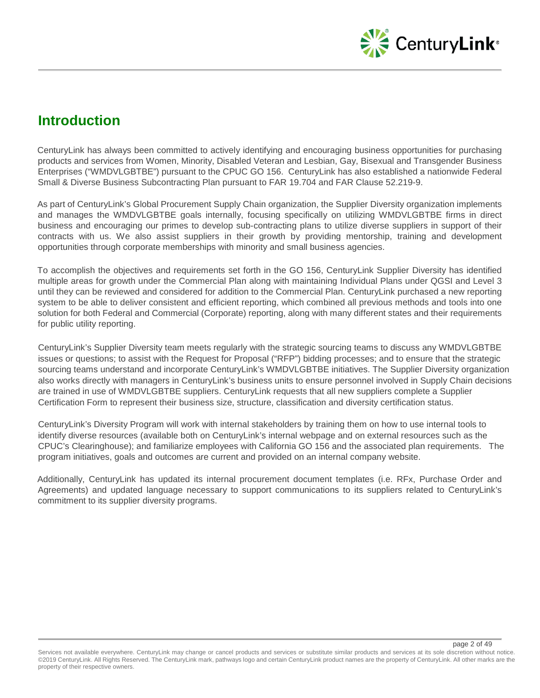

## **Introduction**

CenturyLink has always been committed to actively identifying and encouraging business opportunities for purchasing products and services from Women, Minority, Disabled Veteran and Lesbian, Gay, Bisexual and Transgender Business Enterprises ("WMDVLGBTBE") pursuant to the CPUC GO 156. CenturyLink has also established a nationwide Federal Small & Diverse Business Subcontracting Plan pursuant to FAR 19.704 and FAR Clause 52.219-9.

As part of CenturyLink's Global Procurement Supply Chain organization, the Supplier Diversity organization implements and manages the WMDVLGBTBE goals internally, focusing specifically on utilizing WMDVLGBTBE firms in direct business and encouraging our primes to develop sub-contracting plans to utilize diverse suppliers in support of their contracts with us. We also assist suppliers in their growth by providing mentorship, training and development opportunities through corporate memberships with minority and small business agencies.

To accomplish the objectives and requirements set forth in the GO 156, CenturyLink Supplier Diversity has identified multiple areas for growth under the Commercial Plan along with maintaining Individual Plans under QGSI and Level 3 until they can be reviewed and considered for addition to the Commercial Plan. CenturyLink purchased a new reporting system to be able to deliver consistent and efficient reporting, which combined all previous methods and tools into one solution for both Federal and Commercial (Corporate) reporting, along with many different states and their requirements for public utility reporting.

CenturyLink's Supplier Diversity team meets regularly with the strategic sourcing teams to discuss any WMDVLGBTBE issues or questions; to assist with the Request for Proposal ("RFP") bidding processes; and to ensure that the strategic sourcing teams understand and incorporate CenturyLink's WMDVLGBTBE initiatives. The Supplier Diversity organization also works directly with managers in CenturyLink's business units to ensure personnel involved in Supply Chain decisions are trained in use of WMDVLGBTBE suppliers. CenturyLink requests that all new suppliers complete a Supplier Certification Form to represent their business size, structure, classification and diversity certification status.

CenturyLink's Diversity Program will work with internal stakeholders by training them on how to use internal tools to identify diverse resources (available both on CenturyLink's internal webpage and on external resources such as the CPUC's Clearinghouse); and familiarize employees with California GO 156 and the associated plan requirements. The program initiatives, goals and outcomes are current and provided on an internal company website.

Additionally, CenturyLink has updated its internal procurement document templates (i.e. RFx, Purchase Order and Agreements) and updated language necessary to support communications to its suppliers related to CenturyLink's commitment to its supplier diversity programs.

Services not available everywhere. CenturyLink may change or cancel products and services or substitute similar products and services at its sole discretion without notice. ©2019 CenturyLink. All Rights Reserved. The CenturyLink mark, pathways logo and certain CenturyLink product names are the property of CenturyLink. All other marks are the property of their respective owners.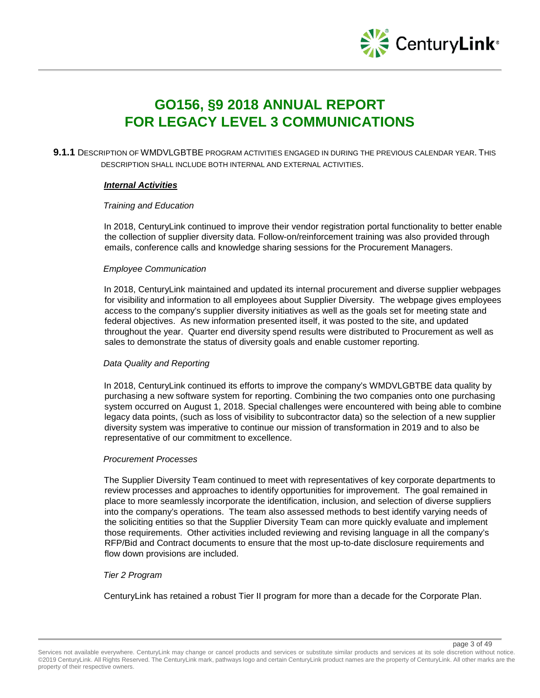

## **GO156, §9 2018 ANNUAL REPORT FOR LEGACY LEVEL 3 COMMUNICATIONS**

**9.1.1** DESCRIPTION OF WMDVLGBTBE PROGRAM ACTIVITIES ENGAGED IN DURING THE PREVIOUS CALENDAR YEAR. THIS DESCRIPTION SHALL INCLUDE BOTH INTERNAL AND EXTERNAL ACTIVITIES.

#### *Internal Activities*

#### *Training and Education*

In 2018, CenturyLink continued to improve their vendor registration portal functionality to better enable the collection of supplier diversity data. Follow-on/reinforcement training was also provided through emails, conference calls and knowledge sharing sessions for the Procurement Managers.

#### *Employee Communication*

In 2018, CenturyLink maintained and updated its internal procurement and diverse supplier webpages for visibility and information to all employees about Supplier Diversity. The webpage gives employees access to the company's supplier diversity initiatives as well as the goals set for meeting state and federal objectives. As new information presented itself, it was posted to the site, and updated throughout the year. Quarter end diversity spend results were distributed to Procurement as well as sales to demonstrate the status of diversity goals and enable customer reporting.

## *Data Quality and Reporting*

In 2018, CenturyLink continued its efforts to improve the company's WMDVLGBTBE data quality by purchasing a new software system for reporting. Combining the two companies onto one purchasing system occurred on August 1, 2018. Special challenges were encountered with being able to combine legacy data points, (such as loss of visibility to subcontractor data) so the selection of a new supplier diversity system was imperative to continue our mission of transformation in 2019 and to also be representative of our commitment to excellence.

#### *Procurement Processes*

The Supplier Diversity Team continued to meet with representatives of key corporate departments to review processes and approaches to identify opportunities for improvement. The goal remained in place to more seamlessly incorporate the identification, inclusion, and selection of diverse suppliers into the company's operations. The team also assessed methods to best identify varying needs of the soliciting entities so that the Supplier Diversity Team can more quickly evaluate and implement those requirements. Other activities included reviewing and revising language in all the company's RFP/Bid and Contract documents to ensure that the most up-to-date disclosure requirements and flow down provisions are included.

#### *Tier 2 Program*

CenturyLink has retained a robust Tier II program for more than a decade for the Corporate Plan.

page 3 of 49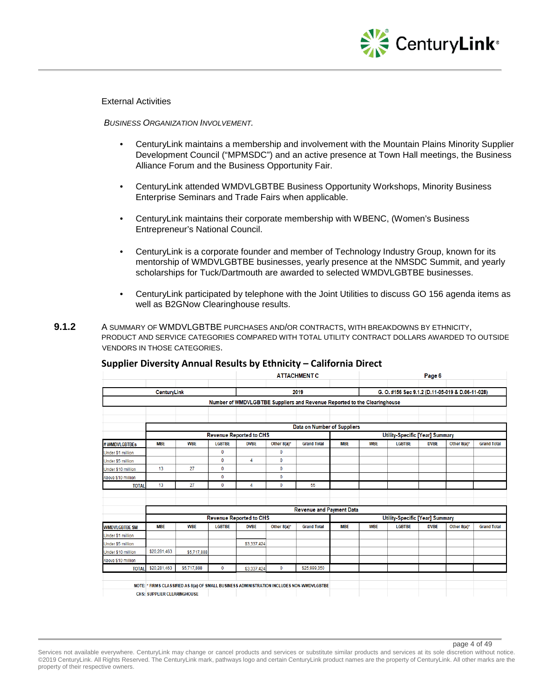

External Activities

*BUSINESS ORGANIZATION INVOLVEMENT.* 

- CenturyLink maintains a membership and involvement with the Mountain Plains Minority Supplier Development Council ("MPMSDC") and an active presence at Town Hall meetings, the Business Alliance Forum and the Business Opportunity Fair.
- CenturyLink attended WMDVLGBTBE Business Opportunity Workshops, Minority Business Enterprise Seminars and Trade Fairs when applicable.
- CenturyLink maintains their corporate membership with WBENC, (Women's Business Entrepreneur's National Council.
- CenturyLink is a corporate founder and member of Technology Industry Group, known for its mentorship of WMDVLGBTBE businesses, yearly presence at the NMSDC Summit, and yearly scholarships for Tuck/Dartmouth are awarded to selected WMDVLGBTBE businesses.
- CenturyLink participated by telephone with the Joint Utilities to discuss GO 156 agenda items as well as B2GNow Clearinghouse results.
- **9.1.2** A SUMMARY OF WMDVLGBTBE PURCHASES AND/OR CONTRACTS, WITH BREAKDOWNS BY ETHNICITY, PRODUCT AND SERVICE CATEGORIES COMPARED WITH TOTAL UTILITY CONTRACT DOLLARS AWARDED TO OUTSIDE VENDORS IN THOSE CATEGORIES.

|                       |                                    |             |               |                                |                | <b>ATTACHMENT C</b>                                                                       |            |                                        |                                                  | Page 6      |             |                    |  |
|-----------------------|------------------------------------|-------------|---------------|--------------------------------|----------------|-------------------------------------------------------------------------------------------|------------|----------------------------------------|--------------------------------------------------|-------------|-------------|--------------------|--|
|                       | <b>CenturyLink</b>                 |             |               |                                |                | 2019                                                                                      |            |                                        | G. O. #156 Sec 9.1.2 (D.11-05-019 & D.06-11-028) |             |             |                    |  |
|                       |                                    |             |               |                                |                | Number of WMDVLGBTBE Suppliers and Revenue Reported to the Clearinghouse                  |            |                                        |                                                  |             |             |                    |  |
|                       |                                    |             |               |                                |                |                                                                                           |            |                                        |                                                  |             |             |                    |  |
|                       |                                    |             |               |                                |                | Data on Number of Suppliers                                                               |            |                                        |                                                  |             |             |                    |  |
|                       |                                    |             |               | <b>Revenue Reported to CHS</b> |                |                                                                                           |            | <b>Utility-Specific [Year] Summary</b> |                                                  |             |             |                    |  |
| # WMDVLGBTBEs         | <b>MBE</b>                         | <b>WBE</b>  | <b>LGBTBE</b> | <b>DVBE</b>                    | Other 8(a)*    | <b>Grand Total</b>                                                                        | <b>MBE</b> | <b>WBE</b>                             | <b>LGBTBE</b>                                    | <b>DVBE</b> | Other 8(a)* | <b>Grand Total</b> |  |
| Under \$1 million     |                                    |             | $\mathbf{0}$  |                                | $\mathbf{0}$   |                                                                                           |            |                                        |                                                  |             |             |                    |  |
| Under \$5 million     |                                    |             | $\mathbf 0$   | 4                              | $\mathbf{0}$   |                                                                                           |            |                                        |                                                  |             |             |                    |  |
| Under \$10 million    | 13                                 | 27          | 0             |                                | $\mathbf 0$    |                                                                                           |            |                                        |                                                  |             |             |                    |  |
| Above \$10 million    |                                    |             | $\mathbf 0$   |                                | $\mathbf 0$    |                                                                                           |            |                                        |                                                  |             |             |                    |  |
| <b>TOTAL</b>          | 13                                 | 27          | $\mathbf 0$   | 4                              | $\mathbf 0$    | 55                                                                                        |            |                                        |                                                  |             |             |                    |  |
|                       |                                    |             |               |                                |                |                                                                                           |            |                                        |                                                  |             |             |                    |  |
|                       |                                    |             |               |                                |                |                                                                                           |            |                                        |                                                  |             |             |                    |  |
|                       |                                    |             |               |                                |                | <b>Revenue and Payment Data</b>                                                           |            |                                        |                                                  |             |             |                    |  |
|                       |                                    |             |               | <b>Revenue Reported to CHS</b> |                |                                                                                           |            |                                        | <b>Utility-Specific [Year] Summary</b>           |             |             |                    |  |
| <b>WMDVLGBTBE \$M</b> | <b>MBE</b>                         | <b>WBE</b>  | <b>LGBTBE</b> | <b>DVBE</b>                    | Other $8(a)^*$ | <b>Grand Total</b>                                                                        | <b>MBE</b> | <b>WBE</b>                             | <b>LGBTBE</b>                                    | <b>DVBE</b> | Other 8(a)* | <b>Grand Total</b> |  |
| Under \$1 million     |                                    |             |               |                                |                |                                                                                           |            |                                        |                                                  |             |             |                    |  |
| Under \$5 million     |                                    |             |               | \$3,337,424                    |                |                                                                                           |            |                                        |                                                  |             |             |                    |  |
| Under \$10 million    | \$20,281,463                       | \$5,717,888 |               |                                |                |                                                                                           |            |                                        |                                                  |             |             |                    |  |
| Above \$10 million    |                                    |             |               |                                |                |                                                                                           |            |                                        |                                                  |             |             |                    |  |
| <b>TOTAL</b>          | \$20,281,463                       | \$5,717,888 | $\mathbf{0}$  | \$3,337,424                    | $\mathbf{0}$   | \$25,999.350                                                                              |            |                                        |                                                  |             |             |                    |  |
|                       |                                    |             |               |                                |                | NOTE: * FIRMS CLASSIFIED AS 8(a) OF SMALL BUSINESS ADMINISTRATION INCLUDES NON-WMDVLGBTBE |            |                                        |                                                  |             |             |                    |  |
|                       | <b>CHS: SUPPLIER CLEARINGHOUSE</b> |             |               |                                |                |                                                                                           |            |                                        |                                                  |             |             |                    |  |

## **Supplier Diversity Annual Results by Ethnicity – California Direct**

page 4 of 49

Services not available everywhere. CenturyLink may change or cancel products and services or substitute similar products and services at its sole discretion without notice. ©2019 CenturyLink. All Rights Reserved. The CenturyLink mark, pathways logo and certain CenturyLink product names are the property of CenturyLink. All other marks are the property of their respective owners.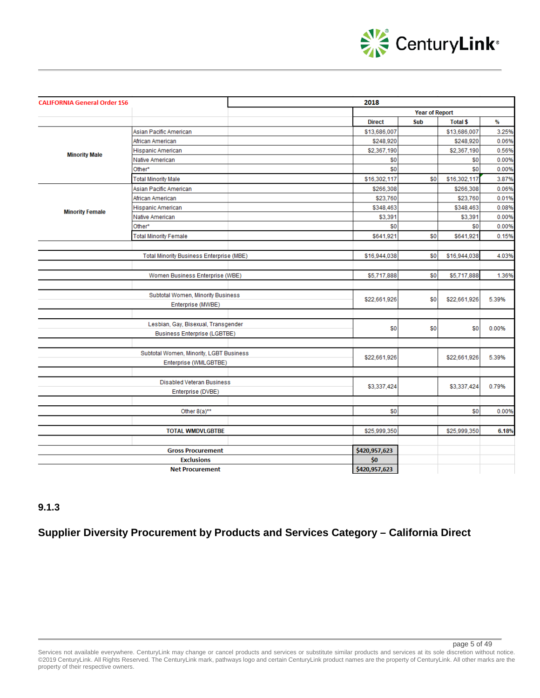

| <b>CALIFORNIA General Order 156</b> |                                          | 2018          |                       |                 |       |
|-------------------------------------|------------------------------------------|---------------|-----------------------|-----------------|-------|
|                                     |                                          |               | <b>Year of Report</b> |                 |       |
|                                     |                                          | <b>Direct</b> | Sub                   | <b>Total \$</b> | %     |
|                                     | Asian Pacific American                   | \$13,686,007  |                       | \$13,686,007    | 3.25% |
|                                     | African American                         | \$248,920     |                       | \$248,920       | 0.06% |
| <b>Minority Male</b>                | Hispanic American                        | \$2,367,190   |                       | \$2,367,190     | 0.56% |
|                                     | Native American                          | \$0           |                       | \$0             | 0.00% |
|                                     | Other*                                   | \$0           |                       | \$0             | 0.00% |
|                                     | <b>Total Minority Male</b>               | \$16,302,117  | \$0                   | \$16,302,117    | 3.87% |
|                                     | Asian Pacific American                   | \$266,308     |                       | \$266,308       | 0.06% |
|                                     | African American                         | \$23,760      |                       | \$23,760        | 0.01% |
| <b>Minority Female</b>              | Hispanic American                        | \$348,463     |                       | \$348,463       | 0.08% |
|                                     | Native American                          | \$3,391       |                       | \$3,391         | 0.00% |
|                                     | Other*                                   | \$0           |                       | \$0             | 0.00% |
|                                     | <b>Total Minority Female</b>             | \$641,921     | \$0                   | \$641,921       | 0.15% |
|                                     |                                          |               |                       |                 |       |
|                                     | Total Minority Business Enterprise (MBE) | \$16,944,038  | \$0                   | \$16,944,038    | 4.03% |
|                                     |                                          |               |                       |                 |       |
|                                     | Women Business Enterprise (WBE)          | \$5,717,888   | \$0                   | \$5,717,888     | 1.36% |
|                                     |                                          |               |                       |                 |       |
|                                     | Subtotal Women, Minority Business        |               |                       |                 |       |
|                                     | Enterprise (MWBE)                        | \$22,661,926  | \$0                   | \$22,661,926    | 5.39% |
|                                     |                                          |               |                       |                 |       |
|                                     | Lesbian, Gay, Bisexual, Transgender      |               |                       |                 |       |
|                                     | <b>Business Enterprise (LGBTBE)</b>      | \$0           | \$0                   | \$0             | 0.00% |
|                                     |                                          |               |                       |                 |       |
|                                     | Subtotal Women, Minority, LGBT Business  |               |                       |                 |       |
|                                     | Enterprise (WMLGBTBE)                    | \$22,661,926  |                       | \$22,661,926    | 5.39% |
|                                     |                                          |               |                       |                 |       |
|                                     | <b>Disabled Veteran Business</b>         |               |                       |                 |       |
|                                     | Enterprise (DVBE)                        | \$3,337,424   |                       | \$3,337,424     | 0.79% |
|                                     |                                          |               |                       |                 |       |
|                                     | Other 8(a)**                             | \$0           |                       | \$0             | 0.00% |
|                                     |                                          |               |                       |                 |       |
|                                     | <b>TOTAL WMDVLGBTBE</b>                  | \$25,999,350  |                       | \$25,999,350    | 6.18% |
|                                     |                                          |               |                       |                 |       |
|                                     | <b>Gross Procurement</b>                 | \$420,957,623 |                       |                 |       |
|                                     | <b>Exclusions</b>                        | \$0           |                       |                 |       |
|                                     | <b>Net Procurement</b>                   | \$420,957,623 |                       |                 |       |

## **9.1.3**

## **Supplier Diversity Procurement by Products and Services Category – California Direct**

Services not available everywhere. CenturyLink may change or cancel products and services or substitute similar products and services at its sole discretion without notice. ©2019 CenturyLink. All Rights Reserved. The CenturyLink mark, pathways logo and certain CenturyLink product names are the property of CenturyLink. All other marks are the property of their respective owners.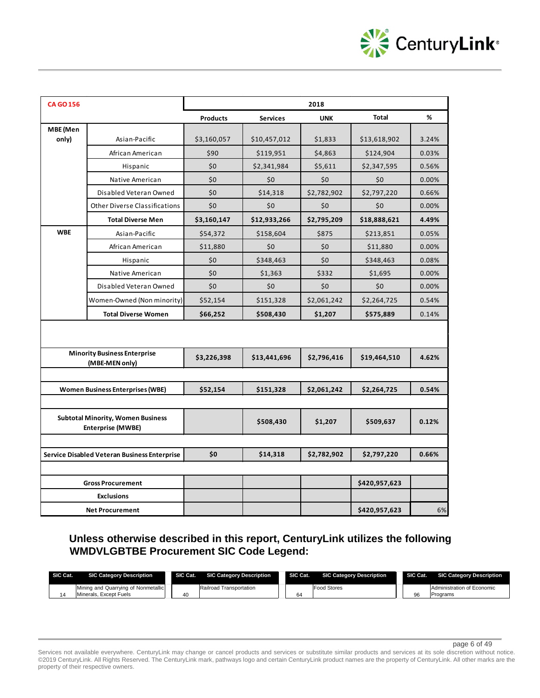

| <b>CA GO 156</b> |                                                                      |                 |                 | 2018        |               |       |
|------------------|----------------------------------------------------------------------|-----------------|-----------------|-------------|---------------|-------|
|                  |                                                                      | <b>Products</b> | <b>Services</b> | <b>UNK</b>  | <b>Total</b>  | %     |
| MBE (Men         |                                                                      |                 |                 |             |               |       |
| only)            | Asian-Pacific                                                        | \$3,160,057     | \$10,457,012    | \$1,833     | \$13,618,902  | 3.24% |
|                  | African American                                                     | \$90            | \$119,951       | \$4,863     | \$124,904     | 0.03% |
|                  | Hispanic                                                             | \$0             | \$2,341,984     | \$5,611     | \$2,347,595   | 0.56% |
|                  | Native American                                                      | \$0             | \$0             | \$0         | \$0           | 0.00% |
|                  | Disabled Veteran Owned                                               | \$0             | \$14,318        | \$2,782,902 | \$2,797,220   | 0.66% |
|                  | <b>Other Diverse Classifications</b>                                 | \$0             | \$0             | \$0         | \$0           | 0.00% |
|                  | <b>Total Diverse Men</b>                                             | \$3,160,147     | \$12,933,266    | \$2,795,209 | \$18,888,621  | 4.49% |
| <b>WBE</b>       | Asian-Pacific                                                        | \$54,372        | \$158,604       | \$875       | \$213,851     | 0.05% |
|                  | African American                                                     | \$11,880        | \$0             | \$0         | \$11,880      | 0.00% |
|                  | Hispanic                                                             | \$0             | \$348,463       | \$0         | \$348,463     | 0.08% |
|                  | Native American                                                      | \$0             | \$1,363         | \$332       | \$1,695       | 0.00% |
|                  | Disabled Veteran Owned                                               | \$0             | \$0             | \$0         | \$0           | 0.00% |
|                  | Women-Owned (Non minority)                                           | \$52,154        | \$151,328       | \$2,061,242 | \$2,264,725   | 0.54% |
|                  | <b>Total Diverse Women</b>                                           | \$66,252        | \$508,430       | \$1,207     | \$575,889     | 0.14% |
|                  |                                                                      |                 |                 |             |               |       |
|                  | <b>Minority Business Enterprise</b><br>(MBE-MEN only)                | \$3,226,398     | \$13,441,696    | \$2,796,416 | \$19,464,510  | 4.62% |
|                  |                                                                      |                 |                 |             |               |       |
|                  | <b>Women Business Enterprises (WBE)</b>                              | \$52,154        | \$151,328       | \$2,061,242 | \$2,264,725   | 0.54% |
|                  |                                                                      |                 |                 |             |               |       |
|                  | <b>Subtotal Minority, Women Business</b><br><b>Enterprise (MWBE)</b> |                 | \$508,430       | \$1,207     | \$509,637     | 0.12% |
|                  |                                                                      |                 |                 |             |               |       |
|                  | Service Disabled Veteran Business Enterprise                         | \$0             | \$14,318        | \$2,782,902 | \$2,797,220   | 0.66% |
|                  | <b>Gross Procurement</b>                                             |                 |                 |             | \$420,957,623 |       |
|                  | <b>Exclusions</b>                                                    |                 |                 |             |               |       |
|                  | <b>Net Procurement</b>                                               |                 |                 |             | \$420,957,623 | 6%    |

**Unless otherwise described in this report, CenturyLink utilizes the following WMDVLGBTBE Procurement SIC Code Legend:** 

| SIC Cat. | <b>SIC Category Description</b>     | SIC Cat. | <b>SIC Category Description</b> | SIC Cat. | <b>SIC Category Description</b> | SIC Cat. | <b>SIC Category Description</b> |
|----------|-------------------------------------|----------|---------------------------------|----------|---------------------------------|----------|---------------------------------|
|          | Mining and Quarrying of Nonmetallic |          | Railroad Transportation         |          | <b>Food Stores</b>              |          | Administration of Economic      |
|          | Minerals, Except Fuels              | 40       |                                 | 64       |                                 | 96       | <b>Programs</b>                 |

page 6 of 49

Services not available everywhere. CenturyLink may change or cancel products and services or substitute similar products and services at its sole discretion without notice. ©2019 CenturyLink. All Rights Reserved. The CenturyLink mark, pathways logo and certain CenturyLink product names are the property of CenturyLink. All other marks are the property of their respective owners.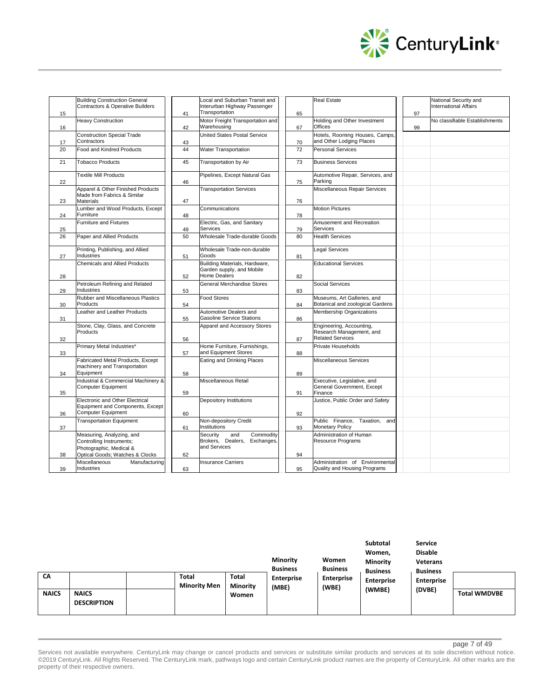

| 15 | <b>Building Construction General</b><br><b>Contractors &amp; Operative Builders</b>       | 41 | Local and Suburban Transit and<br>Interurban Highway Passenger<br>Transportation  | 65 | <b>Real Estate</b>                                                              | 97 | National Security and<br><b>International Affairs</b> |
|----|-------------------------------------------------------------------------------------------|----|-----------------------------------------------------------------------------------|----|---------------------------------------------------------------------------------|----|-------------------------------------------------------|
| 16 | <b>Heavy Construction</b>                                                                 | 42 | Motor Freight Transportation and<br>Warehousing                                   | 67 | Holding and Other Investment<br><b>Offices</b>                                  | 99 | No classifiable Establishments                        |
| 17 | <b>Construction Special Trade</b><br>Contractors                                          | 43 | United States Postal Service                                                      | 70 | Hotels, Rooming Houses, Camps,<br>and Other Lodging Places                      |    |                                                       |
| 20 | <b>Food and Kindred Products</b>                                                          | 44 | <b>Water Transportation</b>                                                       | 72 | <b>Personal Services</b>                                                        |    |                                                       |
| 21 | <b>Tobacco Products</b>                                                                   | 45 | Transportation by Air                                                             | 73 | <b>Business Services</b>                                                        |    |                                                       |
| 22 | <b>Textile Mill Products</b>                                                              | 46 | Pipelines, Except Natural Gas                                                     | 75 | Automotive Repair, Services, and<br>Parking                                     |    |                                                       |
|    | Apparel & Other Finished Products<br>Made from Fabrics & Similar                          |    | <b>Transportation Services</b>                                                    |    | Miscellaneous Repair Services                                                   |    |                                                       |
| 23 | Materials                                                                                 | 47 |                                                                                   | 76 |                                                                                 |    |                                                       |
| 24 | Lumber and Wood Products, Except<br>Furniture                                             | 48 | Communications                                                                    | 78 | <b>Motion Pictures</b>                                                          |    |                                                       |
| 25 | <b>Furniture and Fixtures</b>                                                             | 49 | Electric, Gas, and Sanitary<br>Services                                           | 79 | Amusement and Recreation<br><b>Services</b>                                     |    |                                                       |
| 26 | Paper and Allied Products                                                                 | 50 | Wholesale Trade-durable Goods                                                     | 80 | <b>Health Services</b>                                                          |    |                                                       |
| 27 | Printing, Publishing, and Allied<br>Industries                                            | 51 | Wholesale Trade-non-durable<br>Goods                                              | 81 | <b>Legal Services</b>                                                           |    |                                                       |
| 28 | <b>Chemicals and Allied Products</b>                                                      | 52 | Building Materials, Hardware,<br>Garden supply, and Mobile<br><b>Home Dealers</b> | 82 | <b>Educational Services</b>                                                     |    |                                                       |
| 29 | Petroleum Refining and Related<br>Industries                                              | 53 | General Merchandise Stores                                                        | 83 | Social Services                                                                 |    |                                                       |
| 30 | Rubber and Miscellaneous Plastics<br>Products                                             | 54 | <b>Food Stores</b>                                                                | 84 | Museums, Art Galleries, and<br>Botanical and zoological Gardens                 |    |                                                       |
| 31 | Leather and Leather Products                                                              | 55 | Automotive Dealers and<br><b>Gasoline Service Stations</b>                        | 86 | Membership Organizations                                                        |    |                                                       |
| 32 | Stone, Clay, Glass, and Concrete<br>Products                                              | 56 | Apparel and Accessory Stores                                                      | 87 | Engineering, Accounting,<br>Research Management, and<br><b>Related Services</b> |    |                                                       |
| 33 | Primary Metal Industries*                                                                 | 57 | Home Furniture, Furnishings,<br>and Equipment Stores                              | 88 | Private Households                                                              |    |                                                       |
|    | Fabricated Metal Products, Except<br>machinery and Transportation                         |    | Eating and Drinking Places                                                        |    | Miscellaneous Services                                                          |    |                                                       |
| 34 | Equipment<br>Industrial & Commercial Machinery &                                          | 58 | Miscellaneous Retail                                                              | 89 | Executive, Legislative, and                                                     |    |                                                       |
| 35 | Computer Equipment                                                                        | 59 |                                                                                   | 91 | General Government, Except<br>Finance                                           |    |                                                       |
| 36 | Electronic and Other Electrical<br>Equipment and Components, Except<br>Computer Equipment | 60 | Depository Institutions                                                           | 92 | Justice, Public Order and Safety                                                |    |                                                       |
| 37 | <b>Transportation Equipment</b>                                                           | 61 | Non-depository Credit<br>Institutions                                             | 93 | Public Finance, Taxation, and<br><b>Monetary Policy</b>                         |    |                                                       |
|    | Measuring, Analyzing, and<br>Controlling Instruments;<br>Photographic, Medical &          |    | Security<br>Commodity<br>and<br>Brokers, Dealers, Exchanges,<br>and Services      |    | Administration of Human<br>Resource Programs                                    |    |                                                       |
| 38 | Optical Goods; Watches & Clocks                                                           | 62 |                                                                                   | 94 |                                                                                 |    |                                                       |
| 39 | Miscellaneous<br>Manufacturing<br>Industries                                              | 63 | <b>Insurance Carriers</b>                                                         | 95 | Administration of Environmental<br>Quality and Housing Programs                 |    |                                                       |

|              |                                    |                              |                          | <b>Minority</b><br><b>Business</b> | Women<br><b>Business</b>   | <b>Subtotal</b><br>Women,<br><b>Minority</b><br><b>Business</b> | Service<br><b>Disable</b><br><b>Veterans</b><br><b>Business</b> |                     |
|--------------|------------------------------------|------------------------------|--------------------------|------------------------------------|----------------------------|-----------------------------------------------------------------|-----------------------------------------------------------------|---------------------|
| CA           |                                    | Total<br><b>Minority Men</b> | Total<br><b>Minority</b> | <b>Enterprise</b><br>(MBE)         | <b>Enterprise</b><br>(WBE) | <b>Enterprise</b>                                               | <b>Enterprise</b>                                               |                     |
| <b>NAICS</b> | <b>NAICS</b><br><b>DESCRIPTION</b> |                              | Women                    |                                    |                            | (WMBE)                                                          | (DVBE)                                                          | <b>Total WMDVBE</b> |

page 7 of 49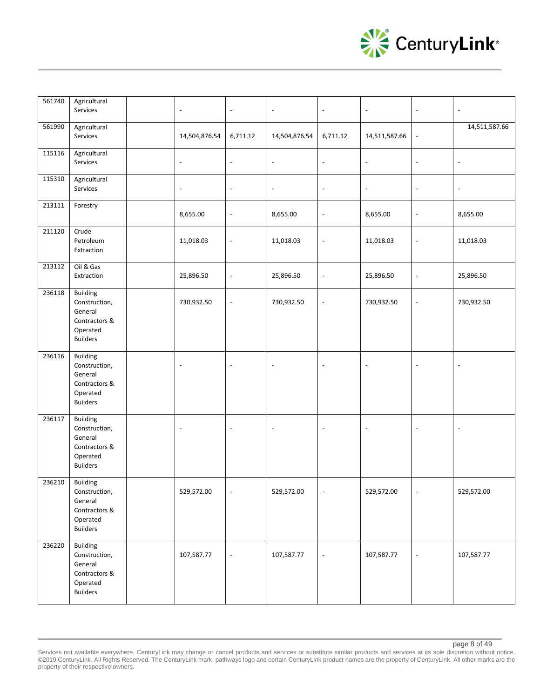

| 561740 | Agricultural<br>Services                                                                    | $\overline{\phantom{a}}$ | $\overline{\phantom{a}}$ | $\blacksquare$           | $\overline{\phantom{a}}$ | $\blacksquare$           | $\overline{\phantom{a}}$ | $\sim$                   |
|--------|---------------------------------------------------------------------------------------------|--------------------------|--------------------------|--------------------------|--------------------------|--------------------------|--------------------------|--------------------------|
| 561990 | Agricultural<br>Services                                                                    | 14,504,876.54            | 6,711.12                 | 14,504,876.54            | 6,711.12                 | 14,511,587.66            | $\Box$                   | 14,511,587.66            |
| 115116 | Agricultural<br>Services                                                                    | $\overline{\phantom{a}}$ | $\overline{\phantom{a}}$ | $\overline{\phantom{a}}$ | $\blacksquare$           | $\blacksquare$           | $\blacksquare$           | $\overline{\phantom{a}}$ |
| 115310 | Agricultural<br>Services                                                                    | $\overline{\phantom{a}}$ | $\overline{\phantom{a}}$ | $\overline{\phantom{a}}$ | $\overline{\phantom{a}}$ | $\overline{\phantom{a}}$ | $\overline{\phantom{a}}$ | $\overline{\phantom{a}}$ |
| 213111 | Forestry                                                                                    | 8,655.00                 | $\overline{\phantom{a}}$ | 8,655.00                 | $\blacksquare$           | 8,655.00                 | $\overline{\phantom{a}}$ | 8,655.00                 |
| 211120 | Crude<br>Petroleum<br>Extraction                                                            | 11,018.03                | $\overline{\phantom{a}}$ | 11,018.03                | $\overline{\phantom{a}}$ | 11,018.03                | $\blacksquare$           | 11,018.03                |
| 213112 | Oil & Gas<br>Extraction                                                                     | 25,896.50                | $\overline{\phantom{a}}$ | 25,896.50                | $\blacksquare$           | 25,896.50                | $\overline{\phantom{a}}$ | 25,896.50                |
| 236118 | <b>Building</b><br>Construction,<br>General<br>Contractors &<br>Operated<br><b>Builders</b> | 730,932.50               | $\blacksquare$           | 730,932.50               | $\overline{\phantom{a}}$ | 730,932.50               | $\overline{\phantom{a}}$ | 730,932.50               |
| 236116 | <b>Building</b><br>Construction,<br>General<br>Contractors &<br>Operated<br><b>Builders</b> | $\overline{\phantom{a}}$ | $\overline{\phantom{a}}$ | $\overline{\phantom{a}}$ |                          | $\ddot{\phantom{a}}$     | $\overline{a}$           |                          |
| 236117 | <b>Building</b><br>Construction,<br>General<br>Contractors &<br>Operated<br><b>Builders</b> | $\blacksquare$           | $\blacksquare$           | $\overline{\phantom{a}}$ |                          | $\ddot{\phantom{a}}$     | $\overline{a}$           | $\sim$                   |
| 236210 | <b>Building</b><br>Construction,<br>General<br>Contractors &<br>Operated<br><b>Builders</b> | 529,572.00               |                          | 529,572.00               |                          | 529,572.00               |                          | 529,572.00               |
| 236220 | <b>Building</b><br>Construction,<br>General<br>Contractors &<br>Operated<br><b>Builders</b> | 107,587.77               |                          | 107,587.77               | $\blacksquare$           | 107,587.77               | $\overline{a}$           | 107,587.77               |

Services not available everywhere. CenturyLink may change or cancel products and services or substitute similar products and services at its sole discretion without notice. ©2019 CenturyLink. All Rights Reserved. The CenturyLink mark, pathways logo and certain CenturyLink product names are the property of CenturyLink. All other marks are the property of their respective owners.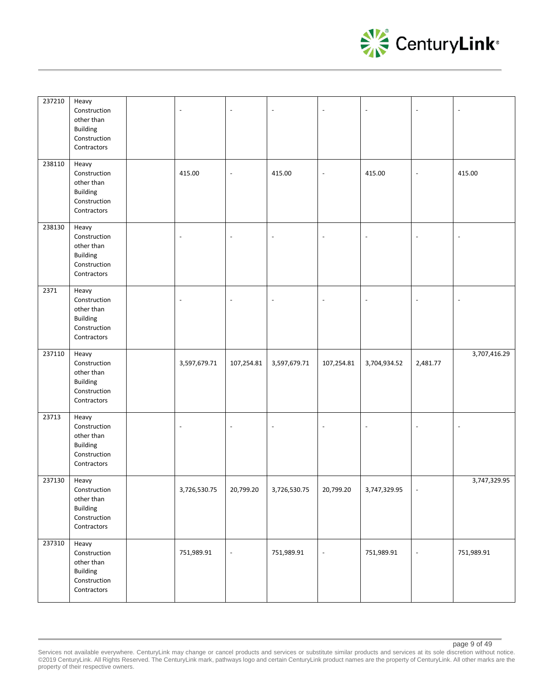

| 237210 | Heavy<br>Construction<br>other than<br><b>Building</b><br>Construction<br>Contractors | $\sim$                   |                          |                          | $\overline{a}$           | $\overline{\phantom{a}}$ | $\overline{a}$           |                          |
|--------|---------------------------------------------------------------------------------------|--------------------------|--------------------------|--------------------------|--------------------------|--------------------------|--------------------------|--------------------------|
| 238110 | Heavy<br>Construction<br>other than<br><b>Building</b><br>Construction<br>Contractors | 415.00                   | $\overline{a}$           | 415.00                   | $\sim$                   | 415.00                   | $\overline{\phantom{a}}$ | 415.00                   |
| 238130 | Heavy<br>Construction<br>other than<br><b>Building</b><br>Construction<br>Contractors | $\overline{\phantom{a}}$ | ÷,                       | ÷,                       | $\sim$                   | $\overline{\phantom{a}}$ | $\overline{a}$           | $\sim$                   |
| 2371   | Heavy<br>Construction<br>other than<br><b>Building</b><br>Construction<br>Contractors | $\overline{\phantom{a}}$ | ÷,                       | ÷,                       | $\overline{\phantom{a}}$ | $\overline{\phantom{a}}$ | $\overline{a}$           | $\sim$                   |
| 237110 | Heavy<br>Construction<br>other than<br><b>Building</b><br>Construction<br>Contractors | 3,597,679.71             | 107,254.81               | 3,597,679.71             | 107,254.81               | 3,704,934.52             | 2,481.77                 | 3,707,416.29             |
| 23713  | Heavy<br>Construction<br>other than<br><b>Building</b><br>Construction<br>Contractors | $\overline{\phantom{a}}$ | ÷,                       | $\overline{\phantom{a}}$ | $\overline{\phantom{a}}$ | $\overline{\phantom{a}}$ | $\overline{\phantom{a}}$ | $\overline{\phantom{a}}$ |
| 237130 | Heavy<br>Construction<br>other than<br><b>Building</b><br>Construction<br>Contractors | 3,726,530.75             | 20,799.20                | 3,726,530.75             | 20,799.20                | 3.747.329.95             |                          | 3,747,329.95             |
| 237310 | Heavy<br>Construction<br>other than<br><b>Building</b><br>Construction<br>Contractors | 751,989.91               | $\overline{\phantom{a}}$ | 751,989.91               | $\overline{\phantom{a}}$ | 751,989.91               | $\blacksquare$           | 751,989.91               |

Services not available everywhere. CenturyLink may change or cancel products and services or substitute similar products and services at its sole discretion without notice. ©2019 CenturyLink. All Rights Reserved. The CenturyLink mark, pathways logo and certain CenturyLink product names are the property of CenturyLink. All other marks are the property of their respective owners.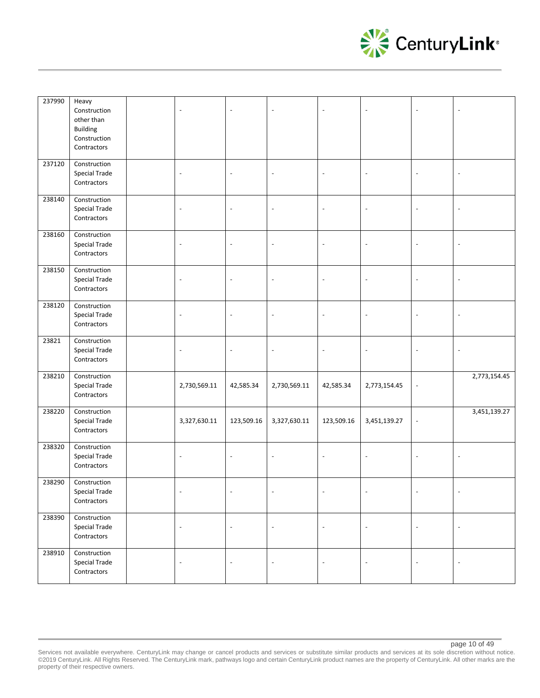

| 237990 | Heavy<br>Construction<br>other than<br><b>Building</b><br>Construction<br>Contractors | $\blacksquare$           |                          | $\overline{a}$           |                          | $\sim$                   |                          |                          |
|--------|---------------------------------------------------------------------------------------|--------------------------|--------------------------|--------------------------|--------------------------|--------------------------|--------------------------|--------------------------|
| 237120 | Construction<br>Special Trade<br>Contractors                                          | $\overline{\phantom{a}}$ | $\overline{\phantom{a}}$ | $\overline{\phantom{a}}$ | $\blacksquare$           | $\overline{\phantom{a}}$ | $\overline{\phantom{a}}$ | $\overline{\phantom{a}}$ |
| 238140 | Construction<br>Special Trade<br>Contractors                                          | $\overline{\phantom{a}}$ | $\overline{\phantom{a}}$ | $\overline{\phantom{a}}$ | $\overline{\phantom{a}}$ | $\overline{\phantom{a}}$ | $\overline{\phantom{a}}$ | $\overline{\phantom{a}}$ |
| 238160 | Construction<br>Special Trade<br>Contractors                                          | $\overline{\phantom{a}}$ | $\overline{\phantom{m}}$ | $\overline{\phantom{a}}$ | $\sim$                   | $\overline{\phantom{a}}$ | $\overline{\phantom{a}}$ | $\overline{\phantom{a}}$ |
| 238150 | Construction<br>Special Trade<br>Contractors                                          | $\blacksquare$           | $\overline{a}$           | $\sim$                   | $\overline{a}$           | $\overline{a}$           | $\overline{a}$           | $\sim$                   |
| 238120 | Construction<br><b>Special Trade</b><br>Contractors                                   | $\overline{\phantom{a}}$ | $\overline{\phantom{a}}$ | $\overline{\phantom{a}}$ | $\overline{\phantom{a}}$ | $\overline{\phantom{a}}$ | $\overline{\phantom{a}}$ | $\overline{\phantom{a}}$ |
| 23821  | Construction<br>Special Trade<br>Contractors                                          | $\overline{\phantom{a}}$ | $\overline{\phantom{a}}$ | $\overline{\phantom{a}}$ | $\overline{\phantom{a}}$ | $\overline{\phantom{a}}$ | $\overline{\phantom{a}}$ | $\overline{\phantom{a}}$ |
| 238210 | Construction<br>Special Trade<br>Contractors                                          | 2,730,569.11             | 42,585.34                | 2,730,569.11             | 42,585.34                | 2,773,154.45             | $\blacksquare$           | 2,773,154.45             |
| 238220 | Construction<br>Special Trade<br>Contractors                                          | 3,327,630.11             | 123,509.16               | 3,327,630.11             | 123,509.16               | 3,451,139.27             | $\blacksquare$           | 3,451,139.27             |
| 238320 | Construction<br>Special Trade<br>Contractors                                          | $\overline{\phantom{a}}$ | ÷,                       | $\overline{\phantom{a}}$ | $\overline{\phantom{a}}$ | $\overline{\phantom{a}}$ | $\overline{a}$           |                          |
| 238290 | Construction<br>Special Trade<br>Contractors                                          |                          |                          |                          |                          |                          |                          |                          |
| 238390 | Construction<br>Special Trade<br>Contractors                                          | $\blacksquare$           | $\overline{\phantom{a}}$ | $\overline{\phantom{a}}$ | $\overline{\phantom{a}}$ | $\Box$                   | $\Box$                   | $\overline{\phantom{a}}$ |
| 238910 | Construction<br>Special Trade<br>Contractors                                          | $\overline{\phantom{a}}$ | $\overline{\phantom{a}}$ | $\blacksquare$           | $\overline{\phantom{a}}$ | $\overline{\phantom{a}}$ | $\overline{\phantom{a}}$ | $\overline{\phantom{a}}$ |

page 10 of 49

Services not available everywhere. CenturyLink may change or cancel products and services or substitute similar products and services at its sole discretion without notice. ©2019 CenturyLink. All Rights Reserved. The CenturyLink mark, pathways logo and certain CenturyLink product names are the property of CenturyLink. All other marks are the property of their respective owners.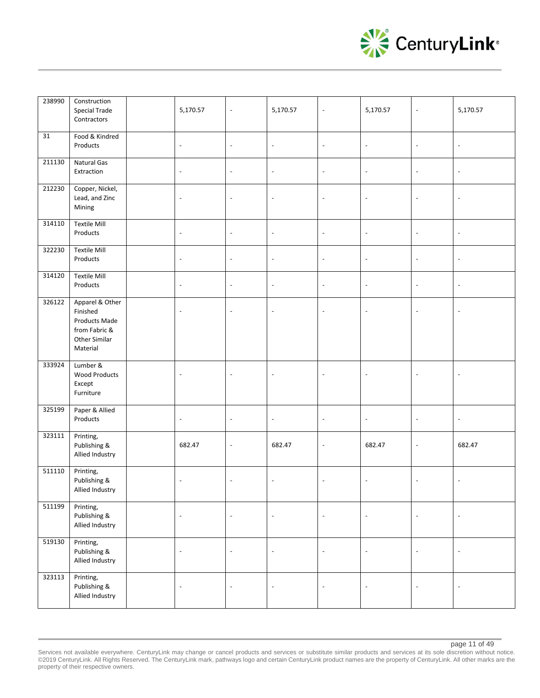

| 238990 | Construction<br><b>Special Trade</b><br>Contractors                                        | 5,170.57                 | $\overline{a}$           | 5,170.57                 | $\Box$                   | 5,170.57                 | $\overline{\phantom{a}}$ | 5,170.57                 |
|--------|--------------------------------------------------------------------------------------------|--------------------------|--------------------------|--------------------------|--------------------------|--------------------------|--------------------------|--------------------------|
| 31     | Food & Kindred<br>Products                                                                 | $\overline{\phantom{a}}$ | $\overline{\phantom{a}}$ | $\blacksquare$           | $\Box$                   | $\overline{\phantom{a}}$ | $\blacksquare$           | $\overline{\phantom{a}}$ |
| 211130 | Natural Gas<br>Extraction                                                                  | $\overline{\phantom{a}}$ | $\overline{\phantom{a}}$ | $\overline{\phantom{a}}$ | $\overline{\phantom{a}}$ | $\overline{\phantom{a}}$ | $\overline{\phantom{a}}$ | $\overline{\phantom{a}}$ |
| 212230 | Copper, Nickel,<br>Lead, and Zinc<br>Mining                                                | $\overline{\phantom{a}}$ | $\overline{\phantom{a}}$ | $\overline{\phantom{a}}$ | $\overline{\phantom{a}}$ | $\blacksquare$           | $\overline{\phantom{a}}$ | $\overline{\phantom{a}}$ |
| 314110 | <b>Textile Mill</b><br>Products                                                            | $\overline{\phantom{a}}$ | $\overline{\phantom{a}}$ | $\overline{\phantom{a}}$ | $\blacksquare$           | $\blacksquare$           | $\overline{\phantom{a}}$ | $\overline{\phantom{a}}$ |
| 322230 | <b>Textile Mill</b><br>Products                                                            | $\overline{\phantom{a}}$ | $\overline{\phantom{a}}$ | $\overline{\phantom{a}}$ | $\overline{\phantom{a}}$ | $\overline{\phantom{a}}$ | $\overline{\phantom{a}}$ | $\overline{\phantom{a}}$ |
| 314120 | <b>Textile Mill</b><br>Products                                                            | $\overline{\phantom{a}}$ | $\overline{\phantom{a}}$ | $\overline{\phantom{a}}$ | $\overline{\phantom{a}}$ | $\overline{\phantom{a}}$ | $\overline{\phantom{a}}$ | $\overline{\phantom{a}}$ |
| 326122 | Apparel & Other<br>Finished<br>Products Made<br>from Fabric &<br>Other Similar<br>Material | $\blacksquare$           | $\overline{a}$           | $\overline{a}$           | $\overline{a}$           | $\ddot{\phantom{a}}$     | $\overline{a}$           |                          |
| 333924 | Lumber &<br><b>Wood Products</b><br>Except<br>Furniture                                    | $\blacksquare$           | $\overline{a}$           | $\overline{a}$           | $\overline{a}$           | $\overline{a}$           | $\Box$                   |                          |
| 325199 | Paper & Allied<br>Products                                                                 | $\overline{\phantom{a}}$ | $\overline{\phantom{a}}$ | $\overline{\phantom{a}}$ | $\overline{\phantom{a}}$ | $\overline{\phantom{a}}$ | $\overline{\phantom{a}}$ | $\overline{\phantom{a}}$ |
| 323111 | Printing,<br>Publishing &<br>Allied Industry                                               | 682.47                   | $\overline{\phantom{a}}$ | 682.47                   | $\overline{\phantom{a}}$ | 682.47                   | $\overline{\phantom{a}}$ | 682.47                   |
| 511110 | Printing,<br>Publishing &<br>Allied Industry                                               | $\blacksquare$           | $\overline{\phantom{a}}$ | $\overline{\phantom{a}}$ | $\blacksquare$           | $\sim$                   | $\blacksquare$           | $\overline{\phantom{a}}$ |
| 511199 | Printing,<br>Publishing &<br>Allied Industry                                               | $\overline{\phantom{a}}$ | $\blacksquare$           | $\overline{\phantom{a}}$ | $\overline{\phantom{a}}$ | $\Box$                   | $\Box$                   | $\overline{\phantom{a}}$ |
| 519130 | Printing,<br>Publishing &<br>Allied Industry                                               | $\overline{\phantom{a}}$ | $\blacksquare$           | $\overline{\phantom{a}}$ | $\blacksquare$           | $\overline{\phantom{a}}$ | $\overline{\phantom{a}}$ | $\overline{\phantom{a}}$ |
| 323113 | Printing,<br>Publishing &<br>Allied Industry                                               | $\Box$                   | $\overline{\phantom{a}}$ | $\Box$                   | $\overline{\phantom{a}}$ | $\Box$                   | $\Box$                   | $\Box$                   |

Services not available everywhere. CenturyLink may change or cancel products and services or substitute similar products and services at its sole discretion without notice. ©2019 CenturyLink. All Rights Reserved. The CenturyLink mark, pathways logo and certain CenturyLink product names are the property of CenturyLink. All other marks are the property of their respective owners.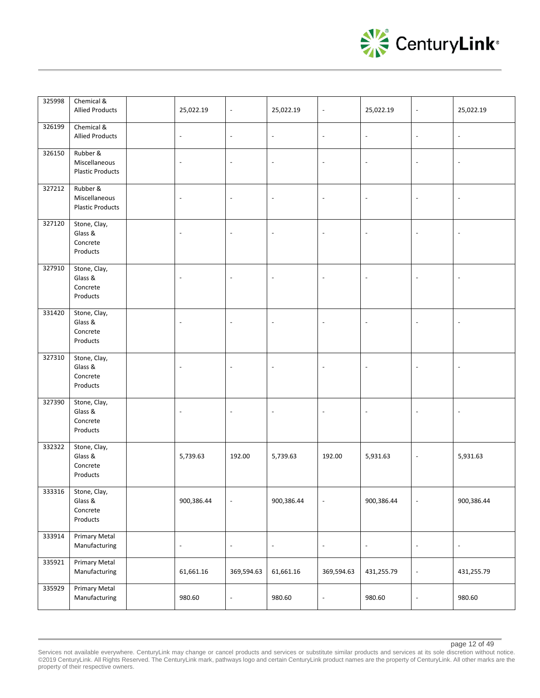

| 325998 | Chemical &<br><b>Allied Products</b>                   | 25,022.19                | $\blacksquare$           | 25,022.19                | $\overline{\phantom{a}}$ | 25,022.19                | $\overline{\phantom{a}}$ | 25,022.19                |
|--------|--------------------------------------------------------|--------------------------|--------------------------|--------------------------|--------------------------|--------------------------|--------------------------|--------------------------|
| 326199 | Chemical &<br><b>Allied Products</b>                   | $\blacksquare$           | $\overline{\phantom{a}}$ | $\blacksquare$           | $\Box$                   | $\blacksquare$           | $\blacksquare$           | $\overline{\phantom{a}}$ |
| 326150 | Rubber &<br>Miscellaneous<br><b>Plastic Products</b>   | $\overline{\phantom{a}}$ | $\overline{\phantom{a}}$ | $\overline{\phantom{a}}$ | $\overline{\phantom{a}}$ | $\blacksquare$           | $\overline{\phantom{a}}$ | $\overline{\phantom{a}}$ |
| 327212 | Rubber &<br>Miscellaneous<br><b>Plastic Products</b>   | $\overline{\phantom{a}}$ | $\overline{\phantom{a}}$ | $\overline{\phantom{a}}$ | $\overline{\phantom{a}}$ | $\overline{\phantom{a}}$ | $\overline{\phantom{a}}$ | $\overline{\phantom{a}}$ |
| 327120 | Stone, Clay,<br>Glass &<br>Concrete<br>Products        | $\overline{\phantom{a}}$ | $\overline{a}$           | $\overline{a}$           | $\sim$                   | $\overline{\phantom{a}}$ | $\overline{\phantom{a}}$ |                          |
| 327910 | Stone, Clay,<br>Glass &<br>Concrete<br>Products        | $\overline{\phantom{a}}$ | $\overline{\phantom{a}}$ | $\overline{\phantom{a}}$ | $\overline{\phantom{a}}$ | $\overline{\phantom{a}}$ | $\overline{\phantom{a}}$ | $\overline{\phantom{a}}$ |
| 331420 | Stone, Clay,<br>Glass &<br>Concrete<br>Products        | $\overline{\phantom{a}}$ | $\overline{\phantom{a}}$ | $\overline{\phantom{a}}$ |                          | $\overline{\phantom{a}}$ | $\overline{\phantom{a}}$ |                          |
| 327310 | Stone, Clay,<br>Glass &<br>Concrete<br>Products        | $\overline{\phantom{a}}$ | $\overline{\phantom{a}}$ | $\overline{\phantom{a}}$ | $\overline{\phantom{a}}$ | $\overline{\phantom{a}}$ | $\overline{\phantom{a}}$ | $\overline{\phantom{a}}$ |
| 327390 | Stone, Clay,<br>Glass &<br>Concrete<br>Products        | $\blacksquare$           | $\overline{a}$           | $\sim$                   | $\Box$                   | $\blacksquare$           | $\Box$                   |                          |
| 332322 | Stone, Clay,<br>Glass &<br>Concrete<br>Products        | 5,739.63                 | 192.00                   | 5,739.63                 | 192.00                   | 5,931.63                 | $\overline{\phantom{a}}$ | 5,931.63                 |
|        | 333316 Stone, Clay,<br>Glass &<br>Concrete<br>Products | 900,386.44               | $\overline{\phantom{a}}$ | 900,386.44               | $\overline{\phantom{a}}$ | 900,386.44               | $\blacksquare$           | 900,386.44               |
| 333914 | <b>Primary Metal</b><br>Manufacturing                  | $\overline{\phantom{a}}$ | $\overline{\phantom{a}}$ | $\overline{\phantom{a}}$ | $\blacksquare$           | $\overline{\phantom{a}}$ | $\overline{\phantom{a}}$ | $\overline{\phantom{a}}$ |
| 335921 | <b>Primary Metal</b><br>Manufacturing                  | 61,661.16                | 369,594.63               | 61,661.16                | 369,594.63               | 431,255.79               | $\overline{\phantom{a}}$ | 431,255.79               |
| 335929 | <b>Primary Metal</b><br>Manufacturing                  | 980.60                   | $\overline{\phantom{a}}$ | 980.60                   | $\overline{\phantom{a}}$ | 980.60                   | $\overline{\phantom{a}}$ | 980.60                   |

Services not available everywhere. CenturyLink may change or cancel products and services or substitute similar products and services at its sole discretion without notice. ©2019 CenturyLink. All Rights Reserved. The CenturyLink mark, pathways logo and certain CenturyLink product names are the property of CenturyLink. All other marks are the property of their respective owners.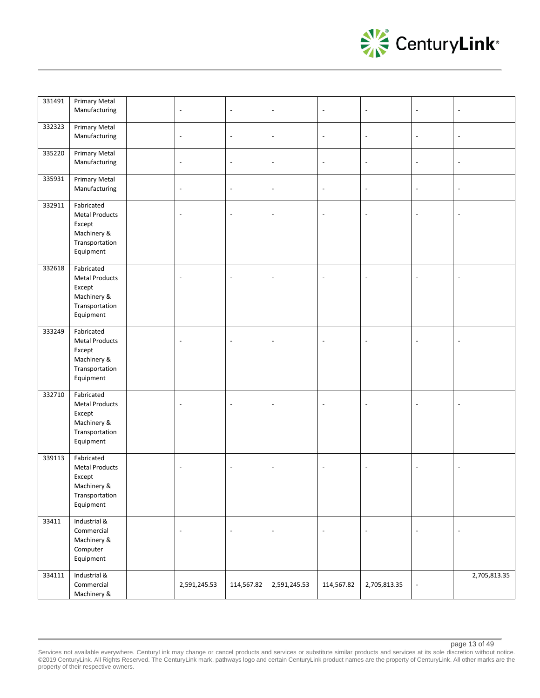

| 331491 | <b>Primary Metal</b><br>Manufacturing                                                       | $\overline{\phantom{a}}$ | $\overline{\phantom{a}}$ | $\overline{\phantom{a}}$ | $\overline{\phantom{a}}$ | $\overline{\phantom{a}}$ | $\overline{\phantom{a}}$ | $\overline{\phantom{a}}$ |
|--------|---------------------------------------------------------------------------------------------|--------------------------|--------------------------|--------------------------|--------------------------|--------------------------|--------------------------|--------------------------|
| 332323 | Primary Metal<br>Manufacturing                                                              | $\overline{\phantom{a}}$ | $\overline{\phantom{a}}$ | $\blacksquare$           | $\overline{\phantom{a}}$ | $\overline{\phantom{a}}$ | $\overline{\phantom{a}}$ | $\overline{\phantom{a}}$ |
| 335220 | <b>Primary Metal</b><br>Manufacturing                                                       | $\overline{\phantom{a}}$ | $\overline{\phantom{a}}$ | $\overline{\phantom{a}}$ | $\overline{\phantom{a}}$ | $\overline{\phantom{a}}$ | $\overline{\phantom{a}}$ | $\overline{\phantom{a}}$ |
| 335931 | Primary Metal<br>Manufacturing                                                              | $\blacksquare$           | $\overline{\phantom{a}}$ | $\overline{\phantom{a}}$ | $\blacksquare$           | $\overline{\phantom{a}}$ | $\overline{\phantom{a}}$ | $\overline{\phantom{a}}$ |
| 332911 | Fabricated<br><b>Metal Products</b><br>Except<br>Machinery &<br>Transportation<br>Equipment | $\overline{a}$           | L,                       | $\sim$                   | $\overline{\phantom{a}}$ | $\bar{a}$                | $\sim$                   | $\sim$                   |
| 332618 | Fabricated<br><b>Metal Products</b><br>Except<br>Machinery &<br>Transportation<br>Equipment | $\overline{a}$           |                          | $\overline{\phantom{a}}$ | $\overline{\phantom{a}}$ | $\overline{\phantom{a}}$ | $\sim$                   |                          |
| 333249 | Fabricated<br><b>Metal Products</b><br>Except<br>Machinery &<br>Transportation<br>Equipment | $\overline{a}$           |                          | $\overline{\phantom{a}}$ | $\overline{a}$           | $\overline{\phantom{a}}$ | $\sim$                   |                          |
| 332710 | Fabricated<br><b>Metal Products</b><br>Except<br>Machinery &<br>Transportation<br>Equipment |                          |                          | $\overline{a}$           | $\overline{\phantom{a}}$ | $\sim$                   |                          |                          |
| 339113 | Fabricated<br><b>Metal Products</b><br>Except<br>Machinery &<br>Transportation<br>Equipment | $\overline{a}$           |                          | $\overline{\phantom{a}}$ | $\sim$                   | $\sim$                   | $\sim$                   | $\overline{\phantom{a}}$ |
| 33411  | Industrial &<br>Commercial<br>Machinery &<br>Computer<br>Equipment                          | $\overline{\phantom{a}}$ | $\overline{\phantom{a}}$ | $\overline{\phantom{a}}$ | $\blacksquare$           | $\overline{\phantom{a}}$ | $\blacksquare$           | $\overline{\phantom{a}}$ |
| 334111 | Industrial &<br>Commercial<br>Machinery &                                                   | 2,591,245.53             | 114,567.82               | 2,591,245.53             | 114,567.82               | 2,705,813.35             | $\blacksquare$           | 2,705,813.35             |

Services not available everywhere. CenturyLink may change or cancel products and services or substitute similar products and services at its sole discretion without notice. ©2019 CenturyLink. All Rights Reserved. The CenturyLink mark, pathways logo and certain CenturyLink product names are the property of CenturyLink. All other marks are the property of their respective owners.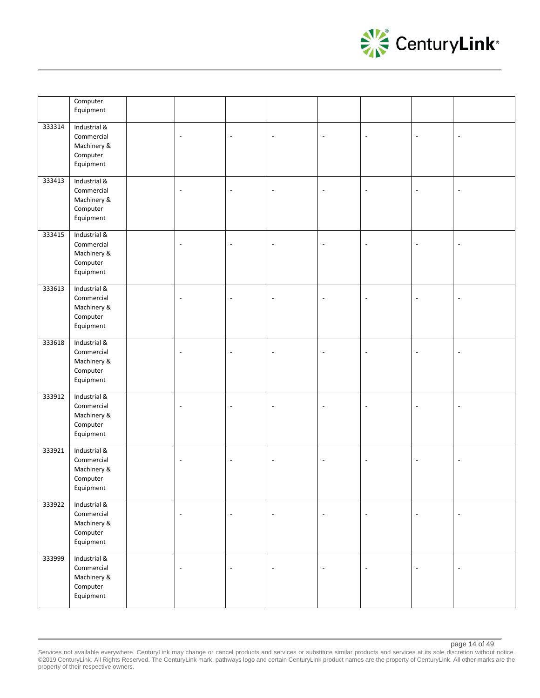

|        | Computer<br>Equipment                                              |                          |                          |                          |                          |                          |                          |                          |
|--------|--------------------------------------------------------------------|--------------------------|--------------------------|--------------------------|--------------------------|--------------------------|--------------------------|--------------------------|
| 333314 | Industrial &<br>Commercial<br>Machinery &<br>Computer<br>Equipment | $\overline{\phantom{a}}$ |                          | ÷,                       | $\sim$                   | $\overline{\phantom{a}}$ | Ĭ.                       |                          |
| 333413 | Industrial &<br>Commercial<br>Machinery &<br>Computer<br>Equipment | $\overline{\phantom{a}}$ | L,                       | $\overline{\phantom{a}}$ | $\overline{\phantom{a}}$ | $\overline{\phantom{a}}$ | ÷,                       |                          |
| 333415 | Industrial &<br>Commercial<br>Machinery &<br>Computer<br>Equipment | $\blacksquare$           | L,                       | $\overline{\phantom{a}}$ | $\sim$                   | $\overline{\phantom{a}}$ | L.                       |                          |
| 333613 | Industrial &<br>Commercial<br>Machinery &<br>Computer<br>Equipment | $\overline{\phantom{a}}$ | $\overline{a}$           | $\overline{a}$           | $\overline{\phantom{a}}$ | $\blacksquare$           | $\overline{a}$           |                          |
| 333618 | Industrial &<br>Commercial<br>Machinery &<br>Computer<br>Equipment | $\overline{a}$           | $\overline{a}$           | $\sim$                   | $\overline{\phantom{a}}$ | $\overline{\phantom{a}}$ | Ĭ.                       |                          |
| 333912 | Industrial &<br>Commercial<br>Machinery &<br>Computer<br>Equipment | $\overline{\phantom{a}}$ |                          | L,                       | $\sim$                   | $\overline{\phantom{a}}$ |                          |                          |
| 333921 | Industrial &<br>Commercial<br>Machinery &<br>Computer<br>Equipment | $\overline{\phantom{a}}$ | ÷,                       | $\overline{\phantom{a}}$ | $\overline{\phantom{a}}$ | $\overline{\phantom{a}}$ | ÷,                       | $\overline{\phantom{a}}$ |
| 333922 | Industrial &<br>Commercial<br>Machinery &<br>Computer<br>Equipment | $\overline{\phantom{a}}$ | $\overline{\phantom{a}}$ | $\overline{\phantom{a}}$ | $\bar{\phantom{a}}$      | $\Box$                   | $\blacksquare$           | $\blacksquare$           |
| 333999 | Industrial &<br>Commercial<br>Machinery &<br>Computer<br>Equipment | $\overline{\phantom{a}}$ | $\overline{\phantom{a}}$ | $\blacksquare$           | $\bar{\phantom{a}}$      | $\Box$                   | $\overline{\phantom{a}}$ | $\blacksquare$           |

Services not available everywhere. CenturyLink may change or cancel products and services or substitute similar products and services at its sole discretion without notice. ©2019 CenturyLink. All Rights Reserved. The CenturyLink mark, pathways logo and certain CenturyLink product names are the property of CenturyLink. All other marks are the property of their respective owners.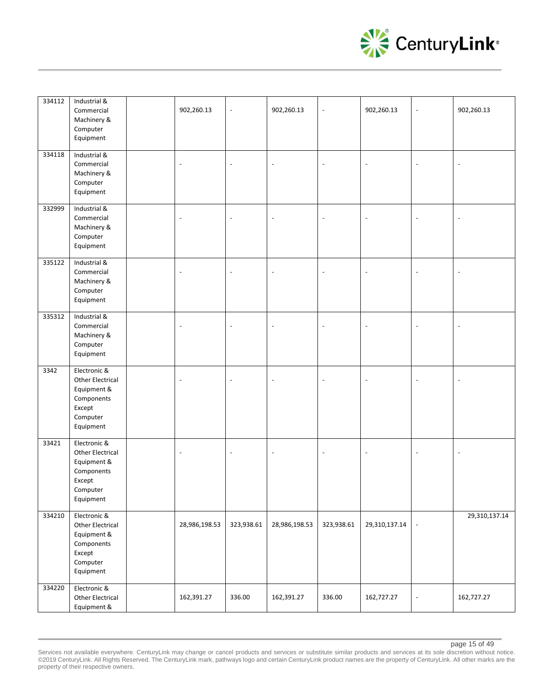

| 334112 | Industrial &<br>Commercial<br>Machinery &<br>Computer<br>Equipment                                      | 902,260.13               | $\overline{a}$ | 902,260.13               | $\Box$                   | 902,260.13               | $\overline{\phantom{a}}$ | 902,260.13               |
|--------|---------------------------------------------------------------------------------------------------------|--------------------------|----------------|--------------------------|--------------------------|--------------------------|--------------------------|--------------------------|
| 334118 | Industrial &<br>Commercial<br>Machinery &<br>Computer<br>Equipment                                      | $\blacksquare$           | $\overline{a}$ | $\overline{a}$           | $\sim$                   | $\sim$                   | $\overline{\phantom{a}}$ | $\overline{\phantom{a}}$ |
| 332999 | Industrial &<br>Commercial<br>Machinery &<br>Computer<br>Equipment                                      | $\overline{a}$           | $\overline{a}$ | $\overline{a}$           | $\overline{a}$           | $\ddot{\phantom{a}}$     | Ĭ.                       | $\overline{\phantom{a}}$ |
| 335122 | Industrial &<br>Commercial<br>Machinery &<br>Computer<br>Equipment                                      | $\overline{\phantom{a}}$ | $\overline{a}$ | $\overline{\phantom{a}}$ | $\overline{\phantom{a}}$ | $\overline{\phantom{a}}$ | $\overline{\phantom{a}}$ | $\blacksquare$           |
| 335312 | Industrial &<br>Commercial<br>Machinery &<br>Computer<br>Equipment                                      | $\overline{\phantom{a}}$ | $\overline{a}$ | $\overline{\phantom{a}}$ | $\overline{\phantom{a}}$ | $\overline{\phantom{a}}$ | $\overline{\phantom{a}}$ | $\overline{\phantom{a}}$ |
| 3342   | Electronic &<br><b>Other Electrical</b><br>Equipment &<br>Components<br>Except<br>Computer<br>Equipment | $\overline{a}$           | L,             | $\sim$                   | $\overline{a}$           | $\ddot{\phantom{a}}$     | $\overline{a}$           | $\Box$                   |
| 33421  | Electronic &<br>Other Electrical<br>Equipment &<br>Components<br>Except<br>Computer<br>Equipment        | $\overline{\phantom{a}}$ | $\overline{a}$ | $\overline{\phantom{a}}$ | $\overline{\phantom{a}}$ | $\overline{\phantom{a}}$ | $\overline{\phantom{a}}$ | $\overline{\phantom{a}}$ |
| 334210 | Electronic &<br>Other Electrical<br>Equipment &<br>Components<br>Except<br>Computer<br>Equipment        | 28,986,198.53            | 323,938.61     | 28,986,198.53            | 323,938.61               | 29,310,137.14            | $\overline{\phantom{a}}$ | 29,310,137.14            |
| 334220 | Electronic &<br>Other Electrical<br>Equipment &                                                         | 162,391.27               | 336.00         | 162,391.27               | 336.00                   | 162,727.27               | $\overline{\phantom{a}}$ | 162,727.27               |

Services not available everywhere. CenturyLink may change or cancel products and services or substitute similar products and services at its sole discretion without notice. ©2019 CenturyLink. All Rights Reserved. The CenturyLink mark, pathways logo and certain CenturyLink product names are the property of CenturyLink. All other marks are the property of their respective owners.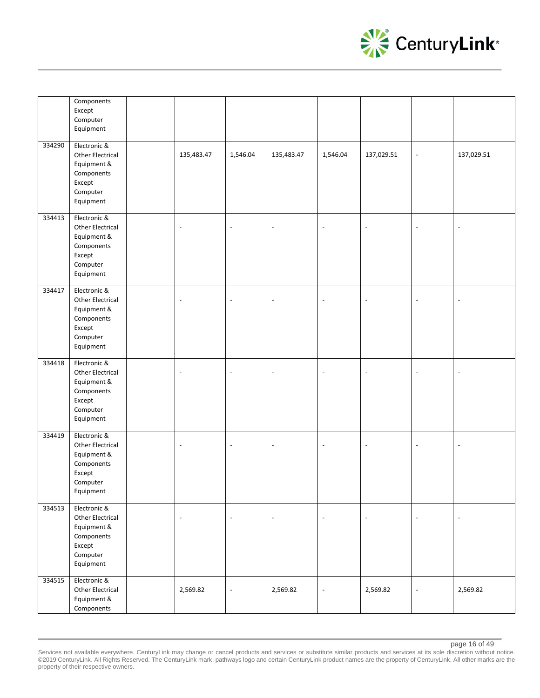

|        | Components<br>Except<br>Computer<br>Equipment                                                    |                          |                          |                          |                          |                |                          |                          |
|--------|--------------------------------------------------------------------------------------------------|--------------------------|--------------------------|--------------------------|--------------------------|----------------|--------------------------|--------------------------|
| 334290 | Electronic &<br>Other Electrical<br>Equipment &<br>Components<br>Except<br>Computer<br>Equipment | 135,483.47               | 1,546.04                 | 135,483.47               | 1,546.04                 | 137,029.51     | $\Box$                   | 137,029.51               |
| 334413 | Electronic &<br>Other Electrical<br>Equipment &<br>Components<br>Except<br>Computer<br>Equipment | $\overline{\phantom{a}}$ | $\overline{\phantom{a}}$ | $\overline{\phantom{a}}$ | $\blacksquare$           | $\blacksquare$ | $\overline{\phantom{a}}$ | $\overline{\phantom{a}}$ |
| 334417 | Electronic &<br>Other Electrical<br>Equipment &<br>Components<br>Except<br>Computer<br>Equipment | $\blacksquare$           | $\overline{a}$           | $\sim$                   | $\blacksquare$           | $\blacksquare$ | $\overline{a}$           | $\overline{\phantom{a}}$ |
| 334418 | Electronic &<br>Other Electrical<br>Equipment &<br>Components<br>Except<br>Computer<br>Equipment | $\overline{\phantom{a}}$ | $\overline{\phantom{a}}$ | $\overline{\phantom{a}}$ | $\overline{\phantom{a}}$ | $\Box$         | $\overline{\phantom{a}}$ | $\blacksquare$           |
| 334419 | Electronic &<br>Other Electrical<br>Equipment &<br>Components<br>Except<br>Computer<br>Equipment | $\overline{\phantom{a}}$ | $\overline{\phantom{a}}$ | $\overline{\phantom{a}}$ | $\overline{\phantom{a}}$ | $\blacksquare$ | $\overline{\phantom{a}}$ | $\overline{\phantom{a}}$ |
| 334513 | Electronic &<br>Other Electrical<br>Equipment &<br>Components<br>Except<br>Computer<br>Equipment | $\overline{\phantom{a}}$ | $\overline{\phantom{a}}$ | $\overline{\phantom{a}}$ | $\overline{\phantom{a}}$ | $\Box$         | $\blacksquare$           | $\overline{\phantom{a}}$ |
| 334515 | Electronic &<br>Other Electrical<br>Equipment &<br>Components                                    | 2,569.82                 | $\overline{\phantom{a}}$ | 2,569.82                 | $\overline{\phantom{a}}$ | 2,569.82       | $\blacksquare$           | 2,569.82                 |

Services not available everywhere. CenturyLink may change or cancel products and services or substitute similar products and services at its sole discretion without notice. ©2019 CenturyLink. All Rights Reserved. The CenturyLink mark, pathways logo and certain CenturyLink product names are the property of CenturyLink. All other marks are the property of their respective owners.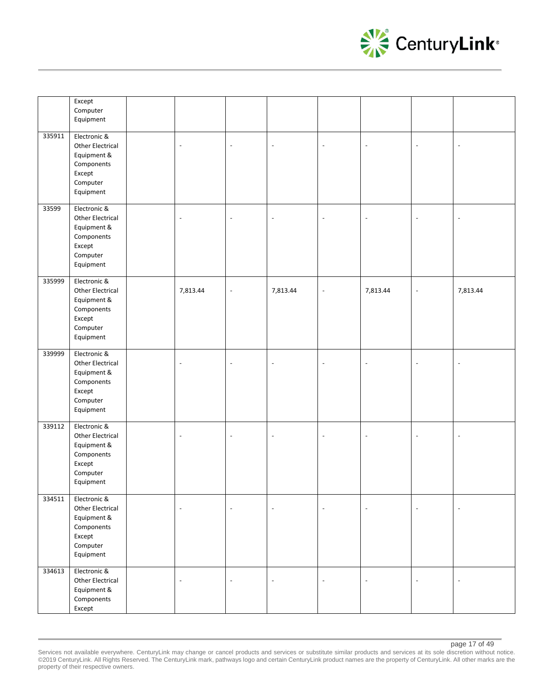

|        | Except<br>Computer<br>Equipment                                                                  |                          |                          |                          |                          |                          |                          |                          |
|--------|--------------------------------------------------------------------------------------------------|--------------------------|--------------------------|--------------------------|--------------------------|--------------------------|--------------------------|--------------------------|
| 335911 | Electronic &<br>Other Electrical<br>Equipment &<br>Components<br>Except<br>Computer<br>Equipment | $\overline{\phantom{a}}$ | $\overline{\phantom{a}}$ | $\overline{\phantom{a}}$ | $\overline{\phantom{a}}$ | $\overline{\phantom{a}}$ | $\overline{\phantom{a}}$ | $\overline{\phantom{a}}$ |
| 33599  | Electronic &<br>Other Electrical<br>Equipment &<br>Components<br>Except<br>Computer<br>Equipment | $\overline{\phantom{a}}$ | $\overline{\phantom{a}}$ | $\overline{\phantom{a}}$ | $\overline{a}$           | $\overline{\phantom{a}}$ | $\overline{\phantom{a}}$ | $\overline{\phantom{a}}$ |
| 335999 | Electronic &<br>Other Electrical<br>Equipment &<br>Components<br>Except<br>Computer<br>Equipment | 7,813.44                 | $\overline{\phantom{a}}$ | 7,813.44                 | $\blacksquare$           | 7,813.44                 | $\blacksquare$           | 7,813.44                 |
| 339999 | Electronic &<br>Other Electrical<br>Equipment &<br>Components<br>Except<br>Computer<br>Equipment | $\overline{\phantom{a}}$ | $\overline{\phantom{a}}$ | $\overline{\phantom{a}}$ | $\overline{\phantom{a}}$ | $\overline{\phantom{a}}$ | $\overline{\phantom{a}}$ | $\overline{\phantom{a}}$ |
| 339112 | Electronic &<br>Other Electrical<br>Equipment &<br>Components<br>Except<br>Computer<br>Equipment | $\overline{\phantom{a}}$ | $\overline{\phantom{a}}$ | $\overline{\phantom{a}}$ | $\overline{\phantom{a}}$ | $\overline{\phantom{a}}$ | $\blacksquare$           | $\overline{\phantom{a}}$ |
| 334511 | Electronic &<br>Other Electrical<br>Equipment &<br>Components<br>Except<br>Computer<br>Equipment | $\overline{\phantom{a}}$ | $\overline{\phantom{a}}$ | $\overline{\phantom{a}}$ | $\overline{\phantom{a}}$ | $\overline{\phantom{a}}$ | $\overline{\phantom{a}}$ | $\overline{\phantom{a}}$ |
| 334613 | Electronic &<br>Other Electrical<br>Equipment &<br>Components<br>Except                          | $\blacksquare$           | $\Box$                   | $\blacksquare$           | $\overline{a}$           | $\bar{a}$                | $\overline{a}$           | $\overline{a}$           |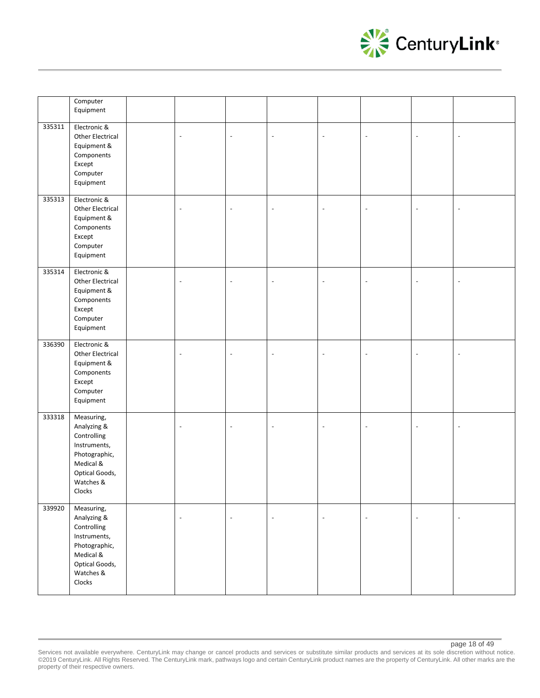

|        | Computer<br>Equipment                                                                                                           |                          |                          |                          |                          |                          |                          |                          |
|--------|---------------------------------------------------------------------------------------------------------------------------------|--------------------------|--------------------------|--------------------------|--------------------------|--------------------------|--------------------------|--------------------------|
| 335311 | Electronic &<br>Other Electrical<br>Equipment &<br>Components<br>Except<br>Computer<br>Equipment                                | $\blacksquare$           | $\overline{a}$           | $\overline{\phantom{a}}$ | $\blacksquare$           | $\blacksquare$           | $\overline{a}$           | $\sim$                   |
| 335313 | Electronic &<br>Other Electrical<br>Equipment &<br>Components<br>Except<br>Computer<br>Equipment                                | $\overline{\phantom{a}}$ | $\overline{\phantom{a}}$ | $\sim$                   | $\blacksquare$           | $\overline{\phantom{a}}$ | $\overline{a}$           | $\sim$                   |
| 335314 | Electronic &<br>Other Electrical<br>Equipment &<br>Components<br>Except<br>Computer<br>Equipment                                | $\overline{\phantom{a}}$ | $\overline{\phantom{a}}$ | $\mathbb{Z}$             | $\overline{\phantom{a}}$ | $\overline{\phantom{a}}$ | $\overline{\phantom{a}}$ | $\overline{\phantom{a}}$ |
| 336390 | Electronic &<br>Other Electrical<br>Equipment &<br>Components<br>Except<br>Computer<br>Equipment                                | $\overline{\phantom{a}}$ | $\overline{\phantom{a}}$ | $\overline{\phantom{a}}$ | $\overline{\phantom{a}}$ | $\overline{\phantom{a}}$ | $\overline{\phantom{a}}$ | $\overline{\phantom{a}}$ |
| 333318 | Measuring,<br>Analyzing &<br>Controlling<br>Instruments,<br>Photographic,<br>Medical &<br>Optical Goods,<br>Watches &<br>Clocks | $\blacksquare$           | $\blacksquare$           | $\overline{\phantom{a}}$ | $\blacksquare$           | $\overline{\phantom{a}}$ | $\overline{a}$           | $\sim$                   |
| 339920 | Measuring,<br>Analyzing &<br>Controlling<br>Instruments,<br>Photographic,<br>Medical &<br>Optical Goods,<br>Watches &<br>Clocks | $\overline{\phantom{a}}$ | $\overline{\phantom{a}}$ | $\overline{\phantom{a}}$ | $\overline{\phantom{a}}$ | $\blacksquare$           | $\overline{\phantom{a}}$ | $\overline{\phantom{a}}$ |

Services not available everywhere. CenturyLink may change or cancel products and services or substitute similar products and services at its sole discretion without notice. ©2019 CenturyLink. All Rights Reserved. The CenturyLink mark, pathways logo and certain CenturyLink product names are the property of CenturyLink. All other marks are the property of their respective owners.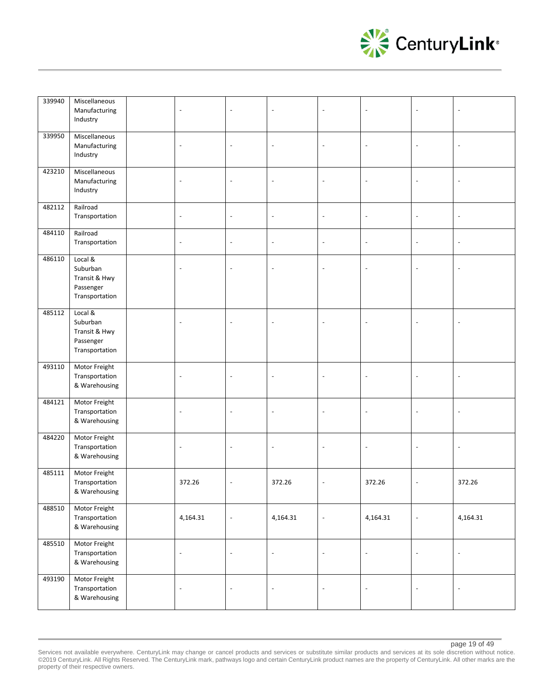

| 339940 | Miscellaneous<br>Manufacturing<br>Industry                          | $\sim$                   | $\overline{a}$           | $\sim$                   | $\overline{a}$           | $\sim$                   | $\overline{\phantom{a}}$ |                          |
|--------|---------------------------------------------------------------------|--------------------------|--------------------------|--------------------------|--------------------------|--------------------------|--------------------------|--------------------------|
| 339950 | Miscellaneous<br>Manufacturing<br>Industry                          | $\overline{\phantom{a}}$ | $\overline{\phantom{a}}$ | $\overline{\phantom{a}}$ | $\overline{\phantom{a}}$ | $\overline{\phantom{a}}$ | $\overline{\phantom{a}}$ | $\overline{\phantom{a}}$ |
| 423210 | Miscellaneous<br>Manufacturing<br>Industry                          | $\sim$                   | $\overline{a}$           | $\overline{\phantom{a}}$ | $\overline{a}$           | $\overline{a}$           | $\overline{a}$           |                          |
| 482112 | Railroad<br>Transportation                                          | $\overline{\phantom{a}}$ | $\overline{a}$           | $\overline{\phantom{a}}$ | $\overline{\phantom{a}}$ | $\overline{\phantom{a}}$ | $\overline{a}$           |                          |
| 484110 | Railroad<br>Transportation                                          | $\overline{\phantom{a}}$ | $\overline{\phantom{a}}$ | $\overline{\phantom{a}}$ | $\overline{\phantom{a}}$ | $\overline{\phantom{a}}$ | $\overline{\phantom{a}}$ | $\blacksquare$           |
| 486110 | Local &<br>Suburban<br>Transit & Hwy<br>Passenger<br>Transportation | $\blacksquare$           | $\overline{a}$           | $\sim$                   | $\overline{a}$           | $\overline{\phantom{a}}$ | $\overline{a}$           |                          |
| 485112 | Local &<br>Suburban<br>Transit & Hwy<br>Passenger<br>Transportation | $\sim$                   | $\overline{a}$           | $\overline{a}$           |                          | $\overline{\phantom{a}}$ | Ĭ.                       |                          |
| 493110 | Motor Freight<br>Transportation<br>& Warehousing                    | $\sim$                   | $\overline{\phantom{a}}$ | $\overline{\phantom{a}}$ |                          | $\sim$                   | $\overline{a}$           |                          |
| 484121 | Motor Freight<br>Transportation<br>& Warehousing                    | $\overline{\phantom{a}}$ | $\overline{\phantom{a}}$ | $\overline{\phantom{a}}$ | $\blacksquare$           | $\overline{\phantom{a}}$ | $\overline{\phantom{a}}$ | $\overline{\phantom{a}}$ |
| 484220 | Motor Freight<br>Transportation<br>& Warehousing                    | $\overline{\phantom{a}}$ | $\overline{\phantom{a}}$ | $\overline{\phantom{a}}$ | $\sim$                   | $\overline{\phantom{a}}$ | $\overline{\phantom{a}}$ | $\overline{\phantom{a}}$ |
| 485111 | Motor Freight<br>Transportation<br>& Warehousing                    | 372.26                   | $\overline{\phantom{a}}$ | 372.26                   | $\overline{\phantom{a}}$ | 372.26                   | $\overline{\phantom{a}}$ | 372.26                   |
| 488510 | Motor Freight<br>Transportation<br>& Warehousing                    | 4,164.31                 | $\overline{\phantom{a}}$ | 4,164.31                 | $\blacksquare$           | 4,164.31                 | $\overline{\phantom{a}}$ | 4,164.31                 |
| 485510 | Motor Freight<br>Transportation<br>& Warehousing                    | $\Box$                   | $\overline{\phantom{a}}$ | $\overline{\phantom{a}}$ | $\overline{\phantom{a}}$ | $\Box$                   | $\overline{\phantom{a}}$ | $\blacksquare$           |
| 493190 | Motor Freight<br>Transportation<br>& Warehousing                    | $\overline{\phantom{a}}$ | $\overline{\phantom{a}}$ | $\overline{\phantom{a}}$ | $\blacksquare$           | $\blacksquare$           | $\overline{\phantom{a}}$ | $\overline{\phantom{a}}$ |

Services not available everywhere. CenturyLink may change or cancel products and services or substitute similar products and services at its sole discretion without notice. ©2019 CenturyLink. All Rights Reserved. The CenturyLink mark, pathways logo and certain CenturyLink product names are the property of CenturyLink. All other marks are the property of their respective owners.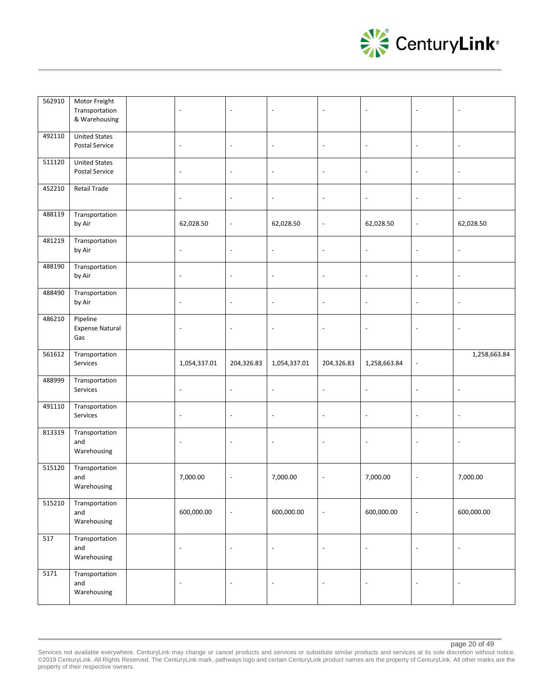

| 562910 | Motor Freight<br>Transportation<br>& Warehousing | $\overline{\phantom{a}}$ | $\overline{\phantom{a}}$ | $\overline{\phantom{a}}$ | $\overline{\phantom{a}}$ | $\overline{\phantom{a}}$ | $\overline{\phantom{a}}$ | $\blacksquare$           |
|--------|--------------------------------------------------|--------------------------|--------------------------|--------------------------|--------------------------|--------------------------|--------------------------|--------------------------|
| 492110 | <b>United States</b><br>Postal Service           | $\blacksquare$           | $\overline{\phantom{a}}$ | $\overline{\phantom{a}}$ | $\overline{\phantom{a}}$ | $\bar{\phantom{a}}$      | $\blacksquare$           | $\overline{\phantom{a}}$ |
| 511120 | <b>United States</b><br>Postal Service           | $\overline{\phantom{a}}$ | $\overline{\phantom{a}}$ | $\overline{\phantom{a}}$ | $\overline{\phantom{a}}$ | $\overline{\phantom{a}}$ | $\overline{\phantom{a}}$ | $\overline{\phantom{a}}$ |
| 452210 | <b>Retail Trade</b>                              | $\overline{\phantom{a}}$ | $\overline{\phantom{a}}$ | $\overline{\phantom{a}}$ | $\overline{\phantom{a}}$ | $\overline{\phantom{a}}$ | $\overline{\phantom{a}}$ | $\overline{\phantom{a}}$ |
| 488119 | Transportation<br>by Air                         | 62,028.50                | $\overline{\phantom{a}}$ | 62,028.50                | $\overline{\phantom{a}}$ | 62,028.50                | $\overline{\phantom{a}}$ | 62,028.50                |
| 481219 | Transportation<br>by Air                         | $\overline{\phantom{a}}$ | $\overline{\phantom{a}}$ | $\overline{\phantom{a}}$ | $\overline{\phantom{a}}$ | $\overline{\phantom{a}}$ | $\overline{\phantom{a}}$ | $\blacksquare$           |
| 488190 | Transportation<br>by Air                         | $\overline{\phantom{a}}$ | $\frac{1}{2}$            | $\overline{\phantom{a}}$ | $\sim$                   | $\overline{\phantom{a}}$ | $\overline{\phantom{a}}$ | $\overline{\phantom{a}}$ |
| 488490 | Transportation<br>by Air                         | $\overline{\phantom{a}}$ | $\overline{\phantom{a}}$ | $\overline{\phantom{a}}$ | $\overline{\phantom{a}}$ | $\overline{\phantom{a}}$ | $\overline{\phantom{a}}$ | $\overline{\phantom{a}}$ |
| 486210 | Pipeline<br><b>Expense Natural</b><br>Gas        | $\blacksquare$           | $\overline{\phantom{a}}$ | $\overline{\phantom{a}}$ | $\overline{\phantom{a}}$ | $\overline{\phantom{a}}$ | $\blacksquare$           | $\overline{\phantom{a}}$ |
| 561612 | Transportation                                   |                          |                          |                          |                          |                          |                          | 1,258,663.84             |
|        | Services                                         | 1,054,337.01             | 204,326.83               | 1,054,337.01             | 204,326.83               | 1,258,663.84             | $\blacksquare$           |                          |
| 488999 | Transportation<br>Services                       | $\blacksquare$           | $\overline{\phantom{a}}$ | $\overline{\phantom{a}}$ | $\overline{\phantom{a}}$ | $\Box$                   | $\blacksquare$           | $\overline{\phantom{a}}$ |
| 491110 | Transportation<br>Services                       | $\blacksquare$           | $\overline{\phantom{a}}$ | $\overline{\phantom{a}}$ | $\overline{\phantom{a}}$ | $\overline{\phantom{a}}$ | $\blacksquare$           | $\overline{\phantom{a}}$ |
| 813319 | Transportation<br>and<br>Warehousing             | $\overline{\phantom{a}}$ | $\overline{\phantom{a}}$ | $\blacksquare$           | $\overline{\phantom{a}}$ | $\overline{\phantom{a}}$ | $\blacksquare$           | $\overline{\phantom{a}}$ |
| 515120 | Transportation<br>and<br>Warehousing             | 7,000.00                 | $\overline{\phantom{a}}$ | 7,000.00                 | $\overline{\phantom{a}}$ | 7,000.00                 | $\overline{\phantom{a}}$ | 7,000.00                 |
| 515210 | Transportation<br>and<br>Warehousing             | 600,000.00               | $\overline{\phantom{a}}$ | 600,000.00               | $\overline{\phantom{a}}$ | 600,000.00               | $\overline{\phantom{a}}$ | 600,000.00               |
| 517    | Transportation<br>and<br>Warehousing             | $\blacksquare$           | $\overline{\phantom{a}}$ | $\overline{\phantom{a}}$ | $\overline{\phantom{a}}$ | $\overline{\phantom{a}}$ | $\blacksquare$           | $\overline{\phantom{a}}$ |

page 20 of 49

Services not available everywhere. CenturyLink may change or cancel products and services or substitute similar products and services at its sole discretion without notice. ©2019 CenturyLink. All Rights Reserved. The CenturyLink mark, pathways logo and certain CenturyLink product names are the property of CenturyLink. All other marks are the property of their respective owners.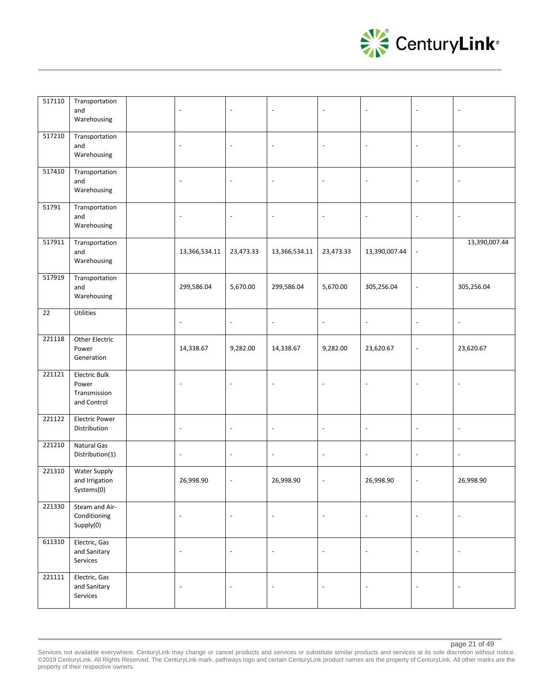

| 517110 | Transportation<br>and<br>Warehousing                         | $\overline{\phantom{a}}$ | $\sim$                   | $\overline{a}$           |                          |                          | Ĭ.                       |                          |
|--------|--------------------------------------------------------------|--------------------------|--------------------------|--------------------------|--------------------------|--------------------------|--------------------------|--------------------------|
| 517210 | Transportation<br>and<br>Warehousing                         | $\overline{\phantom{a}}$ | $\overline{\phantom{a}}$ | $\overline{\phantom{a}}$ | $\overline{\phantom{a}}$ | $\overline{\phantom{a}}$ | $\overline{\phantom{a}}$ | $\overline{\phantom{a}}$ |
| 517410 | Transportation<br>and<br>Warehousing                         | $\overline{\phantom{a}}$ | $\overline{\phantom{a}}$ | $\overline{\phantom{a}}$ | $\overline{\phantom{a}}$ | $\overline{\phantom{a}}$ | $\overline{\phantom{a}}$ | $\overline{\phantom{a}}$ |
| 51791  | Transportation<br>and<br>Warehousing                         | $\blacksquare$           | $\overline{a}$           | $\overline{a}$           | $\overline{a}$           | $\ddot{\phantom{a}}$     | $\overline{a}$           |                          |
| 517911 | Transportation<br>and<br>Warehousing                         | 13,366,534.11            | 23,473.33                | 13,366,534.11            | 23,473.33                | 13,390,007.44            | $\overline{\phantom{a}}$ | 13,390,007.44            |
| 517919 | Transportation<br>and<br>Warehousing                         | 299,586.04               | 5,670.00                 | 299,586.04               | 5,670.00                 | 305,256.04               | $\overline{\phantom{a}}$ | 305,256.04               |
| 22     | Utilities                                                    | $\overline{\phantom{a}}$ | $\overline{\phantom{a}}$ | $\overline{\phantom{a}}$ | $\Box$                   | $\ddot{\phantom{a}}$     | $\overline{\phantom{a}}$ | $\blacksquare$           |
| 221118 | Other Electric<br>Power<br>Generation                        | 14,338.67                | 9,282.00                 | 14,338.67                | 9,282.00                 | 23,620.67                | $\overline{\phantom{a}}$ | 23,620.67                |
| 221121 | <b>Electric Bulk</b><br>Power<br>Transmission<br>and Control | $\overline{\phantom{a}}$ | $\overline{\phantom{a}}$ | $\overline{\phantom{a}}$ | $\sim$                   | $\overline{\phantom{a}}$ | $\overline{\phantom{a}}$ | $\overline{\phantom{a}}$ |
| 221122 | <b>Electric Power</b><br>Distribution                        | $\overline{\phantom{a}}$ | $\overline{\phantom{a}}$ | $\overline{\phantom{a}}$ | $\sim$                   | $\overline{\phantom{a}}$ | $\overline{\phantom{a}}$ | $\overline{\phantom{a}}$ |
| 221210 | Natural Gas<br>Distribution(1)                               | $\overline{\phantom{a}}$ | $\overline{\phantom{a}}$ | $\overline{\phantom{a}}$ | $\Box$                   | $\blacksquare$           | $\overline{\phantom{a}}$ | $\blacksquare$           |
| 221310 | Water Supply<br>and Irrigation<br>Systems(0)                 | 26,998.90                | $\blacksquare$           | 26,998.90                | $\overline{\phantom{a}}$ | 26,998.90                | $\overline{\phantom{a}}$ | 26,998.90                |
| 221330 | Steam and Air-<br>Conditioning<br>Supply(0)                  | $\overline{\phantom{a}}$ | $\overline{\phantom{a}}$ | $\overline{\phantom{a}}$ | $\overline{\phantom{a}}$ | $\Box$                   | $\Box$                   | $\overline{\phantom{a}}$ |
| 611310 | Electric, Gas<br>and Sanitary<br>Services                    | $\overline{\phantom{a}}$ | $\overline{\phantom{a}}$ | $\overline{\phantom{a}}$ | $\blacksquare$           | $\overline{\phantom{a}}$ | $\overline{\phantom{a}}$ | $\overline{\phantom{a}}$ |
| 221111 | Electric, Gas<br>and Sanitary<br>Services                    | $\overline{\phantom{a}}$ | $\overline{\phantom{a}}$ | $\Box$                   | $\overline{\phantom{a}}$ | $\blacksquare$           | $\overline{\phantom{a}}$ | $\overline{\phantom{a}}$ |

Services not available everywhere. CenturyLink may change or cancel products and services or substitute similar products and services at its sole discretion without notice. ©2019 CenturyLink. All Rights Reserved. The CenturyLink mark, pathways logo and certain CenturyLink product names are the property of CenturyLink. All other marks are the property of their respective owners.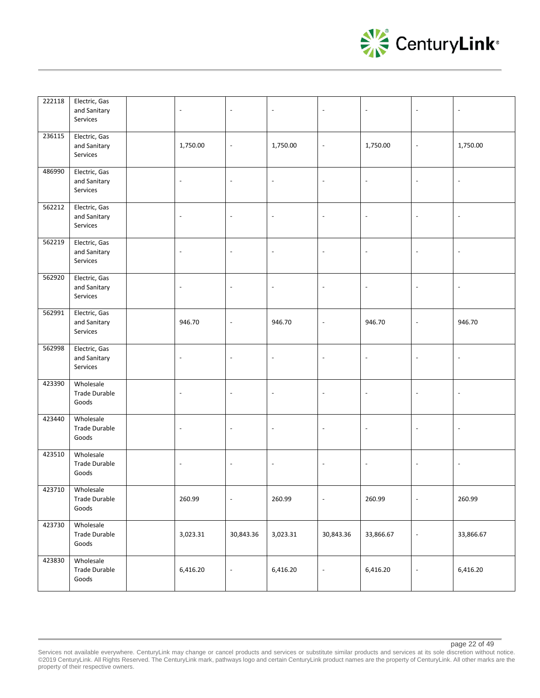

| 222118 | Electric, Gas<br>and Sanitary<br>Services  | $\overline{\phantom{a}}$ | $\overline{\phantom{a}}$ | $\overline{\phantom{a}}$ | $\blacksquare$           | $\overline{\phantom{a}}$ | $\blacksquare$           | $\overline{\phantom{a}}$ |
|--------|--------------------------------------------|--------------------------|--------------------------|--------------------------|--------------------------|--------------------------|--------------------------|--------------------------|
| 236115 | Electric, Gas<br>and Sanitary<br>Services  | 1,750.00                 | $\blacksquare$           | 1,750.00                 | $\overline{\phantom{a}}$ | 1,750.00                 | $\overline{\phantom{a}}$ | 1,750.00                 |
| 486990 | Electric, Gas<br>and Sanitary<br>Services  | $\overline{\phantom{a}}$ | $\overline{a}$           | $\overline{\phantom{a}}$ | $\sim$                   | $\overline{\phantom{a}}$ | $\overline{\phantom{a}}$ | $\overline{\phantom{a}}$ |
| 562212 | Electric, Gas<br>and Sanitary<br>Services  | $\overline{\phantom{a}}$ | $\overline{\phantom{a}}$ | $\overline{\phantom{a}}$ | $\overline{\phantom{a}}$ | $\Box$                   | $\blacksquare$           | $\overline{\phantom{a}}$ |
| 562219 | Electric, Gas<br>and Sanitary<br>Services  | $\overline{\phantom{a}}$ | $\blacksquare$           | $\overline{\phantom{a}}$ | $\overline{\phantom{a}}$ | $\blacksquare$           | $\overline{\phantom{a}}$ | $\overline{\phantom{a}}$ |
| 562920 | Electric, Gas<br>and Sanitary<br>Services  | $\overline{\phantom{a}}$ | $\blacksquare$           | $\overline{\phantom{a}}$ | $\blacksquare$           | $\overline{\phantom{a}}$ | $\overline{\phantom{a}}$ | $\overline{\phantom{a}}$ |
| 562991 | Electric, Gas<br>and Sanitary<br>Services  | 946.70                   | $\Box$                   | 946.70                   | $\overline{\phantom{a}}$ | 946.70                   | $\blacksquare$           | 946.70                   |
| 562998 | Electric, Gas<br>and Sanitary<br>Services  | $\overline{\phantom{a}}$ | $\overline{\phantom{a}}$ | $\overline{\phantom{a}}$ | $\overline{\phantom{a}}$ | $\blacksquare$           | $\overline{\phantom{a}}$ | $\overline{\phantom{a}}$ |
| 423390 | Wholesale<br><b>Trade Durable</b><br>Goods | $\overline{a}$           | $\overline{a}$           | $\overline{\phantom{a}}$ | $\blacksquare$           | $\overline{\phantom{a}}$ | $\overline{\phantom{a}}$ | $\overline{\phantom{a}}$ |
| 423440 | Wholesale<br><b>Trade Durable</b><br>Goods | $\overline{a}$           | $\overline{\phantom{a}}$ | $\overline{\phantom{a}}$ | $\overline{\phantom{a}}$ | $\overline{\phantom{a}}$ | $\overline{\phantom{a}}$ | $\overline{\phantom{a}}$ |
| 423510 | Wholesale<br><b>Trade Durable</b><br>Goods | $\overline{\phantom{a}}$ | $\overline{\phantom{a}}$ | $\overline{\phantom{a}}$ | $\overline{\phantom{a}}$ | $\blacksquare$           | $\overline{\phantom{a}}$ | $\overline{\phantom{a}}$ |
| 423710 | Wholesale<br>Trade Durable<br>Goods        | 260.99                   | $\blacksquare$           | 260.99                   | $\overline{\phantom{a}}$ | 260.99                   | $\overline{\phantom{a}}$ | 260.99                   |
| 423730 | Wholesale<br><b>Trade Durable</b><br>Goods | 3,023.31                 | 30,843.36                | 3,023.31                 | 30,843.36                | 33,866.67                | $\blacksquare$           | 33,866.67                |
| 423830 | Wholesale<br>Trade Durable<br>Goods        | 6,416.20                 | $\overline{\phantom{a}}$ | 6,416.20                 | $\blacksquare$           | 6,416.20                 | $\overline{\phantom{a}}$ | 6,416.20                 |

Services not available everywhere. CenturyLink may change or cancel products and services or substitute similar products and services at its sole discretion without notice. ©2019 CenturyLink. All Rights Reserved. The CenturyLink mark, pathways logo and certain CenturyLink product names are the property of CenturyLink. All other marks are the property of their respective owners.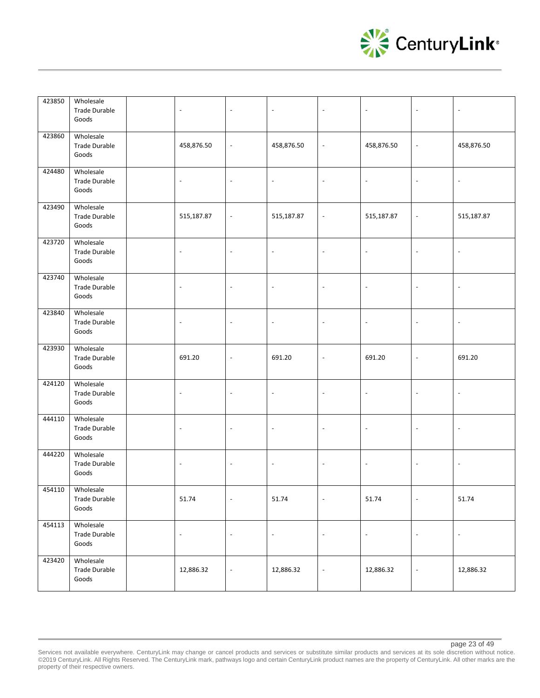

| 423850 | Wholesale<br><b>Trade Durable</b><br>Goods | $\overline{\phantom{a}}$ | $\overline{\phantom{a}}$ | $\overline{\phantom{a}}$ | $\blacksquare$           | $\overline{\phantom{a}}$ | $\blacksquare$           | $\blacksquare$           |
|--------|--------------------------------------------|--------------------------|--------------------------|--------------------------|--------------------------|--------------------------|--------------------------|--------------------------|
| 423860 | Wholesale<br><b>Trade Durable</b><br>Goods | 458,876.50               | $\overline{\phantom{a}}$ | 458,876.50               | $\overline{\phantom{a}}$ | 458,876.50               | $\overline{\phantom{a}}$ | 458,876.50               |
| 424480 | Wholesale<br><b>Trade Durable</b><br>Goods | $\overline{\phantom{a}}$ | $\overline{\phantom{a}}$ | $\overline{\phantom{a}}$ | $\blacksquare$           | $\overline{\phantom{a}}$ | $\overline{\phantom{a}}$ | $\overline{\phantom{a}}$ |
| 423490 | Wholesale<br><b>Trade Durable</b><br>Goods | 515,187.87               | $\overline{\phantom{a}}$ | 515,187.87               | $\overline{\phantom{a}}$ | 515,187.87               | $\overline{\phantom{a}}$ | 515,187.87               |
| 423720 | Wholesale<br><b>Trade Durable</b><br>Goods | $\overline{\phantom{a}}$ | $\overline{\phantom{a}}$ | $\overline{\phantom{a}}$ | $\overline{\phantom{a}}$ | $\overline{\phantom{a}}$ | $\overline{\phantom{a}}$ | $\overline{\phantom{a}}$ |
| 423740 | Wholesale<br><b>Trade Durable</b><br>Goods | $\overline{\phantom{a}}$ | $\overline{\phantom{a}}$ | $\overline{\phantom{a}}$ | $\sim$                   | $\overline{\phantom{a}}$ | $\overline{\phantom{a}}$ | $\overline{\phantom{a}}$ |
| 423840 | Wholesale<br><b>Trade Durable</b><br>Goods | $\overline{a}$           | $\overline{\phantom{a}}$ | $\overline{\phantom{a}}$ | $\overline{\phantom{a}}$ | $\overline{\phantom{a}}$ | $\overline{\phantom{a}}$ | $\overline{\phantom{a}}$ |
| 423930 | Wholesale<br><b>Trade Durable</b><br>Goods | 691.20                   | $\overline{\phantom{a}}$ | 691.20                   | $\overline{\phantom{a}}$ | 691.20                   | $\overline{\phantom{a}}$ | 691.20                   |
| 424120 | Wholesale<br><b>Trade Durable</b><br>Goods | $\overline{\phantom{a}}$ | $\overline{\phantom{a}}$ | $\overline{\phantom{a}}$ | $\sim$                   | $\overline{\phantom{a}}$ | $\overline{\phantom{a}}$ | $\overline{\phantom{a}}$ |
| 444110 | Wholesale<br><b>Trade Durable</b><br>Goods | $\overline{a}$           | $\blacksquare$           | $\sim$                   | $\blacksquare$           | $\blacksquare$           | $\Box$                   | $\overline{\phantom{a}}$ |
| 444220 | Wholesale<br><b>Trade Durable</b><br>Goods | $\overline{\phantom{a}}$ | $\blacksquare$           | $\overline{\phantom{a}}$ | $\overline{\phantom{a}}$ | $\overline{\phantom{a}}$ | $\blacksquare$           | $\overline{\phantom{a}}$ |
| 454110 | Wholesale<br><b>Trade Durable</b><br>Goods | 51.74                    | $\overline{\phantom{a}}$ | 51.74                    | $\overline{\phantom{a}}$ | 51.74                    | $\overline{\phantom{a}}$ | 51.74                    |
| 454113 | Wholesale<br>Trade Durable<br>Goods        | $\overline{\phantom{a}}$ | $\Box$                   | $\overline{\phantom{a}}$ | $\Box$                   | $\Box$                   | $\overline{\phantom{a}}$ | $\Box$                   |
| 423420 | Wholesale<br><b>Trade Durable</b><br>Goods | 12,886.32                | $\overline{\phantom{a}}$ | 12,886.32                | $\overline{\phantom{a}}$ | 12,886.32                | $\overline{\phantom{a}}$ | 12,886.32                |

Services not available everywhere. CenturyLink may change or cancel products and services or substitute similar products and services at its sole discretion without notice. ©2019 CenturyLink. All Rights Reserved. The CenturyLink mark, pathways logo and certain CenturyLink product names are the property of CenturyLink. All other marks are the property of their respective owners.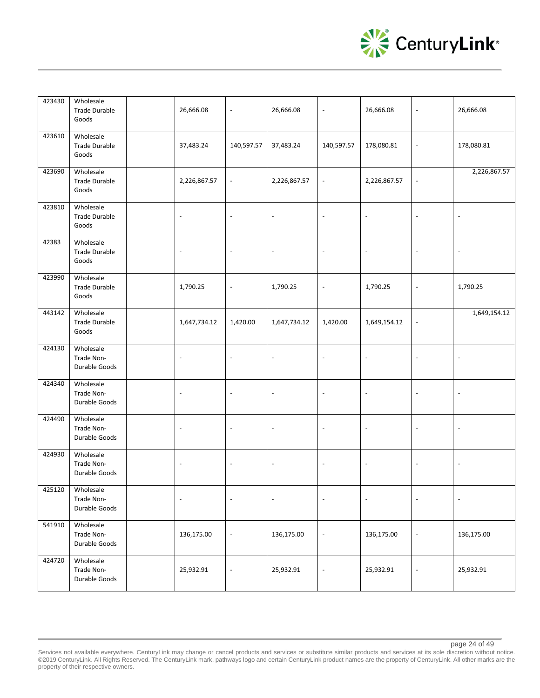

| 423430 | Wholesale<br><b>Trade Durable</b><br>Goods | 26,666.08                | $\blacksquare$           | 26,666.08                | $\overline{\phantom{a}}$ | 26,666.08                | $\overline{\phantom{a}}$ | 26,666.08                |
|--------|--------------------------------------------|--------------------------|--------------------------|--------------------------|--------------------------|--------------------------|--------------------------|--------------------------|
| 423610 | Wholesale<br><b>Trade Durable</b><br>Goods | 37,483.24                | 140,597.57               | 37,483.24                | 140,597.57               | 178,080.81               | $\overline{\phantom{a}}$ | 178,080.81               |
| 423690 | Wholesale<br><b>Trade Durable</b><br>Goods | 2,226,867.57             | $\overline{\phantom{a}}$ | 2,226,867.57             | $\overline{\phantom{a}}$ | 2,226,867.57             | $\blacksquare$           | 2,226,867.57             |
| 423810 | Wholesale<br><b>Trade Durable</b><br>Goods | $\overline{a}$           | $\overline{\phantom{a}}$ | $\overline{\phantom{a}}$ | $\blacksquare$           | $\overline{a}$           | $\overline{\phantom{a}}$ | $\overline{\phantom{a}}$ |
| 42383  | Wholesale<br><b>Trade Durable</b><br>Goods | $\overline{\phantom{a}}$ | $\overline{\phantom{a}}$ | $\overline{\phantom{a}}$ | $\overline{\phantom{a}}$ | $\blacksquare$           | $\blacksquare$           | $\overline{\phantom{a}}$ |
| 423990 | Wholesale<br><b>Trade Durable</b><br>Goods | 1,790.25                 | $\overline{\phantom{a}}$ | 1,790.25                 | $\overline{\phantom{a}}$ | 1,790.25                 | $\blacksquare$           | 1,790.25                 |
| 443142 | Wholesale<br><b>Trade Durable</b><br>Goods | 1,647,734.12             | 1,420.00                 | 1,647,734.12             | 1,420.00                 | 1,649,154.12             | $\overline{\phantom{a}}$ | 1,649,154.12             |
| 424130 | Wholesale<br>Trade Non-<br>Durable Goods   | $\overline{\phantom{a}}$ | $\overline{\phantom{a}}$ | $\blacksquare$           | $\overline{\phantom{a}}$ | $\overline{\phantom{a}}$ | $\blacksquare$           | $\overline{\phantom{a}}$ |
| 424340 | Wholesale<br>Trade Non-<br>Durable Goods   | $\overline{a}$           | $\overline{\phantom{a}}$ | $\Box$                   | $\blacksquare$           | $\overline{\phantom{a}}$ | $\sim$                   | $\overline{\phantom{a}}$ |
| 424490 | Wholesale<br>Trade Non-<br>Durable Goods   | $\overline{\phantom{a}}$ | $\overline{\phantom{a}}$ | $\overline{\phantom{a}}$ | $\overline{\phantom{a}}$ | $\overline{\phantom{a}}$ | $\overline{\phantom{a}}$ | $\overline{\phantom{a}}$ |
| 424930 | Wholesale<br>Trade Non-<br>Durable Goods   | $\overline{\phantom{a}}$ | $\overline{\phantom{a}}$ | $\blacksquare$           | $\overline{\phantom{a}}$ | $\overline{\phantom{a}}$ | $\blacksquare$           | $\overline{\phantom{a}}$ |
| 425120 | Wholesale<br>Trade Non-<br>Durable Goods   | $\overline{\phantom{a}}$ | $\overline{\phantom{a}}$ | $\overline{\phantom{a}}$ | $\overline{\phantom{a}}$ | $\overline{\phantom{a}}$ | $\overline{\phantom{a}}$ | $\blacksquare$           |
| 541910 | Wholesale<br>Trade Non-<br>Durable Goods   | 136,175.00               | $\blacksquare$           | 136,175.00               | $\overline{\phantom{a}}$ | 136,175.00               | $\overline{\phantom{a}}$ | 136,175.00               |
| 424720 | Wholesale<br>Trade Non-<br>Durable Goods   | 25,932.91                | $\overline{\phantom{a}}$ | 25,932.91                | $\overline{\phantom{a}}$ | 25,932.91                | $\blacksquare$           | 25,932.91                |

Services not available everywhere. CenturyLink may change or cancel products and services or substitute similar products and services at its sole discretion without notice. ©2019 CenturyLink. All Rights Reserved. The CenturyLink mark, pathways logo and certain CenturyLink product names are the property of CenturyLink. All other marks are the property of their respective owners.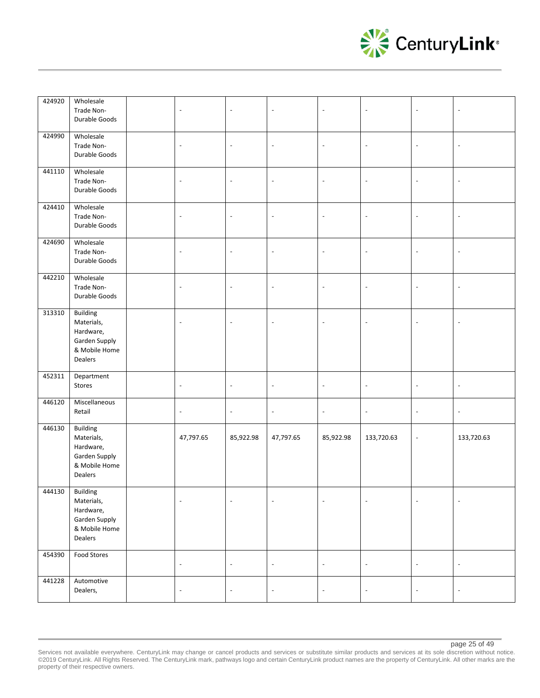

| 424920          | Wholesale<br>Trade Non-<br>Durable Goods                                                | $\blacksquare$           | $\sim$                   | $\Box$                   | $\overline{a}$           | $\ddot{\phantom{a}}$     | $\overline{\phantom{a}}$ |                          |
|-----------------|-----------------------------------------------------------------------------------------|--------------------------|--------------------------|--------------------------|--------------------------|--------------------------|--------------------------|--------------------------|
| 424990          | Wholesale<br>Trade Non-<br>Durable Goods                                                | $\blacksquare$           | $\overline{\phantom{a}}$ | $\overline{\phantom{a}}$ | $\blacksquare$           | $\blacksquare$           | $\overline{\phantom{a}}$ | $\overline{\phantom{a}}$ |
| 441110          | Wholesale<br>Trade Non-<br>Durable Goods                                                | $\overline{\phantom{a}}$ | $\overline{\phantom{a}}$ | $\overline{\phantom{a}}$ | $\blacksquare$           | $\overline{\phantom{a}}$ | $\overline{\phantom{a}}$ | $\blacksquare$           |
| 424410          | Wholesale<br>Trade Non-<br>Durable Goods                                                | $\overline{\phantom{a}}$ | $\overline{\phantom{a}}$ | $\overline{\phantom{a}}$ | $\sim$                   | $\overline{\phantom{a}}$ | $\overline{\phantom{a}}$ |                          |
| 424690          | Wholesale<br>Trade Non-<br>Durable Goods                                                | $\overline{\phantom{a}}$ | $\overline{\phantom{a}}$ | $\overline{\phantom{a}}$ | $\overline{\phantom{a}}$ | $\blacksquare$           | $\overline{\phantom{a}}$ | $\overline{\phantom{a}}$ |
| 442210          | Wholesale<br>Trade Non-<br>Durable Goods                                                | $\overline{\phantom{a}}$ | $\overline{\phantom{a}}$ | $\overline{\phantom{a}}$ | $\blacksquare$           | $\blacksquare$           | $\overline{\phantom{a}}$ | $\overline{\phantom{a}}$ |
| 313310          | <b>Building</b><br>Materials,<br>Hardware,<br>Garden Supply<br>& Mobile Home<br>Dealers | $\overline{\phantom{a}}$ | $\overline{\phantom{a}}$ | $\overline{\phantom{a}}$ |                          | $\overline{\phantom{a}}$ | $\overline{\phantom{a}}$ |                          |
| 452311          | Department<br>Stores                                                                    | $\overline{\phantom{a}}$ | $\overline{\phantom{a}}$ | $\overline{\phantom{a}}$ | $\overline{\phantom{a}}$ | $\overline{\phantom{a}}$ | $\overline{\phantom{a}}$ | $\overline{\phantom{a}}$ |
| 446120          | Miscellaneous<br>Retail                                                                 | $\Box$                   | $\blacksquare$           | $\blacksquare$           | $\Box$                   | $\overline{\phantom{a}}$ | $\blacksquare$           | $\blacksquare$           |
| 446130          | Building<br>Materials,<br>Hardware,<br>Garden Supply<br>& Mobile Home<br>Dealers        | 47,797.65                | 85,922.98                | 47,797.65                | 85,922.98                | 133,720.63               | $\overline{\phantom{a}}$ | 133,720.63               |
| 444130 Building | Materials,<br>Hardware,<br>Garden Supply<br>& Mobile Home<br>Dealers                    | $\sim$                   |                          | $\sim$                   |                          | $\ddot{\phantom{a}}$     | $\Box$                   |                          |
| 454390          | Food Stores                                                                             | $\overline{\phantom{a}}$ | $\omega$                 | $\omega$                 | $\overline{\phantom{a}}$ | $\overline{\phantom{a}}$ | $\blacksquare$           | $\overline{\phantom{a}}$ |
| 441228          | Automotive<br>Dealers,                                                                  | $\overline{\phantom{a}}$ | $\overline{\phantom{a}}$ | $\overline{\phantom{a}}$ | $\overline{\phantom{a}}$ | $\overline{\phantom{a}}$ | $\Box$                   | $\overline{\phantom{a}}$ |

Services not available everywhere. CenturyLink may change or cancel products and services or substitute similar products and services at its sole discretion without notice. ©2019 CenturyLink. All Rights Reserved. The CenturyLink mark, pathways logo and certain CenturyLink product names are the property of CenturyLink. All other marks are the property of their respective owners.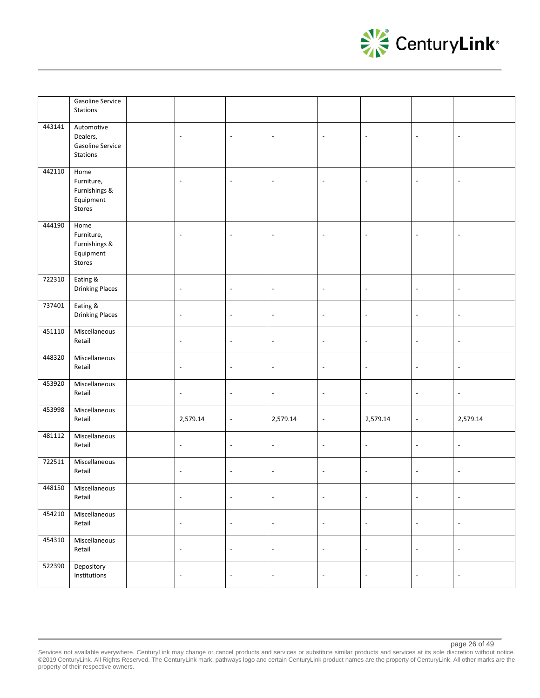

|        | <b>Gasoline Service</b><br>Stations                        |                          |                          |                          |                          |                          |                          |                          |
|--------|------------------------------------------------------------|--------------------------|--------------------------|--------------------------|--------------------------|--------------------------|--------------------------|--------------------------|
| 443141 | Automotive<br>Dealers,<br>Gasoline Service<br>Stations     | $\overline{\phantom{a}}$ | $\overline{\phantom{a}}$ | $\overline{\phantom{a}}$ | $\overline{\phantom{a}}$ | $\overline{\phantom{a}}$ | $\overline{\phantom{a}}$ | $\overline{\phantom{a}}$ |
| 442110 | Home<br>Furniture,<br>Furnishings &<br>Equipment<br>Stores | $\blacksquare$           | $\overline{\phantom{a}}$ | $\overline{\phantom{a}}$ | $\overline{\phantom{a}}$ | $\Box$                   | $\overline{\phantom{a}}$ | $\overline{\phantom{a}}$ |
| 444190 | Home<br>Furniture,<br>Furnishings &<br>Equipment<br>Stores | $\blacksquare$           | $\blacksquare$           | $\blacksquare$           | $\overline{\phantom{a}}$ | $\blacksquare$           | $\blacksquare$           | $\overline{\phantom{a}}$ |
| 722310 | Eating &<br><b>Drinking Places</b>                         | $\overline{\phantom{a}}$ | $\blacksquare$           | $\omega$                 | $\blacksquare$           | $\blacksquare$           | $\overline{\phantom{a}}$ | $\blacksquare$           |
| 737401 | Eating &<br><b>Drinking Places</b>                         | $\overline{\phantom{a}}$ | $\blacksquare$           | $\blacksquare$           | $\overline{\phantom{a}}$ | $\blacksquare$           | $\blacksquare$           | $\Box$                   |
| 451110 | Miscellaneous<br>Retail                                    | $\blacksquare$           | $\overline{\phantom{a}}$ | $\overline{\phantom{a}}$ | $\Box$                   | $\overline{\phantom{a}}$ | $\overline{\phantom{a}}$ | $\overline{\phantom{a}}$ |
| 448320 | Miscellaneous<br>Retail                                    | $\overline{\phantom{a}}$ | $\overline{\phantom{a}}$ | $\overline{\phantom{a}}$ | $\overline{\phantom{a}}$ | $\blacksquare$           | $\overline{\phantom{a}}$ | $\overline{\phantom{a}}$ |
| 453920 | Miscellaneous<br>Retail                                    | $\overline{\phantom{a}}$ | $\overline{\phantom{a}}$ | $\overline{\phantom{a}}$ | $\overline{\phantom{a}}$ | $\overline{\phantom{a}}$ | $\overline{\phantom{a}}$ | $\overline{\phantom{a}}$ |
| 453998 | Miscellaneous<br>Retail                                    | 2,579.14                 | $\overline{\phantom{a}}$ | 2,579.14                 | $\overline{\phantom{a}}$ | 2,579.14                 | $\overline{\phantom{a}}$ | 2,579.14                 |
| 481112 | Miscellaneous<br>Retail                                    | $\blacksquare$           | $\overline{\phantom{a}}$ | $\overline{\phantom{a}}$ | $\overline{\phantom{a}}$ | $\overline{\phantom{a}}$ | $\overline{\phantom{a}}$ | $\overline{\phantom{a}}$ |
| 722511 | Miscellaneous<br>Retail                                    | $\overline{\phantom{a}}$ | $\overline{\phantom{a}}$ | $\blacksquare$           | $\Box$                   | $\blacksquare$           | $\blacksquare$           | $\overline{\phantom{a}}$ |
| 448150 | Miscellaneous<br>Retail                                    | $\overline{\phantom{a}}$ | $\blacksquare$           | $\overline{\phantom{a}}$ | $\overline{\phantom{a}}$ | $\overline{\phantom{a}}$ | $\overline{\phantom{a}}$ | $\blacksquare$           |
| 454210 | Miscellaneous<br>Retail                                    | $\blacksquare$           | $\overline{\phantom{a}}$ | $\overline{\phantom{a}}$ | $\Box$                   | $\overline{\phantom{a}}$ | $\overline{\phantom{a}}$ | $\overline{\phantom{a}}$ |
| 454310 | Miscellaneous<br>Retail                                    | $\overline{\phantom{a}}$ | $\overline{\phantom{a}}$ | $\overline{\phantom{a}}$ | $\blacksquare$           | $\overline{\phantom{a}}$ | $\overline{\phantom{a}}$ | $\overline{\phantom{a}}$ |
| 522390 | Depository<br>Institutions                                 | $\overline{\phantom{a}}$ | $\overline{\phantom{a}}$ | $\overline{\phantom{a}}$ | $\blacksquare$           | $\overline{\phantom{a}}$ | $\overline{\phantom{a}}$ | $\blacksquare$           |

#### page 26 of 49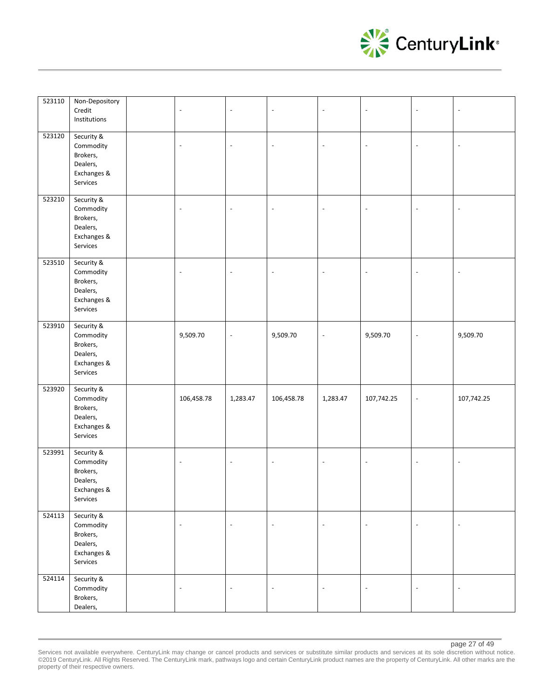

| 523110 | Non-Depository<br>Credit<br>Institutions                                   | $\overline{\phantom{a}}$ | $\overline{\phantom{a}}$ | $\overline{\phantom{a}}$ | $\overline{a}$           | $\overline{\phantom{a}}$ | $\overline{\phantom{a}}$ | $\overline{\phantom{a}}$ |
|--------|----------------------------------------------------------------------------|--------------------------|--------------------------|--------------------------|--------------------------|--------------------------|--------------------------|--------------------------|
| 523120 | Security &<br>Commodity<br>Brokers,<br>Dealers,<br>Exchanges &<br>Services | $\overline{\phantom{a}}$ | $\overline{\phantom{a}}$ | $\overline{\phantom{a}}$ | $\overline{\phantom{a}}$ | $\overline{\phantom{a}}$ | $\blacksquare$           | $\overline{\phantom{a}}$ |
| 523210 | Security &<br>Commodity<br>Brokers,<br>Dealers,<br>Exchanges &<br>Services | $\overline{\phantom{a}}$ | $\overline{\phantom{a}}$ | $\overline{\phantom{a}}$ | $\overline{\phantom{a}}$ | $\overline{\phantom{a}}$ | $\blacksquare$           | $\overline{\phantom{a}}$ |
| 523510 | Security &<br>Commodity<br>Brokers,<br>Dealers,<br>Exchanges &<br>Services | $\overline{\phantom{a}}$ | $\overline{\phantom{a}}$ | $\overline{\phantom{a}}$ | $\overline{\phantom{a}}$ | $\overline{\phantom{a}}$ | $\blacksquare$           | $\overline{\phantom{a}}$ |
| 523910 | Security &<br>Commodity<br>Brokers,<br>Dealers,<br>Exchanges &<br>Services | 9,509.70                 | $\blacksquare$           | 9,509.70                 | $\blacksquare$           | 9,509.70                 | $\blacksquare$           | 9,509.70                 |
| 523920 | Security &<br>Commodity<br>Brokers,<br>Dealers,<br>Exchanges &<br>Services | 106,458.78               | 1,283.47                 | 106,458.78               | 1,283.47                 | 107,742.25               | $\blacksquare$           | 107,742.25               |
| 523991 | Security &<br>Commodity<br>Brokers,<br>Dealers,<br>Exchanges &<br>Services | $\overline{\phantom{a}}$ | $\overline{\phantom{a}}$ | $\overline{\phantom{a}}$ | $\overline{\phantom{a}}$ | $\overline{\phantom{a}}$ | $\overline{\phantom{a}}$ | $\overline{\phantom{a}}$ |
| 524113 | Security &<br>Commodity<br>Brokers,<br>Dealers,<br>Exchanges &<br>Services | $\overline{\phantom{a}}$ | $\overline{\phantom{a}}$ | $\overline{\phantom{a}}$ | $\overline{\phantom{a}}$ | $\overline{\phantom{a}}$ | $\blacksquare$           | $\overline{\phantom{a}}$ |
| 524114 | Security &<br>Commodity<br>Brokers,<br>Dealers,                            | $\overline{\phantom{a}}$ | $\overline{\phantom{a}}$ | $\overline{\phantom{a}}$ | $\overline{\phantom{a}}$ | $\overline{\phantom{a}}$ | $\blacksquare$           | $\overline{\phantom{a}}$ |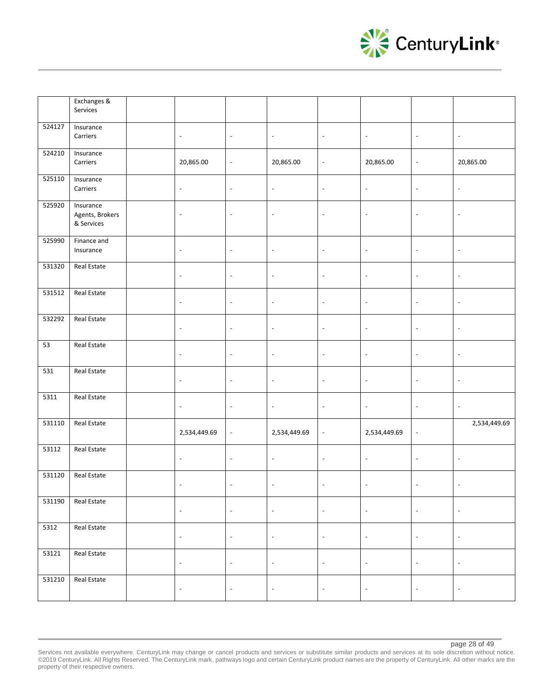

|        | Exchanges &<br>Services                    |                          |                          |                          |                          |                          |                          |                          |
|--------|--------------------------------------------|--------------------------|--------------------------|--------------------------|--------------------------|--------------------------|--------------------------|--------------------------|
| 524127 | Insurance<br>Carriers                      | $\overline{\phantom{a}}$ | $\omega$                 | $\sim$                   | $\overline{\phantom{a}}$ | $\overline{\phantom{a}}$ | $\blacksquare$           | $\omega$                 |
| 524210 | Insurance<br>Carriers                      | 20,865.00                | $\blacksquare$           | 20,865.00                | $\Box$                   | 20,865.00                | $\blacksquare$           | 20,865.00                |
| 525110 | Insurance<br>Carriers                      | $\overline{\phantom{a}}$ | $\overline{\phantom{a}}$ | $\overline{\phantom{a}}$ | $\overline{\phantom{a}}$ | $\Box$                   | $\overline{\phantom{a}}$ | $\blacksquare$           |
| 525920 | Insurance<br>Agents, Brokers<br>& Services | $\blacksquare$           | $\Box$                   | $\overline{\phantom{a}}$ | $\overline{\phantom{a}}$ | $\Box$                   | $\overline{\phantom{a}}$ | $\overline{\phantom{a}}$ |
| 525990 | Finance and<br>Insurance                   | $\overline{\phantom{a}}$ | $\overline{\phantom{a}}$ | $\overline{\phantom{a}}$ | $\overline{\phantom{a}}$ | $\overline{\phantom{a}}$ | $\overline{\phantom{a}}$ | $\overline{\phantom{a}}$ |
| 531320 | Real Estate                                | $\overline{\phantom{a}}$ | $\overline{\phantom{a}}$ | $\overline{\phantom{a}}$ | $\overline{\phantom{a}}$ | $\overline{\phantom{a}}$ | $\overline{\phantom{a}}$ | $\overline{\phantom{a}}$ |
| 531512 | <b>Real Estate</b>                         | $\overline{\phantom{a}}$ | $\overline{\phantom{a}}$ | $\overline{\phantom{a}}$ | $\overline{\phantom{a}}$ | $\overline{\phantom{a}}$ | $\overline{\phantom{a}}$ | $\overline{\phantom{a}}$ |
| 532292 | Real Estate                                | $\overline{\phantom{a}}$ | $\overline{\phantom{a}}$ | $\overline{\phantom{a}}$ | $\overline{\phantom{a}}$ | $\overline{\phantom{a}}$ | $\overline{\phantom{a}}$ | $\overline{\phantom{a}}$ |
| 53     | Real Estate                                | $\overline{\phantom{a}}$ | $\overline{\phantom{a}}$ | $\overline{\phantom{a}}$ | $\overline{\phantom{a}}$ | $\blacksquare$           | $\overline{\phantom{a}}$ | $\overline{\phantom{a}}$ |
| 531    | Real Estate                                | $\Box$                   | $\overline{\phantom{a}}$ | $\blacksquare$           | $\overline{\phantom{a}}$ | $\blacksquare$           | $\blacksquare$           | $\Box$                   |
| 5311   | <b>Real Estate</b>                         | $\blacksquare$           | $\omega$                 | $\omega$                 | $\overline{\phantom{a}}$ | $\Box$                   | $\omega$                 | $\omega$                 |
| 531110 | Real Estate                                | 2,534,449.69             | $\Box$                   | 2,534,449.69             | $\Box$                   | 2,534,449.69             | $\overline{\phantom{a}}$ | 2,534,449.69             |
| 53112  | Real Estate                                | $\overline{\phantom{a}}$ | $\overline{\phantom{a}}$ | $\overline{\phantom{a}}$ | $\overline{\phantom{a}}$ | $\Box$                   | $\overline{\phantom{a}}$ | $\overline{\phantom{a}}$ |
| 531120 | Real Estate                                | $\overline{\phantom{a}}$ | $\overline{\phantom{a}}$ | $\blacksquare$           | $\sim$                   | $\overline{\phantom{a}}$ | $\blacksquare$           | $\overline{\phantom{a}}$ |
| 531190 | Real Estate                                | $\blacksquare$           | $\overline{\phantom{a}}$ | $\overline{\phantom{a}}$ | $\overline{\phantom{a}}$ | $\Box$                   | $\overline{\phantom{a}}$ | $\blacksquare$           |
| 5312   | Real Estate                                | $\Box$                   | $\omega$                 | $\omega$                 | $\Box$                   | $\Box$                   | $\omega$                 | $\overline{\phantom{a}}$ |
| 53121  | Real Estate                                | $\overline{\phantom{a}}$ | $\Box$                   | $\blacksquare$           | $\Box$                   | $\blacksquare$           | $\overline{\phantom{a}}$ | $\blacksquare$           |
| 531210 | Real Estate                                | $\overline{\phantom{a}}$ | $\overline{\phantom{a}}$ | $\overline{\phantom{a}}$ | $\overline{\phantom{a}}$ | $\overline{\phantom{a}}$ | $\overline{\phantom{a}}$ | $\overline{\phantom{a}}$ |

page 28 of 49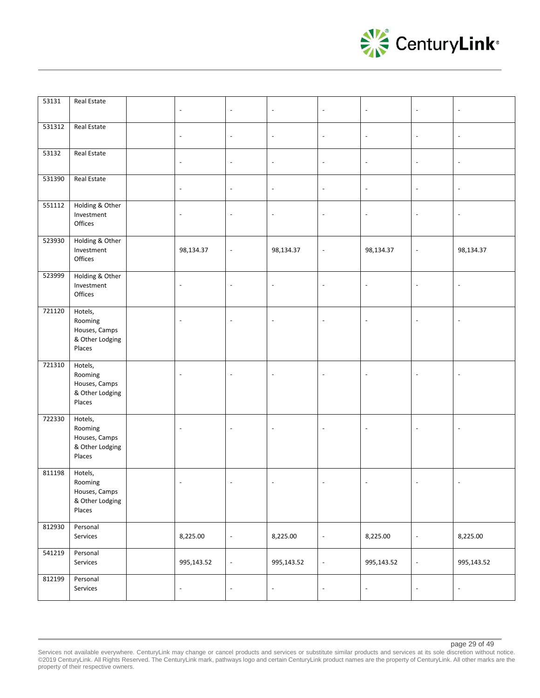

| 53131  | Real Estate                                                      | $\overline{\phantom{a}}$ | $\overline{\phantom{a}}$ | $\overline{\phantom{a}}$ | $\overline{\phantom{a}}$ | $\overline{\phantom{a}}$ | $\blacksquare$           | $\overline{\phantom{a}}$ |
|--------|------------------------------------------------------------------|--------------------------|--------------------------|--------------------------|--------------------------|--------------------------|--------------------------|--------------------------|
| 531312 | <b>Real Estate</b>                                               | $\blacksquare$           | $\blacksquare$           | $\overline{\phantom{a}}$ | $\blacksquare$           | $\blacksquare$           | $\blacksquare$           | $\overline{\phantom{a}}$ |
| 53132  | Real Estate                                                      | $\blacksquare$           | $\overline{\phantom{a}}$ | $\overline{\phantom{a}}$ | $\Box$                   | $\overline{\phantom{a}}$ | $\blacksquare$           | $\overline{\phantom{a}}$ |
| 531390 | Real Estate                                                      | $\overline{\phantom{a}}$ | $\overline{\phantom{a}}$ | $\overline{\phantom{a}}$ | $\overline{\phantom{a}}$ | $\overline{\phantom{a}}$ | $\overline{\phantom{a}}$ | $\overline{\phantom{a}}$ |
| 551112 | Holding & Other<br>Investment<br>Offices                         | $\overline{\phantom{a}}$ | $\overline{\phantom{a}}$ | $\overline{\phantom{a}}$ | $\overline{\phantom{a}}$ | $\overline{\phantom{a}}$ | $\overline{\phantom{a}}$ | $\overline{\phantom{a}}$ |
| 523930 | Holding & Other<br>Investment<br>Offices                         | 98,134.37                | $\overline{\phantom{a}}$ | 98,134.37                | $\Box$                   | 98,134.37                | $\blacksquare$           | 98,134.37                |
| 523999 | Holding & Other<br>Investment<br>Offices                         | $\blacksquare$           | $\blacksquare$           | $\mathbb{Z}$             | $\blacksquare$           | $\blacksquare$           | $\blacksquare$           | $\overline{\phantom{a}}$ |
| 721120 | Hotels,<br>Rooming<br>Houses, Camps<br>& Other Lodging<br>Places | $\Box$                   | $\overline{a}$           | $\sim$                   | $\sim$                   | $\overline{\phantom{a}}$ | $\Box$                   | $\overline{\phantom{a}}$ |
| 721310 | Hotels,<br>Rooming<br>Houses, Camps<br>& Other Lodging<br>Places | $\overline{\phantom{a}}$ | $\overline{\phantom{a}}$ | $\blacksquare$           | $\overline{\phantom{a}}$ | $\bar{\phantom{a}}$      | $\overline{\phantom{a}}$ | $\overline{\phantom{a}}$ |
| 722330 | Hotels,<br>Rooming<br>Houses, Camps<br>& Other Lodging<br>Places | $\overline{\phantom{a}}$ | $\overline{\phantom{a}}$ | $\blacksquare$           | $\overline{\phantom{a}}$ | $\bar{\phantom{a}}$      | $\Box$                   | $\overline{\phantom{a}}$ |
| 811198 | Hotels,<br>Rooming<br>Houses, Camps<br>& Other Lodging<br>Places | $\overline{\phantom{a}}$ | $\overline{\phantom{a}}$ | $\overline{\phantom{a}}$ | $\overline{\phantom{a}}$ | $\blacksquare$           | $\overline{\phantom{a}}$ | $\overline{\phantom{a}}$ |
| 812930 | Personal<br>Services                                             | 8,225.00                 | $\overline{\phantom{a}}$ | 8,225.00                 | $\blacksquare$           | 8,225.00                 | $\overline{\phantom{a}}$ | 8,225.00                 |
| 541219 | Personal<br>Services                                             | 995,143.52               | $\overline{\phantom{a}}$ | 995,143.52               | $\overline{\phantom{a}}$ | 995,143.52               | $\overline{\phantom{a}}$ | 995,143.52               |
| 812199 | Personal<br>Services                                             | $\overline{\phantom{a}}$ | $\overline{\phantom{a}}$ | $\overline{\phantom{a}}$ | $\overline{\phantom{a}}$ | $\overline{\phantom{a}}$ | $\overline{\phantom{a}}$ | $\overline{\phantom{a}}$ |

page 29 of 49

Services not available everywhere. CenturyLink may change or cancel products and services or substitute similar products and services at its sole discretion without notice. ©2019 CenturyLink. All Rights Reserved. The CenturyLink mark, pathways logo and certain CenturyLink product names are the property of CenturyLink. All other marks are the property of their respective owners.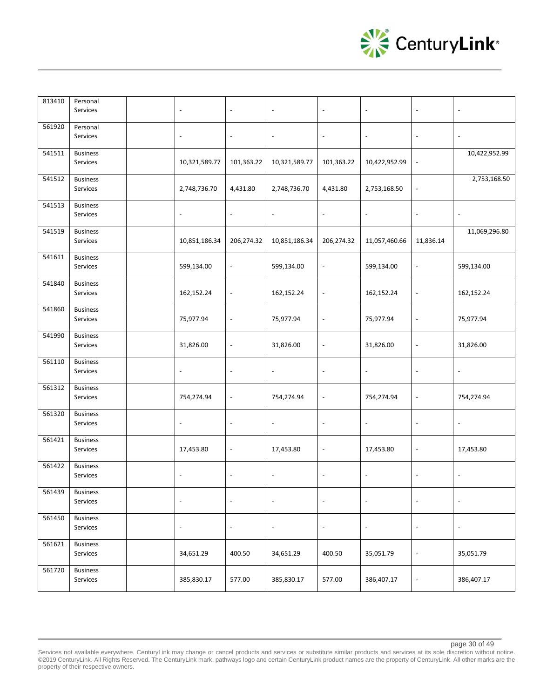

| 813410 | Personal<br>Services        | $\overline{\phantom{a}}$ | $\overline{\phantom{a}}$ | $\overline{\phantom{a}}$ | $\overline{\phantom{a}}$ | $\overline{\phantom{a}}$ | $\overline{\phantom{a}}$     | $\overline{\phantom{a}}$ |
|--------|-----------------------------|--------------------------|--------------------------|--------------------------|--------------------------|--------------------------|------------------------------|--------------------------|
| 561920 | Personal<br>Services        | $\blacksquare$           | $\overline{\phantom{a}}$ | $\overline{\phantom{a}}$ | $\overline{\phantom{a}}$ | $\overline{\phantom{a}}$ | $\blacksquare$               | $\overline{\phantom{a}}$ |
| 541511 | <b>Business</b><br>Services | 10,321,589.77            | 101,363.22               | 10,321,589.77            | 101,363.22               | 10,422,952.99            | $\overline{\phantom{a}}$     | 10,422,952.99            |
| 541512 | <b>Business</b><br>Services | 2,748,736.70             | 4,431.80                 | 2,748,736.70             | 4,431.80                 | 2,753,168.50             | $\overline{\phantom{a}}$     | 2,753,168.50             |
| 541513 | <b>Business</b><br>Services | $\overline{\phantom{a}}$ | $\overline{\phantom{a}}$ | $\overline{\phantom{a}}$ | $\overline{\phantom{a}}$ | $\overline{\phantom{a}}$ | $\overline{\phantom{a}}$     | $\overline{\phantom{a}}$ |
| 541519 | <b>Business</b><br>Services | 10,851,186.34            | 206,274.32               | 10,851,186.34            | 206,274.32               | 11,057,460.66            | 11,836.14                    | 11,069,296.80            |
| 541611 | <b>Business</b><br>Services | 599,134.00               | $\overline{\phantom{a}}$ | 599,134.00               | $\overline{\phantom{a}}$ | 599,134.00               | $\overline{\phantom{a}}$     | 599,134.00               |
| 541840 | <b>Business</b><br>Services | 162,152.24               | $\overline{\phantom{a}}$ | 162,152.24               | $\overline{\phantom{a}}$ | 162,152.24               | $\overline{a}$               | 162,152.24               |
| 541860 | <b>Business</b><br>Services | 75,977.94                | $\overline{\phantom{a}}$ | 75,977.94                | $\overline{\phantom{a}}$ | 75,977.94                | $\overline{a}$               | 75,977.94                |
| 541990 | <b>Business</b><br>Services | 31,826.00                | $\overline{\phantom{a}}$ | 31,826.00                | $\overline{\phantom{a}}$ | 31,826.00                | $\overline{\phantom{a}}$     | 31,826.00                |
| 561110 | <b>Business</b><br>Services | $\overline{\phantom{a}}$ | $\overline{\phantom{a}}$ | $\overline{\phantom{a}}$ | $\overline{\phantom{a}}$ | $\overline{\phantom{a}}$ | $\overline{\phantom{a}}$     | $\overline{\phantom{a}}$ |
| 561312 | <b>Business</b><br>Services | 754,274.94               | $\blacksquare$           | 754,274.94               | $\overline{\phantom{a}}$ | 754,274.94               | $\blacksquare$               | 754,274.94               |
| 561320 | <b>Business</b><br>Services | $\overline{\phantom{a}}$ | $\overline{\phantom{a}}$ | $\overline{\phantom{a}}$ | $\overline{\phantom{a}}$ | $\overline{\phantom{a}}$ | $\blacksquare$               | $\overline{\phantom{a}}$ |
| 561421 | <b>Business</b><br>Services | 17,453.80                | $\overline{\phantom{a}}$ | 17,453.80                | $\overline{\phantom{a}}$ | 17,453.80                | $\overline{\phantom{a}}$     | 17,453.80                |
| 561422 | <b>Business</b><br>Services | $\overline{\phantom{a}}$ | $\overline{\phantom{a}}$ | $\overline{\phantom{a}}$ | $\overline{\phantom{a}}$ | $\overline{\phantom{a}}$ | $\blacksquare$               | $\overline{\phantom{a}}$ |
| 561439 | <b>Business</b><br>Services | $\overline{\phantom{a}}$ | $\overline{\phantom{a}}$ | $\overline{\phantom{a}}$ | $\overline{\phantom{a}}$ | $\overline{\phantom{a}}$ | $\overline{\phantom{a}}$     | $\blacksquare$           |
| 561450 | <b>Business</b><br>Services | $\blacksquare$           | $\overline{\phantom{a}}$ | $\overline{\phantom{a}}$ | $\overline{\phantom{a}}$ | $\overline{\phantom{a}}$ | $\overline{\phantom{a}}$     | $\overline{\phantom{a}}$ |
| 561621 | <b>Business</b><br>Services | 34,651.29                | 400.50                   | 34,651.29                | 400.50                   | 35,051.79                | $\overline{\phantom{a}}$     | 35,051.79                |
| 561720 | <b>Business</b><br>Services | 385,830.17               | 577.00                   | 385,830.17               | 577.00                   | 386,407.17               | $\qquad \qquad \blacksquare$ | 386,407.17               |

Services not available everywhere. CenturyLink may change or cancel products and services or substitute similar products and services at its sole discretion without notice. ©2019 CenturyLink. All Rights Reserved. The CenturyLink mark, pathways logo and certain CenturyLink product names are the property of CenturyLink. All other marks are the property of their respective owners.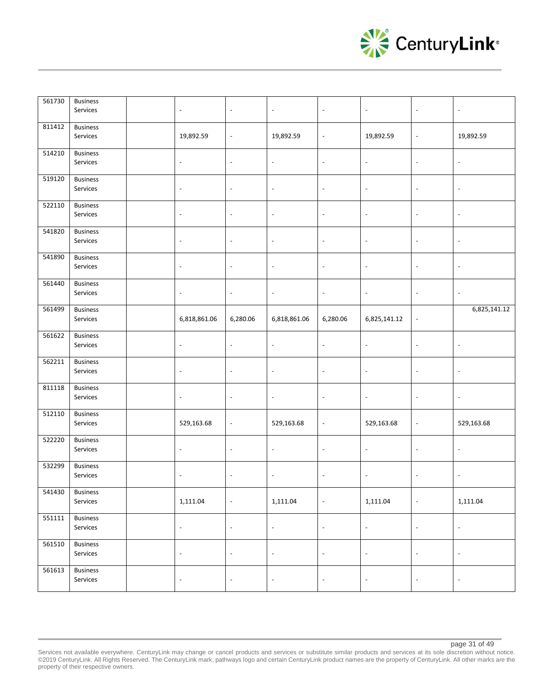

| 561730 | <b>Business</b><br>Services | $\blacksquare$           | $\overline{\phantom{a}}$ | $\blacksquare$           | $\overline{\phantom{a}}$ | $\blacksquare$           | $\overline{\phantom{a}}$ | $\overline{\phantom{a}}$ |
|--------|-----------------------------|--------------------------|--------------------------|--------------------------|--------------------------|--------------------------|--------------------------|--------------------------|
|        |                             |                          |                          |                          |                          |                          |                          |                          |
| 811412 | <b>Business</b>             |                          |                          |                          |                          |                          |                          |                          |
|        | Services                    | 19,892.59                | $\overline{\phantom{a}}$ | 19,892.59                | $\overline{\phantom{a}}$ | 19,892.59                | $\overline{\phantom{a}}$ | 19,892.59                |
| 514210 | <b>Business</b>             |                          |                          |                          |                          |                          |                          |                          |
|        | Services                    | $\overline{\phantom{a}}$ | $\overline{\phantom{a}}$ | $\blacksquare$           | $\overline{\phantom{a}}$ | $\blacksquare$           | $\overline{\phantom{a}}$ | $\overline{\phantom{a}}$ |
| 519120 | <b>Business</b>             |                          |                          |                          |                          |                          |                          |                          |
|        | Services                    | $\overline{\phantom{a}}$ | $\blacksquare$           | $\overline{\phantom{a}}$ | $\overline{\phantom{a}}$ | $\blacksquare$           | $\overline{\phantom{a}}$ | $\overline{\phantom{a}}$ |
| 522110 | <b>Business</b>             |                          |                          |                          |                          |                          |                          |                          |
|        | Services                    | $\overline{\phantom{a}}$ | $\overline{\phantom{a}}$ | $\overline{\phantom{a}}$ | $\overline{\phantom{a}}$ | $\blacksquare$           | $\overline{\phantom{a}}$ | $\overline{\phantom{a}}$ |
| 541820 | <b>Business</b>             |                          |                          |                          |                          |                          |                          |                          |
|        | Services                    | $\overline{\phantom{a}}$ | $\overline{\phantom{a}}$ | $\overline{\phantom{a}}$ | $\overline{\phantom{a}}$ | $\overline{\phantom{a}}$ | $\overline{\phantom{a}}$ | $\overline{\phantom{a}}$ |
| 541890 | <b>Business</b>             |                          |                          |                          |                          |                          |                          |                          |
|        | Services                    | $\overline{\phantom{a}}$ | $\overline{\phantom{a}}$ | $\overline{\phantom{a}}$ | $\overline{\phantom{a}}$ | $\overline{\phantom{a}}$ | $\overline{\phantom{a}}$ | $\overline{\phantom{a}}$ |
| 561440 | <b>Business</b>             |                          |                          |                          |                          |                          |                          |                          |
|        | Services                    | $\overline{\phantom{a}}$ | $\overline{\phantom{a}}$ | $\overline{\phantom{a}}$ | $\overline{\phantom{a}}$ | $\overline{\phantom{a}}$ | $\overline{\phantom{a}}$ | $\overline{\phantom{a}}$ |
| 561499 | <b>Business</b>             |                          |                          |                          |                          |                          |                          | 6,825,141.12             |
|        | Services                    | 6,818,861.06             | 6,280.06                 | 6,818,861.06             | 6,280.06                 | 6,825,141.12             | $\overline{\phantom{a}}$ |                          |
| 561622 | <b>Business</b>             |                          |                          |                          |                          |                          |                          |                          |
|        | Services                    | $\overline{\phantom{a}}$ | $\overline{\phantom{a}}$ | $\overline{\phantom{a}}$ | $\overline{\phantom{a}}$ | $\overline{\phantom{a}}$ | $\overline{\phantom{a}}$ | $\overline{\phantom{a}}$ |
| 562211 | <b>Business</b>             |                          |                          |                          |                          |                          |                          |                          |
|        | Services                    | $\overline{\phantom{a}}$ | $\overline{\phantom{a}}$ | $\overline{\phantom{a}}$ | $\blacksquare$           | $\overline{\phantom{a}}$ | $\overline{\phantom{a}}$ | $\blacksquare$           |
| 811118 | Business                    |                          |                          |                          |                          |                          |                          |                          |
|        | Services                    | $\overline{\phantom{a}}$ | $\overline{\phantom{a}}$ | $\blacksquare$           | $\overline{\phantom{a}}$ | $\overline{\phantom{a}}$ | $\overline{\phantom{a}}$ | $\blacksquare$           |
| 512110 | <b>Business</b>             |                          |                          |                          |                          |                          |                          |                          |
|        | Services                    | 529,163.68               | $\overline{\phantom{a}}$ | 529,163.68               | $\overline{\phantom{a}}$ | 529,163.68               | $\blacksquare$           | 529,163.68               |
| 522220 | <b>Business</b>             |                          |                          |                          |                          |                          |                          |                          |
|        | Services                    | $\overline{\phantom{a}}$ | $\overline{\phantom{a}}$ | $\blacksquare$           | $\overline{\phantom{a}}$ | $\Box$                   | $\overline{\phantom{a}}$ | $\overline{\phantom{a}}$ |
| 532299 | <b>Business</b>             |                          |                          |                          |                          |                          |                          |                          |
|        | Services                    | $\overline{\phantom{a}}$ | $\overline{\phantom{a}}$ | $\blacksquare$           | $\blacksquare$           | $\blacksquare$           | $\overline{\phantom{a}}$ | $\overline{\phantom{a}}$ |
| 541430 | <b>Business</b>             |                          |                          |                          |                          |                          |                          |                          |
|        | Services                    | 1,111.04                 | $\blacksquare$           | 1,111.04                 | $\Box$                   | 1,111.04                 | $\blacksquare$           | 1,111.04                 |
| 551111 | <b>Business</b>             |                          |                          |                          |                          |                          |                          |                          |
|        | Services                    | $\Box$                   | $\blacksquare$           | $\blacksquare$           | $\Box$                   | $\Box$                   | $\blacksquare$           | $\overline{\phantom{a}}$ |
| 561510 | <b>Business</b>             |                          |                          |                          |                          |                          |                          |                          |
|        | Services                    | $\blacksquare$           | $\blacksquare$           | $\overline{\phantom{a}}$ | $\Box$                   | $\blacksquare$           | $\overline{\phantom{a}}$ | $\overline{\phantom{a}}$ |
| 561613 | <b>Business</b>             |                          |                          |                          |                          |                          |                          |                          |
|        | Services                    | $\blacksquare$           | $\overline{\phantom{a}}$ | $\overline{\phantom{a}}$ | $\blacksquare$           | $\blacksquare$           | $\overline{\phantom{a}}$ | $\blacksquare$           |

Services not available everywhere. CenturyLink may change or cancel products and services or substitute similar products and services at its sole discretion without notice. ©2019 CenturyLink. All Rights Reserved. The CenturyLink mark, pathways logo and certain CenturyLink product names are the property of CenturyLink. All other marks are the property of their respective owners.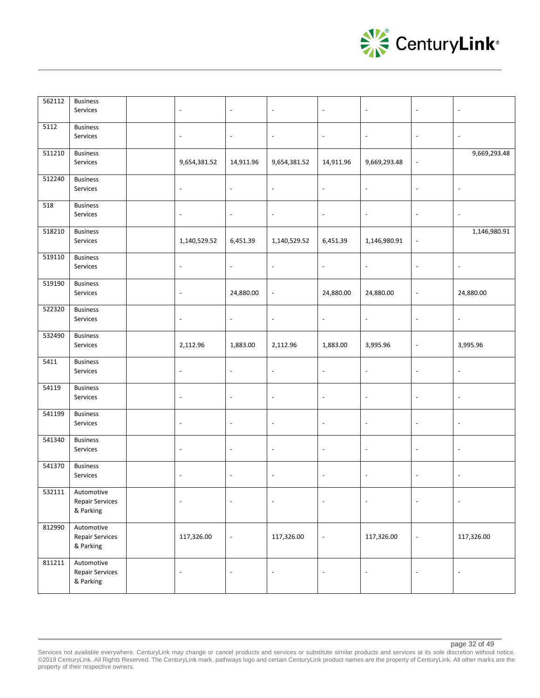

| 562112 | <b>Business</b><br>Services                       | $\overline{\phantom{a}}$ | $\overline{\phantom{a}}$ | $\overline{\phantom{a}}$ | $\overline{\phantom{a}}$ | $\overline{\phantom{a}}$ | $\overline{\phantom{a}}$ |                          |
|--------|---------------------------------------------------|--------------------------|--------------------------|--------------------------|--------------------------|--------------------------|--------------------------|--------------------------|
| 5112   | <b>Business</b><br>Services                       | $\overline{\phantom{a}}$ | $\overline{\phantom{a}}$ | $\overline{\phantom{a}}$ | $\overline{\phantom{a}}$ | $\overline{\phantom{a}}$ | $\overline{\phantom{a}}$ | $\overline{\phantom{a}}$ |
| 511210 | <b>Business</b><br>Services                       | 9,654,381.52             | 14,911.96                | 9,654,381.52             | 14,911.96                | 9,669,293.48             | $\blacksquare$           | 9,669,293.48             |
| 512240 | <b>Business</b><br>Services                       | $\overline{\phantom{a}}$ | $\frac{1}{2}$            | $\overline{\phantom{a}}$ | $\overline{\phantom{a}}$ | $\overline{\phantom{a}}$ | $\overline{a}$           | $\sim$                   |
| 518    | <b>Business</b><br>Services                       | $\overline{\phantom{a}}$ | $\overline{\phantom{a}}$ | $\overline{\phantom{a}}$ | $\overline{\phantom{a}}$ | $\overline{\phantom{a}}$ | $\overline{a}$           | $\overline{\phantom{a}}$ |
| 518210 | <b>Business</b><br>Services                       | 1,140,529.52             | 6,451.39                 | 1,140,529.52             | 6,451.39                 | 1,146,980.91             | $\overline{\phantom{a}}$ | 1,146,980.91             |
| 519110 | <b>Business</b><br>Services                       | $\overline{\phantom{a}}$ | $\overline{\phantom{a}}$ | $\overline{\phantom{a}}$ | $\overline{\phantom{a}}$ | $\overline{\phantom{a}}$ | $\overline{\phantom{a}}$ | $\overline{\phantom{a}}$ |
| 519190 | <b>Business</b><br>Services                       | $\overline{\phantom{a}}$ | 24,880.00                | $\overline{\phantom{a}}$ | 24,880.00                | 24,880.00                | $\overline{a}$           | 24,880.00                |
| 522320 | <b>Business</b><br>Services                       | $\overline{\phantom{a}}$ | $\overline{\phantom{a}}$ | $\overline{\phantom{a}}$ | $\overline{\phantom{a}}$ | $\overline{\phantom{a}}$ | $\overline{\phantom{a}}$ | $\overline{\phantom{a}}$ |
| 532490 | <b>Business</b><br>Services                       | 2,112.96                 | 1,883.00                 | 2,112.96                 | 1,883.00                 | 3,995.96                 | $\overline{\phantom{a}}$ | 3,995.96                 |
| 5411   | <b>Business</b><br>Services                       | $\blacksquare$           | $\overline{\phantom{a}}$ | $\sim$                   | $\Box$                   | $\ddot{\phantom{a}}$     | Ĭ.                       | $\overline{\phantom{a}}$ |
| 54119  | <b>Business</b><br>Services                       | $\overline{\phantom{a}}$ | $\overline{\phantom{a}}$ | $\overline{\phantom{a}}$ | $\overline{\phantom{a}}$ | $\overline{\phantom{a}}$ | $\overline{a}$           | $\overline{\phantom{a}}$ |
| 541199 | <b>Business</b><br>Services                       | $\overline{\phantom{a}}$ | $\overline{\phantom{a}}$ | $\overline{\phantom{a}}$ | $\overline{\phantom{a}}$ | $\overline{\phantom{a}}$ | $\overline{\phantom{a}}$ | $\overline{\phantom{a}}$ |
| 541340 | <b>Business</b><br>Services                       | $\overline{\phantom{a}}$ | $\overline{\phantom{a}}$ | $\overline{\phantom{a}}$ | $\overline{\phantom{a}}$ | $\overline{\phantom{a}}$ | $\overline{\phantom{a}}$ | $\overline{\phantom{a}}$ |
| 541370 | <b>Business</b><br>Services                       | $\overline{\phantom{a}}$ | $\overline{\phantom{a}}$ | $\overline{\phantom{a}}$ | $\overline{\phantom{a}}$ | $\blacksquare$           | $\blacksquare$           | $\overline{\phantom{a}}$ |
| 532111 | Automotive<br><b>Repair Services</b><br>& Parking | $\overline{\phantom{a}}$ | $\overline{\phantom{a}}$ | $\overline{\phantom{a}}$ | $\blacksquare$           | $\blacksquare$           | $\overline{\phantom{a}}$ | $\overline{\phantom{a}}$ |
| 812990 | Automotive<br><b>Repair Services</b><br>& Parking | 117,326.00               | $\overline{\phantom{a}}$ | 117,326.00               | $\overline{\phantom{a}}$ | 117,326.00               | $\overline{a}$           | 117,326.00               |
| 811211 | Automotive<br><b>Repair Services</b><br>& Parking | $\overline{\phantom{a}}$ | $\overline{\phantom{a}}$ | $\overline{\phantom{a}}$ | $\overline{\phantom{a}}$ | ÷,                       | Ĭ.                       |                          |

Services not available everywhere. CenturyLink may change or cancel products and services or substitute similar products and services at its sole discretion without notice. ©2019 CenturyLink. All Rights Reserved. The CenturyLink mark, pathways logo and certain CenturyLink product names are the property of CenturyLink. All other marks are the property of their respective owners.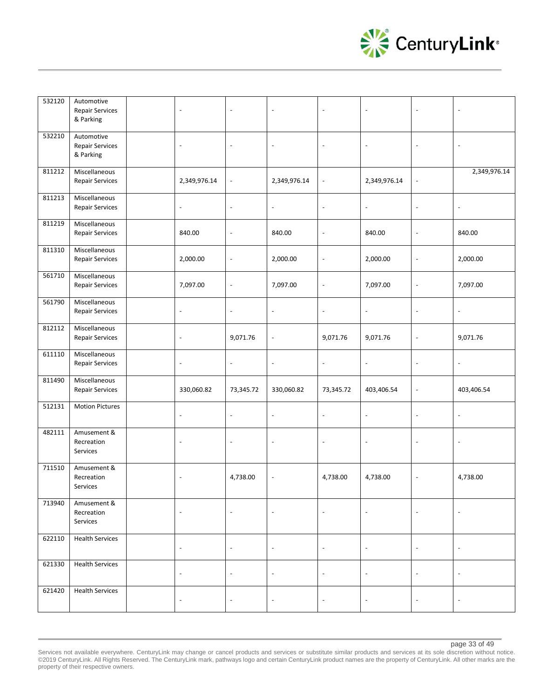

| 532120 | Automotive<br><b>Repair Services</b><br>& Parking | $\overline{\phantom{a}}$ | $\blacksquare$           | $\overline{\phantom{a}}$ | $\sim$                   | $\overline{\phantom{a}}$ | $\overline{\phantom{a}}$ | $\overline{\phantom{a}}$ |
|--------|---------------------------------------------------|--------------------------|--------------------------|--------------------------|--------------------------|--------------------------|--------------------------|--------------------------|
| 532210 | Automotive<br><b>Repair Services</b><br>& Parking | $\overline{\phantom{a}}$ | $\overline{\phantom{a}}$ | $\overline{\phantom{a}}$ | $\overline{\phantom{a}}$ | $\overline{\phantom{a}}$ | $\overline{\phantom{a}}$ | $\overline{\phantom{a}}$ |
| 811212 | Miscellaneous<br><b>Repair Services</b>           | 2,349,976.14             | $\overline{\phantom{a}}$ | 2,349,976.14             | $\overline{\phantom{a}}$ | 2,349,976.14             | $\overline{\phantom{a}}$ | 2,349,976.14             |
| 811213 | Miscellaneous<br>Repair Services                  | $\overline{\phantom{a}}$ | $\overline{\phantom{a}}$ | $\overline{\phantom{a}}$ | $\overline{\phantom{a}}$ | $\overline{\phantom{a}}$ | $\overline{\phantom{a}}$ | $\overline{\phantom{a}}$ |
| 811219 | Miscellaneous<br><b>Repair Services</b>           | 840.00                   | $\overline{\phantom{a}}$ | 840.00                   | $\overline{a}$           | 840.00                   | $\overline{\phantom{a}}$ | 840.00                   |
| 811310 | Miscellaneous<br>Repair Services                  | 2,000.00                 | $\overline{a}$           | 2,000.00                 | $\overline{\phantom{a}}$ | 2,000.00                 | $\overline{\phantom{a}}$ | 2,000.00                 |
| 561710 | Miscellaneous<br><b>Repair Services</b>           | 7,097.00                 | $\overline{\phantom{a}}$ | 7,097.00                 | $\overline{\phantom{a}}$ | 7,097.00                 | $\overline{\phantom{a}}$ | 7,097.00                 |
| 561790 | Miscellaneous<br>Repair Services                  | $\overline{\phantom{a}}$ | $\overline{\phantom{a}}$ | $\blacksquare$           | $\overline{\phantom{a}}$ | $\overline{\phantom{a}}$ | $\overline{\phantom{a}}$ | $\overline{\phantom{a}}$ |
| 812112 | Miscellaneous<br>Repair Services                  | $\overline{\phantom{a}}$ | 9,071.76                 | $\overline{\phantom{a}}$ | 9,071.76                 | 9,071.76                 | $\overline{\phantom{a}}$ | 9,071.76                 |
| 611110 | Miscellaneous<br><b>Repair Services</b>           | $\overline{\phantom{a}}$ | $\overline{\phantom{a}}$ | $\overline{\phantom{a}}$ | $\overline{\phantom{a}}$ | $\blacksquare$           | $\overline{\phantom{a}}$ | $\overline{\phantom{a}}$ |
| 811490 | Miscellaneous<br>Repair Services                  | 330,060.82               | 73,345.72                | 330,060.82               | 73,345.72                | 403,406.54               | $\overline{\phantom{a}}$ | 403,406.54               |
| 512131 | <b>Motion Pictures</b>                            | $\overline{\phantom{a}}$ | $\overline{\phantom{a}}$ | $\overline{\phantom{a}}$ | $\blacksquare$           | $\overline{\phantom{a}}$ | $\overline{\phantom{a}}$ | $\overline{\phantom{a}}$ |
| 482111 | Amusement &<br>Recreation<br>Services             | $\blacksquare$           | $\blacksquare$           | $\overline{\phantom{a}}$ | $\blacksquare$           | $\blacksquare$           | $\Box$                   | $\overline{\phantom{a}}$ |
| 711510 | Amusement &<br>Recreation<br>Services             | $\overline{\phantom{a}}$ | 4,738.00                 | $\overline{\phantom{a}}$ | 4,738.00                 | 4,738.00                 | $\overline{\phantom{a}}$ | 4,738.00                 |
| 713940 | Amusement &<br>Recreation<br>Services             | $\overline{\phantom{a}}$ | $\overline{\phantom{a}}$ | $\overline{\phantom{a}}$ | $\overline{\phantom{a}}$ | $\Box$                   | $\overline{\phantom{a}}$ | $\overline{\phantom{a}}$ |
| 622110 | <b>Health Services</b>                            | $\overline{\phantom{a}}$ | $\Box$                   | $\overline{\phantom{a}}$ | $\Box$                   | $\blacksquare$           | $\overline{\phantom{a}}$ | $\overline{\phantom{a}}$ |
| 621330 | <b>Health Services</b>                            | $\overline{\phantom{a}}$ | $\overline{\phantom{a}}$ | $\blacksquare$           | $\overline{\phantom{a}}$ | $\overline{\phantom{a}}$ | $\overline{\phantom{a}}$ | $\overline{\phantom{a}}$ |
| 621420 | <b>Health Services</b>                            | $\overline{\phantom{a}}$ | $\overline{\phantom{a}}$ | $\overline{\phantom{a}}$ | $\overline{\phantom{a}}$ | $\overline{\phantom{a}}$ | $\overline{\phantom{a}}$ | $\overline{\phantom{a}}$ |

Services not available everywhere. CenturyLink may change or cancel products and services or substitute similar products and services at its sole discretion without notice. ©2019 CenturyLink. All Rights Reserved. The CenturyLink mark, pathways logo and certain CenturyLink product names are the property of CenturyLink. All other marks are the property of their respective owners.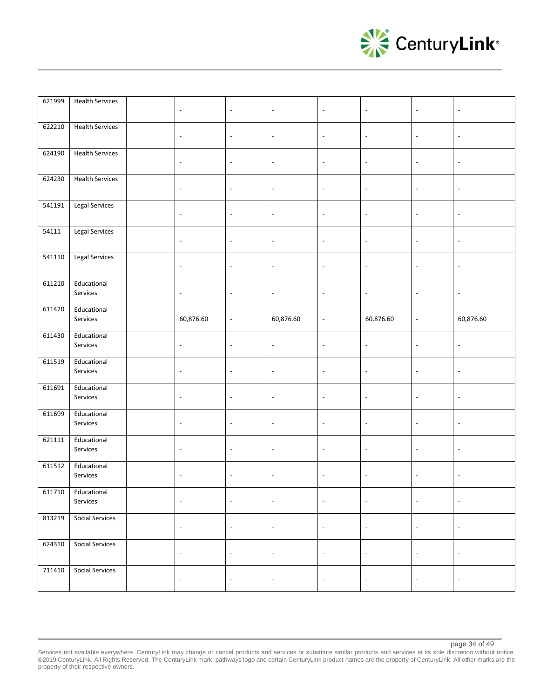

| 621999 | <b>Health Services</b>  | $\overline{\phantom{a}}$ | $\overline{\phantom{a}}$ | $\overline{\phantom{a}}$ | $\overline{\phantom{a}}$ | $\overline{\phantom{a}}$ | $\overline{\phantom{a}}$ | $\overline{\phantom{a}}$ |
|--------|-------------------------|--------------------------|--------------------------|--------------------------|--------------------------|--------------------------|--------------------------|--------------------------|
| 622210 | <b>Health Services</b>  | $\overline{\phantom{a}}$ | $\overline{\phantom{a}}$ | $\overline{\phantom{a}}$ | $\overline{\phantom{a}}$ | $\blacksquare$           | $\overline{\phantom{a}}$ | $\overline{\phantom{a}}$ |
| 624190 | <b>Health Services</b>  | $\overline{\phantom{a}}$ | $\blacksquare$           | $\overline{\phantom{a}}$ | $\overline{\phantom{a}}$ | $\overline{\phantom{a}}$ | $\overline{\phantom{a}}$ | $\overline{\phantom{a}}$ |
| 624230 | <b>Health Services</b>  | $\overline{\phantom{a}}$ | $\overline{\phantom{a}}$ | $\overline{\phantom{a}}$ | $\overline{\phantom{a}}$ | $\overline{\phantom{a}}$ | $\overline{\phantom{a}}$ | $\overline{\phantom{a}}$ |
| 541191 | Legal Services          | $\overline{\phantom{a}}$ | $\overline{\phantom{a}}$ | $\overline{\phantom{a}}$ | $\overline{\phantom{a}}$ | $\overline{\phantom{a}}$ | $\overline{\phantom{a}}$ | $\overline{\phantom{a}}$ |
| 54111  | <b>Legal Services</b>   | $\overline{\phantom{a}}$ | $\overline{\phantom{a}}$ | $\overline{\phantom{a}}$ | $\blacksquare$           | $\blacksquare$           | $\overline{\phantom{a}}$ | $\blacksquare$           |
| 541110 | Legal Services          | $\overline{\phantom{a}}$ | $\overline{\phantom{a}}$ | $\overline{\phantom{a}}$ | $\overline{\phantom{a}}$ | $\overline{\phantom{a}}$ | $\overline{\phantom{a}}$ | $\overline{\phantom{a}}$ |
| 611210 | Educational<br>Services | $\overline{\phantom{a}}$ | $\overline{\phantom{a}}$ | $\overline{\phantom{a}}$ | $\overline{\phantom{a}}$ | $\overline{\phantom{a}}$ | $\overline{\phantom{a}}$ | $\overline{\phantom{a}}$ |
| 611420 | Educational<br>Services | 60,876.60                | $\overline{\phantom{a}}$ | 60,876.60                | $\blacksquare$           | 60,876.60                | $\overline{\phantom{a}}$ | 60,876.60                |
| 611430 | Educational<br>Services | $\overline{\phantom{a}}$ | $\overline{\phantom{a}}$ | $\blacksquare$           | $\Box$                   | $\blacksquare$           | $\overline{\phantom{a}}$ | $\overline{\phantom{a}}$ |
|        |                         |                          |                          |                          |                          |                          |                          |                          |
| 611519 | Educational<br>Services | $\overline{\phantom{a}}$ | $\overline{\phantom{a}}$ | $\blacksquare$           | $\overline{\phantom{a}}$ | $\overline{\phantom{a}}$ | $\overline{\phantom{a}}$ | $\overline{\phantom{a}}$ |
| 611691 | Educational<br>Services | $\overline{\phantom{a}}$ | $\overline{\phantom{a}}$ | $\blacksquare$           | $\blacksquare$           | $\overline{\phantom{a}}$ | $\overline{\phantom{a}}$ | $\overline{\phantom{a}}$ |
| 611699 | Educational<br>Services | $\overline{\phantom{a}}$ | $\overline{\phantom{a}}$ | $\overline{\phantom{a}}$ | $\overline{\phantom{a}}$ | $\blacksquare$           | $\overline{\phantom{a}}$ | $\overline{\phantom{a}}$ |
| 621111 | Educational<br>Services | $\overline{\phantom{a}}$ | $\overline{\phantom{a}}$ | $\overline{\phantom{a}}$ | $\blacksquare$           | $\overline{\phantom{a}}$ | $\overline{\phantom{a}}$ | $\overline{\phantom{a}}$ |
| 611512 | Educational<br>Services | $\overline{\phantom{a}}$ | $\overline{\phantom{a}}$ | $\blacksquare$           | $\overline{\phantom{a}}$ | $\overline{\phantom{a}}$ | $\overline{\phantom{a}}$ | $\overline{\phantom{a}}$ |
| 611710 | Educational<br>Services | $\overline{\phantom{a}}$ | $\blacksquare$           | $\overline{\phantom{a}}$ | $\blacksquare$           | $\overline{\phantom{a}}$ | $\overline{\phantom{a}}$ | $\overline{\phantom{a}}$ |
| 813219 | <b>Social Services</b>  | $\overline{\phantom{a}}$ | $\Box$                   | $\blacksquare$           | $\overline{\phantom{a}}$ | $\overline{\phantom{a}}$ | $\overline{\phantom{a}}$ | $\overline{\phantom{a}}$ |
| 624310 | <b>Social Services</b>  | $\overline{\phantom{a}}$ | $\overline{\phantom{a}}$ | $\overline{\phantom{a}}$ | $\overline{\phantom{a}}$ | $\overline{\phantom{a}}$ | $\overline{\phantom{a}}$ | $\overline{\phantom{a}}$ |

Services not available everywhere. CenturyLink may change or cancel products and services or substitute similar products and services at its sole discretion without notice. ©2019 CenturyLink. All Rights Reserved. The CenturyLink mark, pathways logo and certain CenturyLink product names are the property of CenturyLink. All other marks are the property of their respective owners.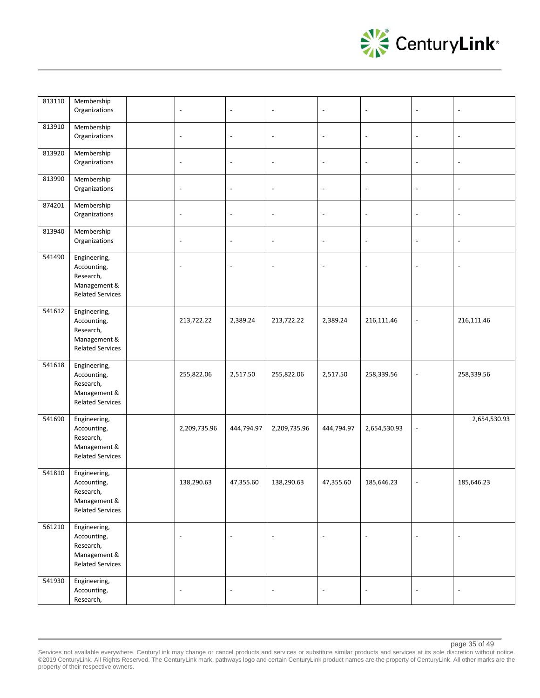

| 813110 | Membership<br>Organizations                                                         | $\overline{\phantom{a}}$ | $\frac{1}{2}$            | $\overline{\phantom{a}}$ | $\overline{\phantom{a}}$ | $\overline{\phantom{a}}$ | $\overline{\phantom{a}}$ |                          |
|--------|-------------------------------------------------------------------------------------|--------------------------|--------------------------|--------------------------|--------------------------|--------------------------|--------------------------|--------------------------|
| 813910 | Membership<br>Organizations                                                         | $\overline{\phantom{a}}$ | ÷,                       | $\overline{\phantom{a}}$ | $\overline{\phantom{a}}$ | $\overline{\phantom{a}}$ | $\overline{a}$           | $\overline{\phantom{a}}$ |
| 813920 | Membership<br>Organizations                                                         | $\blacksquare$           | $\overline{\phantom{a}}$ | $\overline{\phantom{a}}$ | $\overline{\phantom{a}}$ | $\overline{\phantom{a}}$ | $\overline{\phantom{a}}$ | $\overline{\phantom{a}}$ |
| 813990 | Membership<br>Organizations                                                         | $\blacksquare$           | $\frac{1}{2}$            | $\overline{\phantom{a}}$ | $\overline{\phantom{a}}$ | $\overline{\phantom{a}}$ | $\overline{a}$           | $\overline{\phantom{a}}$ |
| 874201 | Membership<br>Organizations                                                         | $\overline{\phantom{a}}$ | $\overline{a}$           | $\Box$                   | $\sim$                   | $\overline{\phantom{a}}$ | $\overline{\phantom{a}}$ | $\overline{\phantom{a}}$ |
| 813940 | Membership<br>Organizations                                                         | $\overline{\phantom{a}}$ | $\overline{a}$           | $\overline{\phantom{a}}$ | $\overline{\phantom{a}}$ | $\overline{\phantom{a}}$ | $\overline{\phantom{a}}$ | $\overline{\phantom{a}}$ |
| 541490 | Engineering,<br>Accounting,<br>Research,<br>Management &<br><b>Related Services</b> | $\overline{\phantom{a}}$ | L,                       | $\overline{\phantom{a}}$ | $\overline{\phantom{a}}$ | $\sim$                   | $\overline{\phantom{a}}$ | $\overline{\phantom{a}}$ |
| 541612 | Engineering,<br>Accounting,<br>Research,<br>Management &<br><b>Related Services</b> | 213,722.22               | 2,389.24                 | 213,722.22               | 2,389.24                 | 216,111.46               | $\overline{\phantom{a}}$ | 216,111.46               |
| 541618 | Engineering,<br>Accounting,<br>Research,<br>Management &<br><b>Related Services</b> | 255,822.06               | 2,517.50                 | 255,822.06               | 2,517.50                 | 258,339.56               | $\overline{\phantom{a}}$ | 258,339.56               |
| 541690 | Engineering,<br>Accounting,<br>Research,<br>Management &<br><b>Related Services</b> | 2,209,735.96             | 444,794.97               | 2,209,735.96             | 444,794.97               | 2,654,530.93             | $\overline{a}$           | 2,654,530.93             |
| 541810 | Engineering,<br>Accounting,<br>Research,<br>Management &<br><b>Related Services</b> | 138,290.63               | 47,355.60                | 138,290.63               | 47,355.60                | 185,646.23               | $\overline{\phantom{a}}$ | 185,646.23               |
| 561210 | Engineering,<br>Accounting,<br>Research,<br>Management &<br><b>Related Services</b> | $\overline{\phantom{a}}$ | $\overline{\phantom{a}}$ | $\overline{\phantom{a}}$ | $\sim$                   | $\overline{\phantom{a}}$ | $\blacksquare$           | $\overline{\phantom{a}}$ |
| 541930 | Engineering,<br>Accounting,<br>Research,                                            | $\blacksquare$           | $\overline{\phantom{a}}$ | $\overline{\phantom{a}}$ | $\overline{\phantom{a}}$ | $\overline{\phantom{a}}$ | $\blacksquare$           | $\overline{\phantom{a}}$ |

Services not available everywhere. CenturyLink may change or cancel products and services or substitute similar products and services at its sole discretion without notice. ©2019 CenturyLink. All Rights Reserved. The CenturyLink mark, pathways logo and certain CenturyLink product names are the property of CenturyLink. All other marks are the property of their respective owners.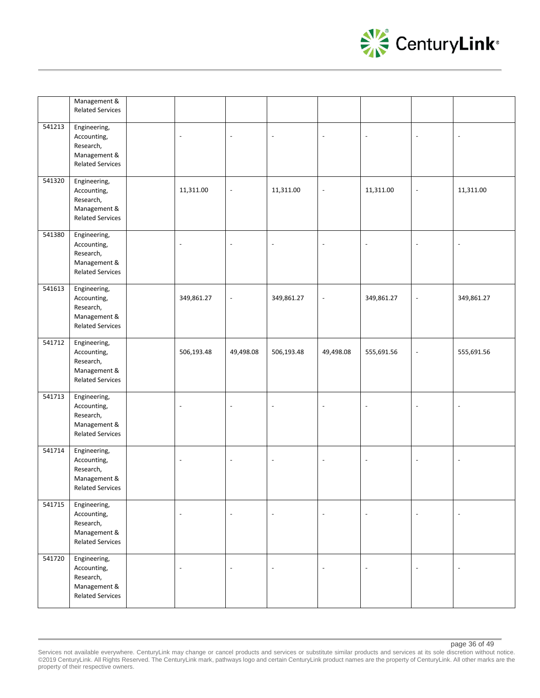

|        | Management &<br><b>Related Services</b>                                             |                          |                          |                          |                          |                          |                |            |
|--------|-------------------------------------------------------------------------------------|--------------------------|--------------------------|--------------------------|--------------------------|--------------------------|----------------|------------|
| 541213 | Engineering,<br>Accounting,<br>Research,<br>Management &<br><b>Related Services</b> | $\overline{\phantom{a}}$ | $\overline{a}$           | $\overline{\phantom{a}}$ | $\blacksquare$           | $\overline{\phantom{a}}$ | $\overline{a}$ |            |
| 541320 | Engineering,<br>Accounting,<br>Research,<br>Management &<br><b>Related Services</b> | 11,311.00                | $\blacksquare$           | 11,311.00                | $\overline{\phantom{a}}$ | 11,311.00                | $\blacksquare$ | 11,311.00  |
| 541380 | Engineering,<br>Accounting,<br>Research,<br>Management &<br><b>Related Services</b> | $\overline{\phantom{a}}$ |                          | $\overline{\phantom{a}}$ |                          | $\sim$                   |                |            |
| 541613 | Engineering,<br>Accounting,<br>Research,<br>Management &<br><b>Related Services</b> | 349,861.27               | $\overline{a}$           | 349,861.27               | $\blacksquare$           | 349,861.27               | $\blacksquare$ | 349,861.27 |
| 541712 | Engineering,<br>Accounting,<br>Research,<br>Management &<br><b>Related Services</b> | 506,193.48               | 49,498.08                | 506,193.48               | 49,498.08                | 555,691.56               | $\blacksquare$ | 555,691.56 |
| 541713 | Engineering,<br>Accounting,<br>Research,<br>Management &<br><b>Related Services</b> | $\blacksquare$           |                          | $\overline{\phantom{a}}$ | $\overline{a}$           | $\ddot{\phantom{a}}$     | $\overline{a}$ |            |
| 541714 | Engineering,<br>Accounting,<br>Research,<br>Management &<br><b>Related Services</b> | $\overline{\phantom{a}}$ | $\overline{\phantom{a}}$ | $\overline{\phantom{a}}$ |                          | $\overline{\phantom{a}}$ | $\overline{a}$ |            |
| 541715 | Engineering,<br>Accounting,<br>Research,<br>Management &<br><b>Related Services</b> | $\overline{a}$           | $\overline{\phantom{a}}$ | $\blacksquare$           |                          | $\overline{\phantom{a}}$ |                |            |
| 541720 | Engineering,<br>Accounting,<br>Research,<br>Management &<br><b>Related Services</b> | $\overline{\phantom{a}}$ | Ĭ.                       | $\sim$                   |                          | $\overline{\phantom{a}}$ | $\overline{a}$ |            |

Services not available everywhere. CenturyLink may change or cancel products and services or substitute similar products and services at its sole discretion without notice. ©2019 CenturyLink. All Rights Reserved. The CenturyLink mark, pathways logo and certain CenturyLink product names are the property of CenturyLink. All other marks are the property of their respective owners.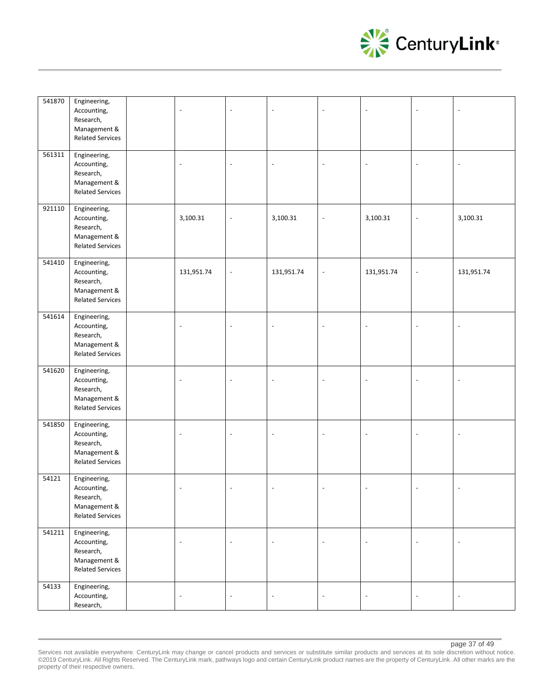

| 541870 | Engineering,<br>Accounting,<br>Research,<br>Management &<br><b>Related Services</b> | $\sim$                   |                          |                          | $\sim$                   | $\overline{\phantom{a}}$ | $\overline{\phantom{a}}$ |                          |
|--------|-------------------------------------------------------------------------------------|--------------------------|--------------------------|--------------------------|--------------------------|--------------------------|--------------------------|--------------------------|
| 561311 | Engineering,<br>Accounting,<br>Research,<br>Management &<br><b>Related Services</b> | $\overline{\phantom{a}}$ |                          |                          | $\overline{a}$           | $\overline{a}$           | $\overline{a}$           |                          |
| 921110 | Engineering,<br>Accounting,<br>Research,<br>Management &<br><b>Related Services</b> | 3,100.31                 | $\overline{\phantom{a}}$ | 3,100.31                 | $\overline{\phantom{a}}$ | 3,100.31                 | $\overline{\phantom{a}}$ | 3,100.31                 |
| 541410 | Engineering,<br>Accounting,<br>Research,<br>Management &<br><b>Related Services</b> | 131,951.74               | $\overline{a}$           | 131,951.74               | $\overline{\phantom{a}}$ | 131,951.74               | $\overline{a}$           | 131,951.74               |
| 541614 | Engineering,<br>Accounting,<br>Research,<br>Management &<br><b>Related Services</b> | $\overline{\phantom{a}}$ |                          |                          | $\sim$                   | $\overline{\phantom{a}}$ | $\overline{a}$           | $\overline{\phantom{a}}$ |
| 541620 | Engineering,<br>Accounting,<br>Research,<br>Management &<br><b>Related Services</b> | $\overline{\phantom{a}}$ | J.                       |                          | $\overline{\phantom{a}}$ | $\blacksquare$           | $\overline{\phantom{a}}$ | $\overline{\phantom{a}}$ |
| 541850 | Engineering,<br>Accounting,<br>Research,<br>Management &<br><b>Related Services</b> | $\sim$                   |                          |                          | $\sim$                   | $\overline{\phantom{a}}$ | $\overline{a}$           |                          |
| 54121  | Engineering,<br>Accounting,<br>Research,<br>Management &<br><b>Related Services</b> |                          |                          |                          |                          |                          |                          |                          |
| 541211 | Engineering,<br>Accounting,<br>Research,<br>Management &<br><b>Related Services</b> | $\overline{\phantom{a}}$ | $\overline{a}$           | $\overline{\phantom{a}}$ | $\overline{\phantom{a}}$ | $\blacksquare$           | $\blacksquare$           | $\overline{\phantom{a}}$ |
| 54133  | Engineering,<br>Accounting,<br>Research,                                            | $\overline{\phantom{a}}$ | $\overline{\phantom{a}}$ | $\overline{\phantom{a}}$ | $\overline{\phantom{a}}$ | $\overline{\phantom{a}}$ | $\blacksquare$           | $\overline{\phantom{a}}$ |

Services not available everywhere. CenturyLink may change or cancel products and services or substitute similar products and services at its sole discretion without notice. ©2019 CenturyLink. All Rights Reserved. The CenturyLink mark, pathways logo and certain CenturyLink product names are the property of CenturyLink. All other marks are the property of their respective owners.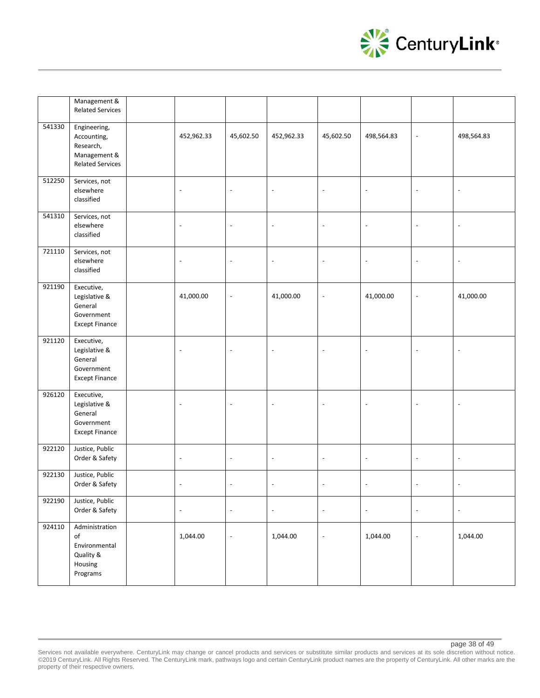

|        | Management &<br><b>Related Services</b>                                             |                          |                          |                          |                          |                          |                          |                          |
|--------|-------------------------------------------------------------------------------------|--------------------------|--------------------------|--------------------------|--------------------------|--------------------------|--------------------------|--------------------------|
| 541330 | Engineering,<br>Accounting,<br>Research,<br>Management &<br><b>Related Services</b> | 452,962.33               | 45,602.50                | 452,962.33               | 45,602.50                | 498,564.83               | $\blacksquare$           | 498,564.83               |
| 512250 | Services, not<br>elsewhere<br>classified                                            | $\overline{\phantom{a}}$ | $\overline{a}$           | $\overline{\phantom{a}}$ | $\overline{\phantom{a}}$ | $\overline{\phantom{a}}$ | $\overline{\phantom{a}}$ | $\overline{\phantom{a}}$ |
| 541310 | Services, not<br>elsewhere<br>classified                                            | $\overline{\phantom{a}}$ | $\overline{a}$           | $\sim$                   | $\overline{a}$           | $\overline{a}$           | $\overline{a}$           | $\overline{\phantom{a}}$ |
| 721110 | Services, not<br>elsewhere<br>classified                                            | $\blacksquare$           | $\overline{\phantom{a}}$ | $\overline{\phantom{a}}$ | $\overline{\phantom{a}}$ | $\overline{\phantom{a}}$ | $\overline{\phantom{a}}$ | $\overline{\phantom{a}}$ |
| 921190 | Executive,<br>Legislative &<br>General<br>Government<br><b>Except Finance</b>       | 41,000.00                | $\overline{a}$           | 41,000.00                | $\blacksquare$           | 41,000.00                | $\overline{\phantom{a}}$ | 41,000.00                |
| 921120 | Executive,<br>Legislative &<br>General<br>Government<br><b>Except Finance</b>       | $\overline{\phantom{a}}$ | L,                       | $\overline{\phantom{a}}$ | $\blacksquare$           | $\overline{\phantom{a}}$ | $\overline{\phantom{a}}$ | $\overline{\phantom{a}}$ |
| 926120 | Executive,<br>Legislative &<br>General<br>Government<br><b>Except Finance</b>       | $\overline{\phantom{a}}$ | $\blacksquare$           | $\blacksquare$           | $\Box$                   | $\overline{\phantom{a}}$ | $\overline{\phantom{a}}$ | $\overline{\phantom{a}}$ |
| 922120 | Justice, Public<br>Order & Safety                                                   | $\overline{\phantom{a}}$ | $\overline{\phantom{a}}$ | $\blacksquare$           | $\overline{\phantom{a}}$ | $\overline{\phantom{a}}$ | $\overline{\phantom{a}}$ | $\overline{\phantom{a}}$ |
| 922130 | Justice, Public<br>Order & Safety                                                   | $\blacksquare$           | $\overline{a}$           | L,                       | $\overline{a}$           | $\overline{a}$           | $\sim$                   | $\overline{\phantom{a}}$ |
| 922190 | Justice, Public<br>Order & Safety                                                   | $\blacksquare$           | $\blacksquare$           | $\overline{\phantom{a}}$ | $\overline{\phantom{a}}$ | $\blacksquare$           | $\blacksquare$           | $\overline{\phantom{a}}$ |
| 924110 | Administration<br>of<br>Environmental<br>Quality &<br>Housing<br>Programs           | 1,044.00                 | $\overline{a}$           | 1,044.00                 | $\overline{\phantom{a}}$ | 1,044.00                 | $\blacksquare$           | 1,044.00                 |

page 38 of 49

Services not available everywhere. CenturyLink may change or cancel products and services or substitute similar products and services at its sole discretion without notice. ©2019 CenturyLink. All Rights Reserved. The CenturyLink mark, pathways logo and certain CenturyLink product names are the property of CenturyLink. All other marks are the property of their respective owners.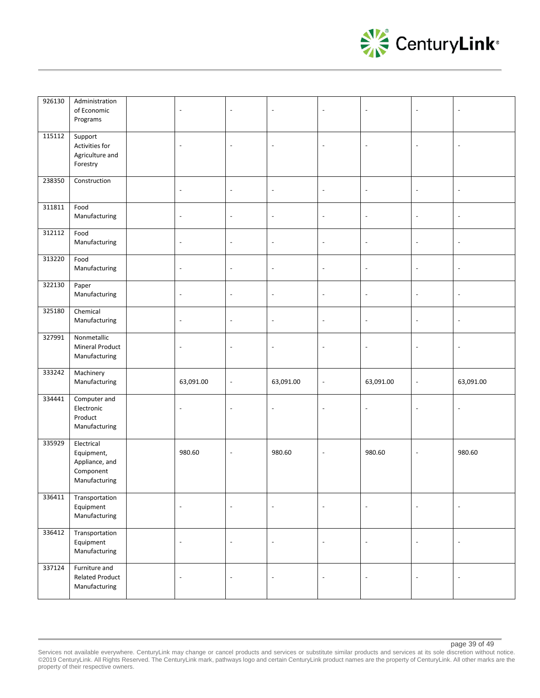

| 926130           | Administration<br>of Economic<br>Programs                     | $\overline{\phantom{a}}$ | $\overline{\phantom{a}}$ | $\overline{\phantom{a}}$ | $\overline{\phantom{a}}$ | $\blacksquare$           | $\overline{a}$           |                          |
|------------------|---------------------------------------------------------------|--------------------------|--------------------------|--------------------------|--------------------------|--------------------------|--------------------------|--------------------------|
| 115112           | Support<br>Activities for<br>Agriculture and<br>Forestry      | $\blacksquare$           | $\overline{a}$           | $\overline{a}$           | $\Box$                   | $\blacksquare$           | Ĭ.                       | $\sim$                   |
| 238350           | Construction                                                  | $\overline{\phantom{a}}$ | $\overline{\phantom{a}}$ | $\overline{\phantom{a}}$ | $\overline{\phantom{a}}$ | $\overline{\phantom{a}}$ | $\overline{a}$           | $\overline{\phantom{a}}$ |
| 311811           | Food<br>Manufacturing                                         | $\overline{\phantom{a}}$ | $\overline{\phantom{a}}$ | $\blacksquare$           | $\overline{\phantom{a}}$ | $\overline{\phantom{a}}$ | $\Box$                   | $\blacksquare$           |
| 312112           | Food<br>Manufacturing                                         | $\overline{\phantom{a}}$ | $\overline{\phantom{a}}$ | $\blacksquare$           | $\overline{\phantom{a}}$ | $\overline{\phantom{a}}$ | $\overline{\phantom{a}}$ | $\blacksquare$           |
| 313220           | Food<br>Manufacturing                                         | $\overline{\phantom{a}}$ | $\overline{\phantom{a}}$ | $\overline{\phantom{a}}$ | $\overline{\phantom{a}}$ | $\overline{\phantom{a}}$ | $\overline{\phantom{a}}$ | $\overline{\phantom{a}}$ |
| 322130           | Paper<br>Manufacturing                                        | $\overline{\phantom{a}}$ | $\overline{\phantom{a}}$ | $\overline{\phantom{a}}$ | $\overline{\phantom{a}}$ | $\overline{\phantom{a}}$ | $\Box$                   | $\overline{\phantom{a}}$ |
| 325180           | Chemical<br>Manufacturing                                     | $\overline{\phantom{a}}$ | $\overline{\phantom{a}}$ | $\overline{\phantom{a}}$ | $\overline{\phantom{a}}$ | $\blacksquare$           | $\Box$                   | $\overline{\phantom{a}}$ |
| 327991           | Nonmetallic<br>Mineral Product<br>Manufacturing               | $\blacksquare$           | $\overline{\phantom{a}}$ | $\overline{\phantom{a}}$ | $\Box$                   | $\blacksquare$           | Ĭ.                       | $\blacksquare$           |
| 333242           | Machinery<br>Manufacturing                                    | 63,091.00                | $\overline{\phantom{a}}$ | 63,091.00                | $\overline{\phantom{a}}$ | 63,091.00                | $\overline{\phantom{a}}$ | 63,091.00                |
| 334441           | Computer and<br>Electronic<br>Product<br>Manufacturing        | $\overline{\phantom{a}}$ | $\overline{\phantom{a}}$ | $\overline{\phantom{a}}$ | $\sim$                   | $\overline{\phantom{a}}$ | $\overline{a}$           | $\sim$                   |
| 335929           | Electrical<br>Equipment,<br>Appliance, and                    | 980.60                   | L,                       | 980.60                   | $\blacksquare$           | 980.60                   | Ĭ.                       | 980.60                   |
|                  | Component<br>Manufacturing                                    |                          |                          |                          |                          |                          |                          |                          |
| 336411           | Transportation<br>Equipment<br>Manufacturing                  | $\overline{\phantom{a}}$ | $\overline{\phantom{a}}$ | $\overline{\phantom{a}}$ | $\overline{\phantom{a}}$ | $\blacksquare$           | $\overline{\phantom{a}}$ | $\overline{\phantom{a}}$ |
| 336412<br>337124 | Transportation<br>Equipment<br>Manufacturing<br>Furniture and | $\overline{\phantom{a}}$ | $\overline{\phantom{a}}$ | $\overline{\phantom{a}}$ | $\overline{\phantom{a}}$ | $\overline{\phantom{a}}$ | $\overline{a}$           | $\overline{\phantom{a}}$ |

#### page 39 of 49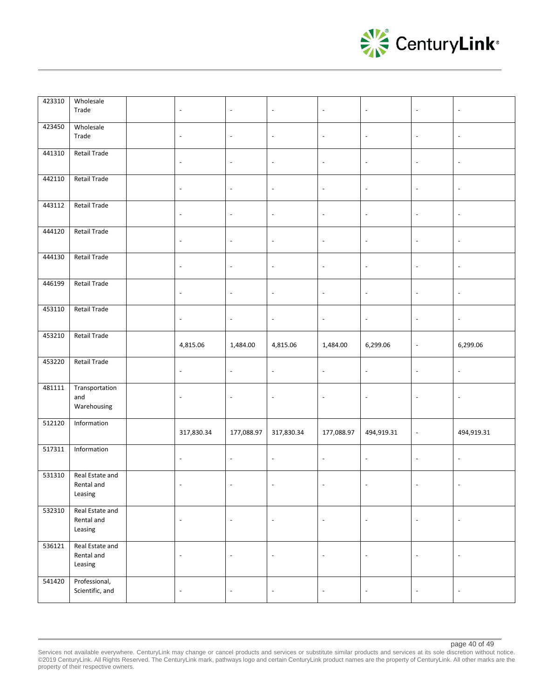

| 423310 | Wholesale<br>Trade                                        | $\overline{\phantom{a}}$ | $\overline{\phantom{a}}$ | $\overline{\phantom{a}}$ | $\overline{\phantom{a}}$ | $\blacksquare$           | $\overline{\phantom{a}}$ | $\overline{\phantom{a}}$ |
|--------|-----------------------------------------------------------|--------------------------|--------------------------|--------------------------|--------------------------|--------------------------|--------------------------|--------------------------|
| 423450 | Wholesale<br>Trade                                        | $\overline{\phantom{a}}$ | $\overline{\phantom{a}}$ | $\overline{\phantom{a}}$ | $\overline{\phantom{a}}$ | $\Box$                   | $\overline{\phantom{a}}$ | $\overline{\phantom{a}}$ |
| 441310 | <b>Retail Trade</b>                                       | $\overline{\phantom{a}}$ | $\overline{\phantom{a}}$ | $\blacksquare$           | $\overline{\phantom{a}}$ | $\blacksquare$           | $\overline{\phantom{a}}$ | $\overline{\phantom{a}}$ |
| 442110 | <b>Retail Trade</b>                                       | $\overline{\phantom{a}}$ | $\overline{\phantom{a}}$ | $\overline{\phantom{a}}$ | $\overline{\phantom{a}}$ | $\overline{\phantom{a}}$ | $\overline{\phantom{a}}$ | $\overline{\phantom{a}}$ |
| 443112 | Retail Trade                                              | $\overline{\phantom{a}}$ | $\overline{\phantom{a}}$ | $\overline{\phantom{a}}$ | $\overline{\phantom{a}}$ | $\overline{\phantom{a}}$ | $\overline{\phantom{a}}$ | $\overline{\phantom{a}}$ |
| 444120 | <b>Retail Trade</b>                                       | $\overline{\phantom{a}}$ | $\overline{\phantom{a}}$ | $\overline{\phantom{a}}$ | $\overline{\phantom{a}}$ | $\overline{\phantom{a}}$ | $\overline{\phantom{a}}$ | $\overline{\phantom{a}}$ |
| 444130 | <b>Retail Trade</b>                                       | $\overline{\phantom{a}}$ | $\overline{\phantom{a}}$ | $\overline{\phantom{a}}$ | $\overline{\phantom{a}}$ | $\overline{\phantom{a}}$ | $\overline{\phantom{a}}$ | $\blacksquare$           |
| 446199 | <b>Retail Trade</b>                                       | $\overline{\phantom{a}}$ | $\overline{\phantom{a}}$ | $\overline{\phantom{a}}$ | $\overline{\phantom{a}}$ | $\overline{\phantom{a}}$ | $\overline{\phantom{a}}$ | $\overline{\phantom{a}}$ |
| 453110 | Retail Trade                                              | $\overline{\phantom{a}}$ | $\overline{\phantom{a}}$ | $\overline{\phantom{a}}$ | $\overline{\phantom{a}}$ | $\overline{\phantom{a}}$ | $\overline{\phantom{a}}$ | $\overline{\phantom{a}}$ |
| 453210 | <b>Retail Trade</b>                                       | 4,815.06                 | 1,484.00                 | 4,815.06                 | 1,484.00                 | 6,299.06                 | $\Box$                   | 6,299.06                 |
|        |                                                           |                          |                          |                          |                          |                          |                          |                          |
| 453220 | <b>Retail Trade</b>                                       | $\overline{\phantom{a}}$ | $\overline{\phantom{a}}$ | $\blacksquare$           | $\overline{\phantom{a}}$ | $\overline{\phantom{a}}$ | $\overline{\phantom{a}}$ | $\overline{\phantom{a}}$ |
| 481111 | Transportation<br>and<br>Warehousing                      | $\overline{\phantom{a}}$ | $\overline{\phantom{a}}$ | $\blacksquare$           | $\overline{\phantom{a}}$ | $\overline{\phantom{a}}$ | $\overline{\phantom{a}}$ | $\overline{\phantom{a}}$ |
| 512120 | Information                                               | 317,830.34               | 177,088.97               | 317,830.34               | 177,088.97               | 494,919.31               | $\overline{\phantom{a}}$ | 494,919.31               |
| 517311 | Information                                               | $\overline{\phantom{a}}$ | $\overline{\phantom{a}}$ | $\overline{\phantom{a}}$ | $\overline{\phantom{a}}$ | $\blacksquare$           | $\overline{\phantom{a}}$ | $\overline{\phantom{a}}$ |
| 531310 | Real Estate and<br>Rental and<br>Leasing                  | $\overline{\phantom{a}}$ | $\overline{\phantom{a}}$ | $\overline{\phantom{a}}$ | $\overline{\phantom{a}}$ | $\overline{\phantom{a}}$ | $\overline{a}$           | $\overline{\phantom{a}}$ |
| 532310 | Real Estate and<br>Rental and<br>Leasing                  | $\Box$                   | $\blacksquare$           | $\overline{\phantom{a}}$ | $\overline{\phantom{a}}$ | $\Box$                   | $\overline{\phantom{a}}$ | $\overline{\phantom{a}}$ |
| 536121 | Real Estate and<br>Rental and<br>Leasing<br>Professional, | $\Box$                   | $\overline{\phantom{a}}$ | $\blacksquare$           | $\Box$                   | $\Box$                   | $\overline{\phantom{a}}$ | $\overline{\phantom{a}}$ |

page 40 of 49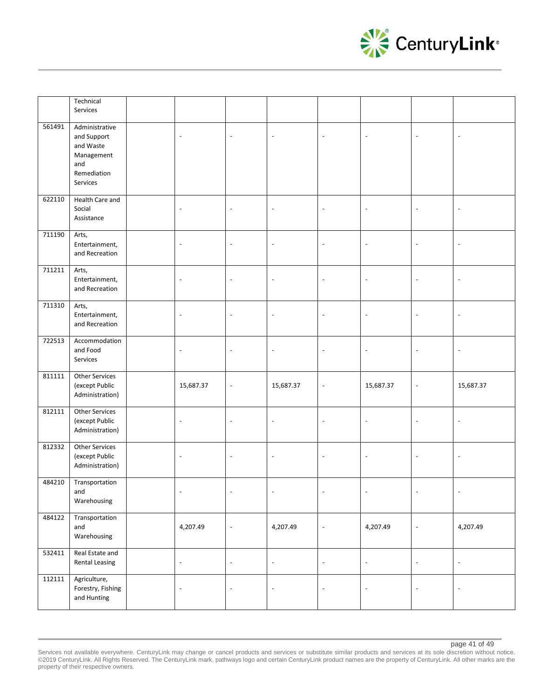

|        | Technical<br>Services                                                                      |                          |                          |                          |                          |                          |                          |                          |
|--------|--------------------------------------------------------------------------------------------|--------------------------|--------------------------|--------------------------|--------------------------|--------------------------|--------------------------|--------------------------|
| 561491 | Administrative<br>and Support<br>and Waste<br>Management<br>and<br>Remediation<br>Services | $\overline{\phantom{a}}$ | $\overline{\phantom{a}}$ | $\overline{\phantom{a}}$ | $\sim$                   | $\blacksquare$           | $\overline{a}$           | $\overline{a}$           |
| 622110 | Health Care and<br>Social<br>Assistance                                                    | $\overline{\phantom{a}}$ | $\overline{\phantom{a}}$ | $\overline{\phantom{a}}$ | $\overline{\phantom{a}}$ | $\overline{\phantom{a}}$ | $\overline{a}$           | $\blacksquare$           |
| 711190 | Arts,<br>Entertainment,<br>and Recreation                                                  | $\overline{\phantom{a}}$ | $\overline{a}$           | $\overline{\phantom{a}}$ | $\overline{\phantom{a}}$ | $\overline{\phantom{a}}$ | $\overline{a}$           |                          |
| 711211 | Arts,<br>Entertainment,<br>and Recreation                                                  | $\overline{\phantom{a}}$ | $\overline{\phantom{a}}$ | $\overline{\phantom{a}}$ | $\blacksquare$           | ÷,                       | $\overline{a}$           |                          |
| 711310 | Arts,<br>Entertainment,<br>and Recreation                                                  | $\overline{\phantom{a}}$ | $\overline{\phantom{a}}$ | $\overline{\phantom{a}}$ | $\overline{\phantom{a}}$ | $\blacksquare$           | $\overline{\phantom{a}}$ | $\overline{\phantom{a}}$ |
| 722513 | Accommodation<br>and Food<br>Services                                                      | $\blacksquare$           | $\overline{a}$           | $\sim$                   | $\Box$                   | $\blacksquare$           | $\overline{a}$           | $\sim$                   |
| 811111 | Other Services<br>(except Public<br>Administration)                                        | 15,687.37                | $\overline{\phantom{a}}$ | 15,687.37                | $\overline{\phantom{a}}$ | 15,687.37                | $\overline{a}$           | 15,687.37                |
| 812111 | Other Services<br>(except Public<br>Administration)                                        | $\overline{\phantom{a}}$ | $\overline{\phantom{a}}$ | $\blacksquare$           | $\overline{\phantom{a}}$ | $\overline{\phantom{a}}$ | $\overline{\phantom{a}}$ | $\blacksquare$           |
| 812332 |                                                                                            |                          |                          |                          |                          |                          |                          |                          |
|        | Other Services<br>(except Public<br>Administration)                                        | $\overline{\phantom{a}}$ | $\overline{\phantom{a}}$ | $\overline{\phantom{a}}$ | $\overline{\phantom{a}}$ | $\overline{\phantom{a}}$ | $\overline{\phantom{a}}$ | $\overline{\phantom{a}}$ |
| 484210 | Transportation<br>and<br>Warehousing                                                       | $\overline{\phantom{a}}$ | $\overline{a}$           | $\overline{\phantom{a}}$ | $\overline{\phantom{a}}$ |                          |                          | $\overline{\phantom{a}}$ |
| 484122 | Transportation<br>and<br>Warehousing                                                       | 4,207.49                 | $\overline{\phantom{a}}$ | 4,207.49                 | $\overline{\phantom{a}}$ | 4,207.49                 | $\overline{a}$           | 4,207.49                 |
| 532411 | Real Estate and<br><b>Rental Leasing</b>                                                   | $\blacksquare$           | $\blacksquare$           | $\overline{\phantom{a}}$ | $\overline{\phantom{a}}$ | $\Box$                   | $\Box$                   | $\overline{\phantom{a}}$ |

Services not available everywhere. CenturyLink may change or cancel products and services or substitute similar products and services at its sole discretion without notice. ©2019 CenturyLink. All Rights Reserved. The CenturyLink mark, pathways logo and certain CenturyLink product names are the property of CenturyLink. All other marks are the property of their respective owners.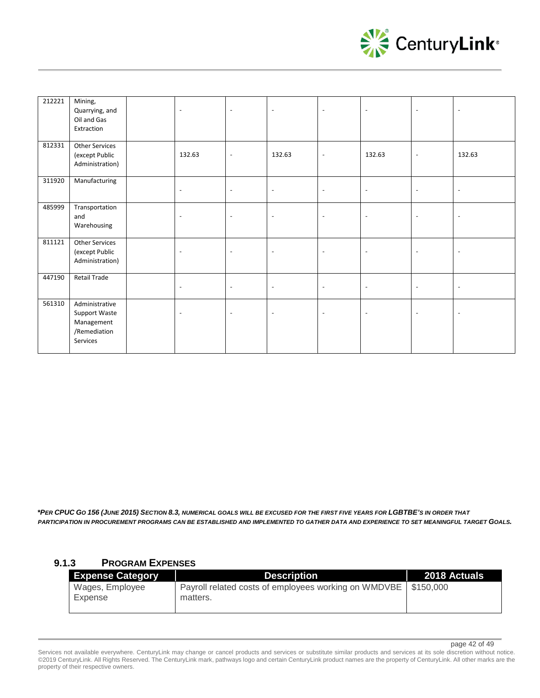

| 212221 | Mining,<br>Quarrying, and<br>Oil and Gas<br>Extraction                           | $\blacksquare$           | $\blacksquare$           | $\blacksquare$           | $\overline{\phantom{a}}$ | $\blacksquare$           | $\blacksquare$           | $\overline{\phantom{a}}$ |
|--------|----------------------------------------------------------------------------------|--------------------------|--------------------------|--------------------------|--------------------------|--------------------------|--------------------------|--------------------------|
| 812331 | <b>Other Services</b><br>(except Public<br>Administration)                       | 132.63                   | $\overline{\phantom{a}}$ | 132.63                   | $\overline{\phantom{a}}$ | 132.63                   | $\overline{\phantom{a}}$ | 132.63                   |
| 311920 | Manufacturing                                                                    | $\overline{\phantom{a}}$ | $\blacksquare$           | $\blacksquare$           | $\blacksquare$           | $\blacksquare$           | $\blacksquare$           | $\overline{\phantom{a}}$ |
| 485999 | Transportation<br>and<br>Warehousing                                             | $\overline{\phantom{a}}$ | ÷,                       | $\overline{\phantom{a}}$ | $\overline{\phantom{a}}$ | $\overline{\phantom{a}}$ | $\overline{\phantom{a}}$ | $\overline{\phantom{a}}$ |
| 811121 | Other Services<br>(except Public<br>Administration)                              | $\overline{\phantom{a}}$ | $\overline{\phantom{a}}$ | $\overline{\phantom{a}}$ | $\overline{\phantom{a}}$ | $\overline{\phantom{a}}$ | $\overline{\phantom{a}}$ | $\overline{\phantom{a}}$ |
| 447190 | <b>Retail Trade</b>                                                              | $\overline{\phantom{a}}$ | $\blacksquare$           | $\blacksquare$           | $\blacksquare$           | $\blacksquare$           | $\blacksquare$           | $\overline{\phantom{a}}$ |
| 561310 | Administrative<br><b>Support Waste</b><br>Management<br>/Remediation<br>Services | $\overline{\phantom{a}}$ | $\overline{\phantom{a}}$ | $\overline{\phantom{a}}$ | $\overline{\phantom{a}}$ | $\overline{\phantom{a}}$ | $\overline{\phantom{a}}$ | $\overline{\phantom{a}}$ |

*\*PER CPUC GO 156 (JUNE 2015) SECTION 8.3, NUMERICAL GOALS WILL BE EXCUSED FOR THE FIRST FIVE YEARS FOR LGBTBE'S IN ORDER THAT PARTICIPATION IN PROCUREMENT PROGRAMS CAN BE ESTABLISHED AND IMPLEMENTED TO GATHER DATA AND EXPERIENCE TO SET MEANINGFUL TARGET GOALS.* 

## **9.1.3 PROGRAM EXPENSES**

| <b>Expense Category</b>    | <b>Description</b>                                                           | 2018 Actuals |
|----------------------------|------------------------------------------------------------------------------|--------------|
| Wages, Employee<br>Expense | Payroll related costs of employees working on WMDVBE   \$150,000<br>matters. |              |

page 42 of 49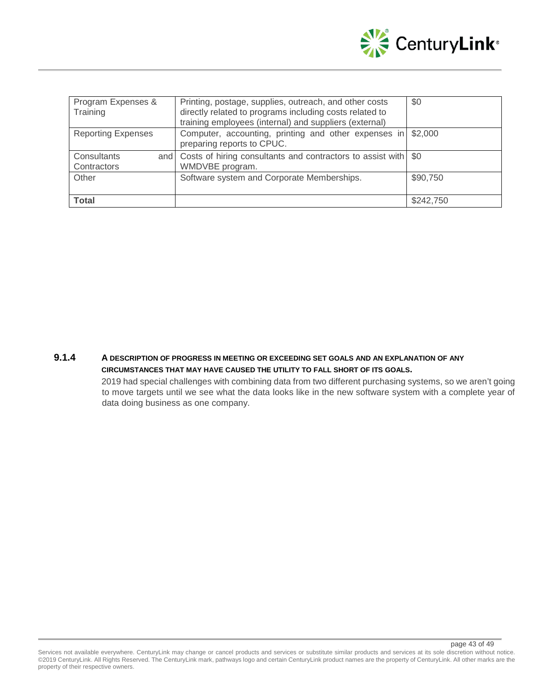

| Program Expenses &<br>Training | Printing, postage, supplies, outreach, and other costs<br>directly related to programs including costs related to<br>training employees (internal) and suppliers (external) | \$0       |
|--------------------------------|-----------------------------------------------------------------------------------------------------------------------------------------------------------------------------|-----------|
| <b>Reporting Expenses</b>      | Computer, accounting, printing and other expenses in<br>preparing reports to CPUC.                                                                                          | \$2,000   |
| Consultants<br>Contractors     | and Costs of hiring consultants and contractors to assist with \$0<br>WMDVBE program.                                                                                       |           |
| Other                          | Software system and Corporate Memberships.                                                                                                                                  | \$90,750  |
| <b>Total</b>                   |                                                                                                                                                                             | \$242,750 |

## **9.1.4 A DESCRIPTION OF PROGRESS IN MEETING OR EXCEEDING SET GOALS AND AN EXPLANATION OF ANY CIRCUMSTANCES THAT MAY HAVE CAUSED THE UTILITY TO FALL SHORT OF ITS GOALS.**

2019 had special challenges with combining data from two different purchasing systems, so we aren't going to move targets until we see what the data looks like in the new software system with a complete year of data doing business as one company.

page 43 of 49

Services not available everywhere. CenturyLink may change or cancel products and services or substitute similar products and services at its sole discretion without notice. ©2019 CenturyLink. All Rights Reserved. The CenturyLink mark, pathways logo and certain CenturyLink product names are the property of CenturyLink. All other marks are the property of their respective owners.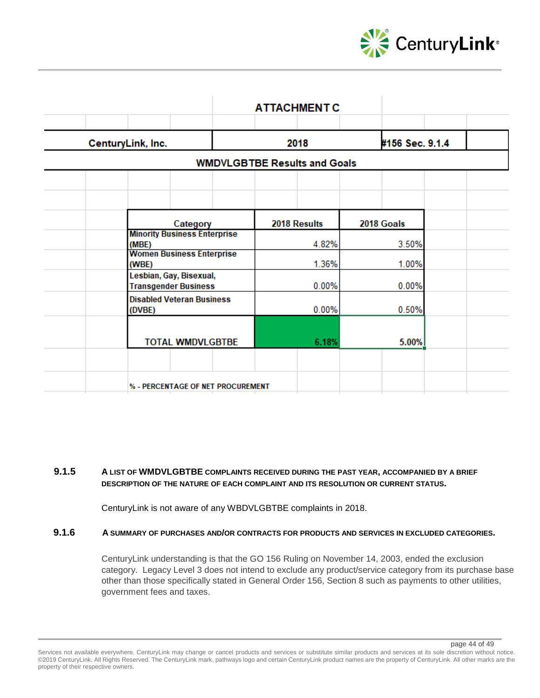

|                                                        | <b>ATTACHMENT C</b>                 |                 |
|--------------------------------------------------------|-------------------------------------|-----------------|
| CenturyLink, Inc.                                      | 2018                                | #156 Sec. 9.1.4 |
|                                                        | <b>WMDVLGBTBE Results and Goals</b> |                 |
|                                                        |                                     |                 |
| Category                                               | 2018 Results                        | 2018 Goals      |
| <b>Minority Business Enterprise</b><br>(MBE)           | 4.82%                               | 3.50%           |
| <b>Women Business Enterprise</b><br>(WBE)              | 1.36%                               | 1.00%           |
| Lesbian, Gay, Bisexual,<br><b>Transgender Business</b> | 0.00%                               | 0.00%           |
| <b>Disabled Veteran Business</b><br>(DVBE)             | 0.00%                               | 0.50%           |
| <b>TOTAL WMDVLGBTBE</b>                                | 6.18%                               | 5.00%           |
|                                                        |                                     |                 |
| % - PERCENTAGE OF NET PROCUREMENT                      |                                     |                 |

## **9.1.5 A LIST OF WMDVLGBTBE COMPLAINTS RECEIVED DURING THE PAST YEAR, ACCOMPANIED BY A BRIEF DESCRIPTION OF THE NATURE OF EACH COMPLAINT AND ITS RESOLUTION OR CURRENT STATUS.**

CenturyLink is not aware of any WBDVLGBTBE complaints in 2018.

## **9.1.6 A SUMMARY OF PURCHASES AND/OR CONTRACTS FOR PRODUCTS AND SERVICES IN EXCLUDED CATEGORIES.**

CenturyLink understanding is that the GO 156 Ruling on November 14, 2003, ended the exclusion category. Legacy Level 3 does not intend to exclude any product/service category from its purchase base other than those specifically stated in General Order 156, Section 8 such as payments to other utilities, government fees and taxes.

page 44 of 49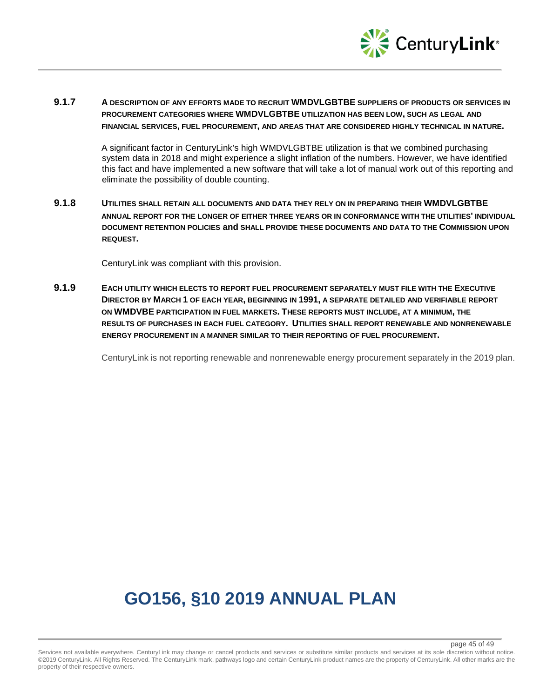

## **9.1.7 A DESCRIPTION OF ANY EFFORTS MADE TO RECRUIT WMDVLGBTBE SUPPLIERS OF PRODUCTS OR SERVICES IN PROCUREMENT CATEGORIES WHERE WMDVLGBTBE UTILIZATION HAS BEEN LOW, SUCH AS LEGAL AND FINANCIAL SERVICES, FUEL PROCUREMENT, AND AREAS THAT ARE CONSIDERED HIGHLY TECHNICAL IN NATURE.**

A significant factor in CenturyLink's high WMDVLGBTBE utilization is that we combined purchasing system data in 2018 and might experience a slight inflation of the numbers. However, we have identified this fact and have implemented a new software that will take a lot of manual work out of this reporting and eliminate the possibility of double counting.

## **9.1.8 UTILITIES SHALL RETAIN ALL DOCUMENTS AND DATA THEY RELY ON IN PREPARING THEIR WMDVLGBTBE ANNUAL REPORT FOR THE LONGER OF EITHER THREE YEARS OR IN CONFORMANCE WITH THE UTILITIES' INDIVIDUAL DOCUMENT RETENTION POLICIES and SHALL PROVIDE THESE DOCUMENTS AND DATA TO THE COMMISSION UPON REQUEST.**

CenturyLink was compliant with this provision.

**9.1.9 EACH UTILITY WHICH ELECTS TO REPORT FUEL PROCUREMENT SEPARATELY MUST FILE WITH THE EXECUTIVE DIRECTOR BY MARCH 1 OF EACH YEAR, BEGINNING IN 1991, A SEPARATE DETAILED AND VERIFIABLE REPORT ON WMDVBE PARTICIPATION IN FUEL MARKETS. THESE REPORTS MUST INCLUDE, AT A MINIMUM, THE RESULTS OF PURCHASES IN EACH FUEL CATEGORY. UTILITIES SHALL REPORT RENEWABLE AND NONRENEWABLE ENERGY PROCUREMENT IN A MANNER SIMILAR TO THEIR REPORTING OF FUEL PROCUREMENT.** 

CenturyLink is not reporting renewable and nonrenewable energy procurement separately in the 2019 plan.

# **GO156, §10 2019 ANNUAL PLAN**

#### page 45 of 49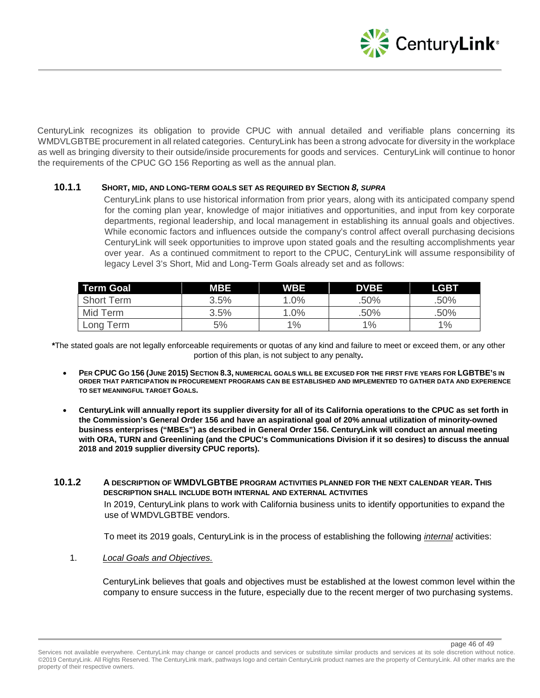

CenturyLink recognizes its obligation to provide CPUC with annual detailed and verifiable plans concerning its WMDVLGBTBE procurement in all related categories. CenturyLink has been a strong advocate for diversity in the workplace as well as bringing diversity to their outside/inside procurements for goods and services. CenturyLink will continue to honor the requirements of the CPUC GO 156 Reporting as well as the annual plan.

## **10.1.1 SHORT, MID, AND LONG-TERM GOALS SET AS REQUIRED BY SECTION** *8, SUPRA*

CenturyLink plans to use historical information from prior years, along with its anticipated company spend for the coming plan year, knowledge of major initiatives and opportunities, and input from key corporate departments, regional leadership, and local management in establishing its annual goals and objectives. While economic factors and influences outside the company's control affect overall purchasing decisions CenturyLink will seek opportunities to improve upon stated goals and the resulting accomplishments year over year. As a continued commitment to report to the CPUC, CenturyLink will assume responsibility of legacy Level 3's Short, Mid and Long-Term Goals already set and as follows:

| <b>Term Goal</b>  | <b>MBE</b> | <b>WBE</b> | <b>DVBE</b> | <b>LGBT</b> |
|-------------------|------------|------------|-------------|-------------|
| <b>Short Term</b> | 3.5%       | 1.0%       | .50%        | .50%        |
| Mid Term          | 3.5%       | 1.0%       | .50%        | .50%        |
| Long Term         | 5%         | 1%         | 1%          | 1%          |

**\***The stated goals are not legally enforceable requirements or quotas of any kind and failure to meet or exceed them, or any other portion of this plan, is not subject to any penalty**.**

- **PER CPUC GO 156 (JUNE 2015) SECTION 8.3, NUMERICAL GOALS WILL BE EXCUSED FOR THE FIRST FIVE YEARS FOR LGBTBE'S IN ORDER THAT PARTICIPATION IN PROCUREMENT PROGRAMS CAN BE ESTABLISHED AND IMPLEMENTED TO GATHER DATA AND EXPERIENCE TO SET MEANINGFUL TARGET GOALS.**
- **CenturyLink will annually report its supplier diversity for all of its California operations to the CPUC as set forth in the Commission's General Order 156 and have an aspirational goal of 20% annual utilization of minority-owned business enterprises ("MBEs") as described in General Order 156. CenturyLink will conduct an annual meeting with ORA, TURN and Greenlining (and the CPUC's Communications Division if it so desires) to discuss the annual 2018 and 2019 supplier diversity CPUC reports).**
- **10.1.2 A DESCRIPTION OF WMDVLGBTBE PROGRAM ACTIVITIES PLANNED FOR THE NEXT CALENDAR YEAR. THIS DESCRIPTION SHALL INCLUDE BOTH INTERNAL AND EXTERNAL ACTIVITIES** In 2019, CenturyLink plans to work with California business units to identify opportunities to expand the use of WMDVLGBTBE vendors.

To meet its 2019 goals, CenturyLink is in the process of establishing the following *internal* activities:

1. *Local Goals and Objectives.*

CenturyLink believes that goals and objectives must be established at the lowest common level within the company to ensure success in the future, especially due to the recent merger of two purchasing systems.

page 46 of 49

Services not available everywhere. CenturyLink may change or cancel products and services or substitute similar products and services at its sole discretion without notice. ©2019 CenturyLink. All Rights Reserved. The CenturyLink mark, pathways logo and certain CenturyLink product names are the property of CenturyLink. All other marks are the property of their respective owners.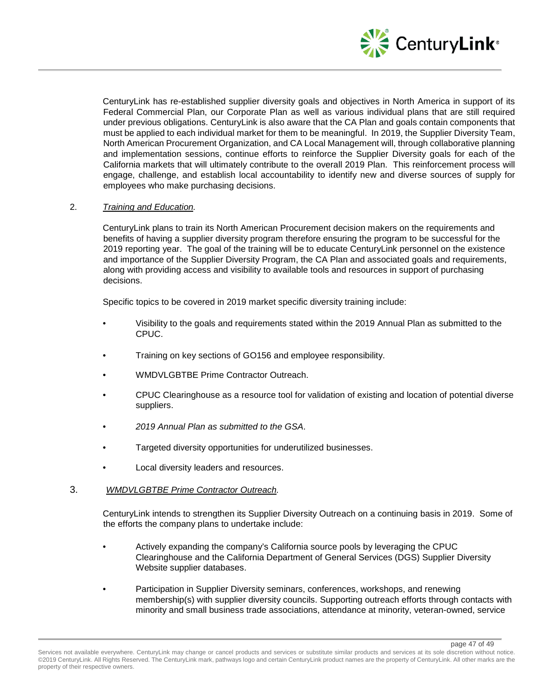

page 47 of 49

CenturyLink has re-established supplier diversity goals and objectives in North America in support of its Federal Commercial Plan, our Corporate Plan as well as various individual plans that are still required under previous obligations. CenturyLink is also aware that the CA Plan and goals contain components that must be applied to each individual market for them to be meaningful. In 2019, the Supplier Diversity Team, North American Procurement Organization, and CA Local Management will, through collaborative planning and implementation sessions, continue efforts to reinforce the Supplier Diversity goals for each of the California markets that will ultimately contribute to the overall 2019 Plan. This reinforcement process will engage, challenge, and establish local accountability to identify new and diverse sources of supply for employees who make purchasing decisions.

## 2. *Training and Education.*

CenturyLink plans to train its North American Procurement decision makers on the requirements and benefits of having a supplier diversity program therefore ensuring the program to be successful for the 2019 reporting year. The goal of the training will be to educate CenturyLink personnel on the existence and importance of the Supplier Diversity Program, the CA Plan and associated goals and requirements, along with providing access and visibility to available tools and resources in support of purchasing decisions.

Specific topics to be covered in 2019 market specific diversity training include:

- Visibility to the goals and requirements stated within the 2019 Annual Plan as submitted to the CPUC.
- Training on key sections of GO156 and employee responsibility.
- WMDVLGBTBE Prime Contractor Outreach.
- CPUC Clearinghouse as a resource tool for validation of existing and location of potential diverse suppliers.
- *2019 Annual Plan as submitted to the GSA*.
- Targeted diversity opportunities for underutilized businesses.
- Local diversity leaders and resources.

## 3. *WMDVLGBTBE Prime Contractor Outreach.*

CenturyLink intends to strengthen its Supplier Diversity Outreach on a continuing basis in 2019. Some of the efforts the company plans to undertake include:

- Actively expanding the company's California source pools by leveraging the CPUC Clearinghouse and the California Department of General Services (DGS) Supplier Diversity Website supplier databases.
- Participation in Supplier Diversity seminars, conferences, workshops, and renewing membership(s) with supplier diversity councils. Supporting outreach efforts through contacts with minority and small business trade associations, attendance at minority, veteran-owned, service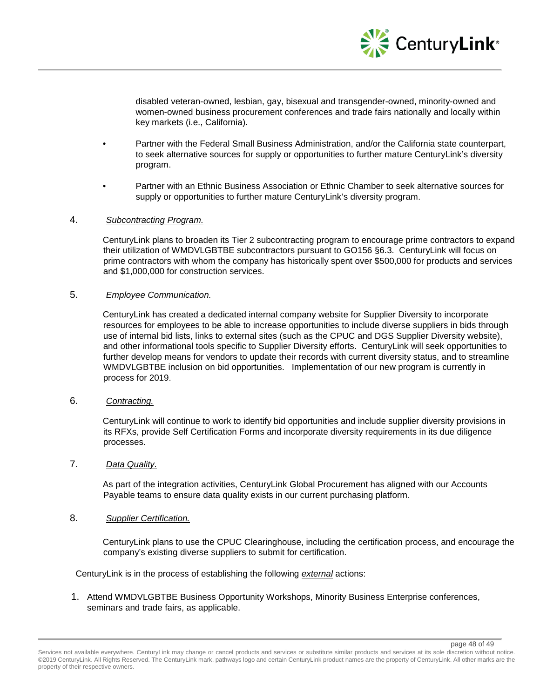

disabled veteran-owned, lesbian, gay, bisexual and transgender-owned, minority-owned and women-owned business procurement conferences and trade fairs nationally and locally within key markets (i.e., California).

- Partner with the Federal Small Business Administration, and/or the California state counterpart, to seek alternative sources for supply or opportunities to further mature CenturyLink's diversity program.
- Partner with an Ethnic Business Association or Ethnic Chamber to seek alternative sources for supply or opportunities to further mature CenturyLink's diversity program.

## 4. *Subcontracting Program.*

CenturyLink plans to broaden its Tier 2 subcontracting program to encourage prime contractors to expand their utilization of WMDVLGBTBE subcontractors pursuant to GO156 §6.3. CenturyLink will focus on prime contractors with whom the company has historically spent over \$500,000 for products and services and \$1,000,000 for construction services.

#### 5. *Employee Communication.*

CenturyLink has created a dedicated internal company website for Supplier Diversity to incorporate resources for employees to be able to increase opportunities to include diverse suppliers in bids through use of internal bid lists, links to external sites (such as the CPUC and DGS Supplier Diversity website), and other informational tools specific to Supplier Diversity efforts. CenturyLink will seek opportunities to further develop means for vendors to update their records with current diversity status, and to streamline WMDVLGBTBE inclusion on bid opportunities. Implementation of our new program is currently in process for 2019.

## 6. *Contracting.*

CenturyLink will continue to work to identify bid opportunities and include supplier diversity provisions in its RFXs, provide Self Certification Forms and incorporate diversity requirements in its due diligence processes.

#### 7. *Data Quality.*

As part of the integration activities, CenturyLink Global Procurement has aligned with our Accounts Payable teams to ensure data quality exists in our current purchasing platform.

## 8. *Supplier Certification.*

CenturyLink plans to use the CPUC Clearinghouse, including the certification process, and encourage the company's existing diverse suppliers to submit for certification.

CenturyLink is in the process of establishing the following *external* actions:

1. Attend WMDVLGBTBE Business Opportunity Workshops, Minority Business Enterprise conferences, seminars and trade fairs, as applicable.

page 48 of 49

Services not available everywhere. CenturyLink may change or cancel products and services or substitute similar products and services at its sole discretion without notice. ©2019 CenturyLink. All Rights Reserved. The CenturyLink mark, pathways logo and certain CenturyLink product names are the property of CenturyLink. All other marks are the property of their respective owners.